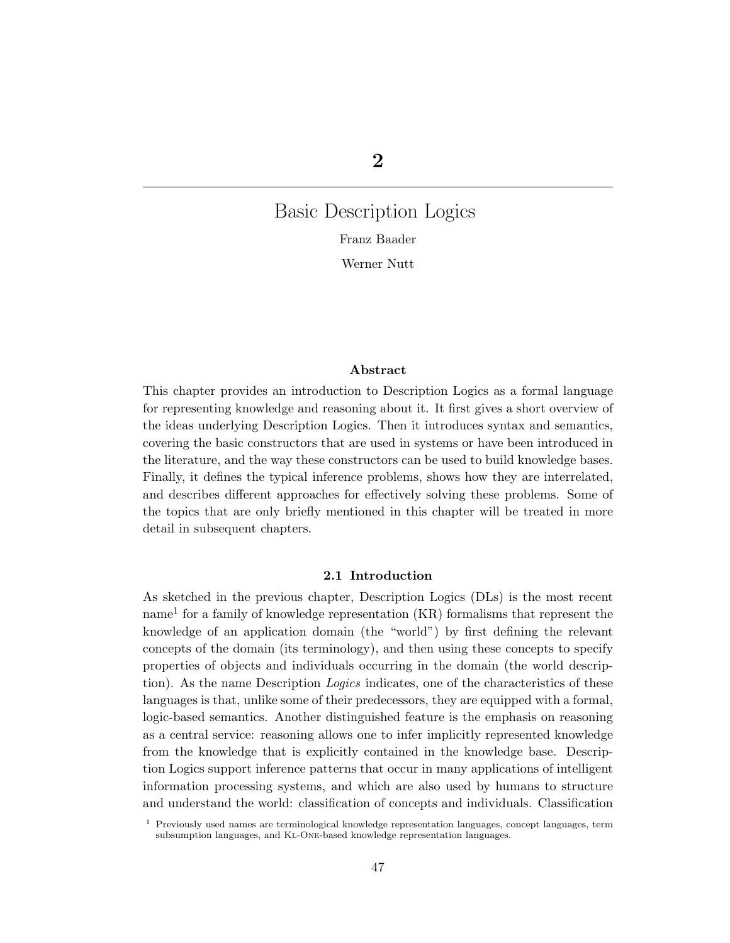# 2

# Basic Description Logics Franz Baader Werner Nutt

#### Abstract

This chapter provides an introduction to Description Logics as a formal language for representing knowledge and reasoning about it. It first gives a short overview of the ideas underlying Description Logics. Then it introduces syntax and semantics, covering the basic constructors that are used in systems or have been introduced in the literature, and the way these constructors can be used to build knowledge bases. Finally, it defines the typical inference problems, shows how they are interrelated, and describes different approaches for effectively solving these problems. Some of the topics that are only briefly mentioned in this chapter will be treated in more detail in subsequent chapters.

#### 2.1 Introduction

As sketched in the previous chapter, Description Logics (DLs) is the most recent name<sup>1</sup> for a family of knowledge representation (KR) formalisms that represent the knowledge of an application domain (the "world") by first defining the relevant concepts of the domain (its terminology), and then using these concepts to specify properties of objects and individuals occurring in the domain (the world description). As the name Description Logics indicates, one of the characteristics of these languages is that, unlike some of their predecessors, they are equipped with a formal, logic-based semantics. Another distinguished feature is the emphasis on reasoning as a central service: reasoning allows one to infer implicitly represented knowledge from the knowledge that is explicitly contained in the knowledge base. Description Logics support inference patterns that occur in many applications of intelligent information processing systems, and which are also used by humans to structure and understand the world: classification of concepts and individuals. Classification

<sup>1</sup> Previously used names are terminological knowledge representation languages, concept languages, term subsumption languages, and Kl-One-based knowledge representation languages.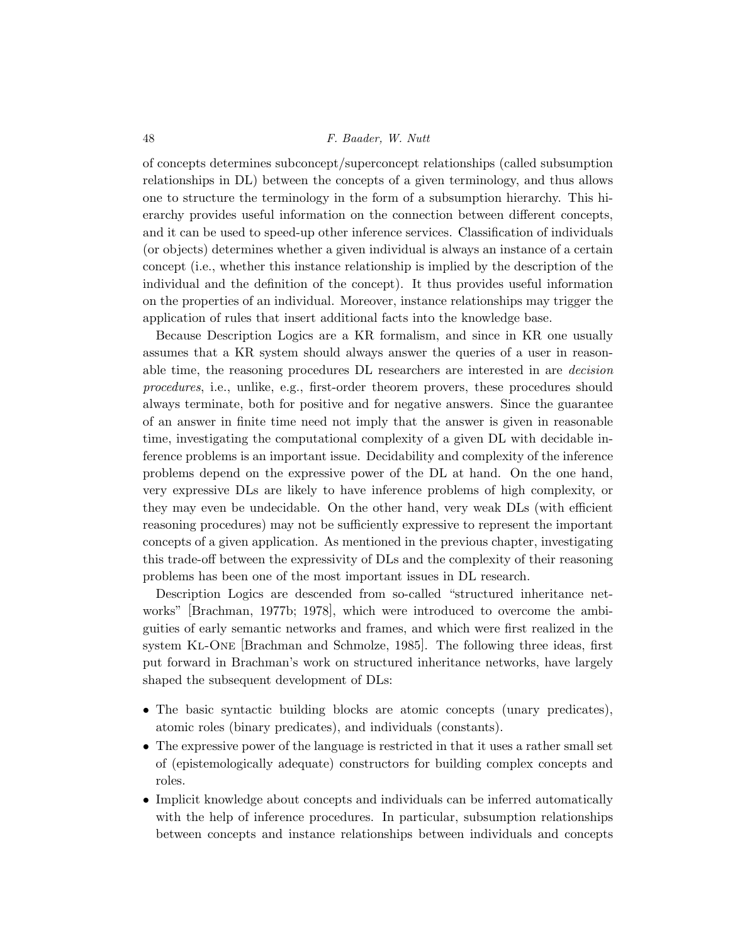of concepts determines subconcept/superconcept relationships (called subsumption relationships in DL) between the concepts of a given terminology, and thus allows one to structure the terminology in the form of a subsumption hierarchy. This hierarchy provides useful information on the connection between different concepts, and it can be used to speed-up other inference services. Classification of individuals (or objects) determines whether a given individual is always an instance of a certain concept (i.e., whether this instance relationship is implied by the description of the individual and the definition of the concept). It thus provides useful information on the properties of an individual. Moreover, instance relationships may trigger the application of rules that insert additional facts into the knowledge base.

Because Description Logics are a KR formalism, and since in KR one usually assumes that a KR system should always answer the queries of a user in reasonable time, the reasoning procedures DL researchers are interested in are decision procedures, i.e., unlike, e.g., first-order theorem provers, these procedures should always terminate, both for positive and for negative answers. Since the guarantee of an answer in finite time need not imply that the answer is given in reasonable time, investigating the computational complexity of a given DL with decidable inference problems is an important issue. Decidability and complexity of the inference problems depend on the expressive power of the DL at hand. On the one hand, very expressive DLs are likely to have inference problems of high complexity, or they may even be undecidable. On the other hand, very weak DLs (with efficient reasoning procedures) may not be sufficiently expressive to represent the important concepts of a given application. As mentioned in the previous chapter, investigating this trade-off between the expressivity of DLs and the complexity of their reasoning problems has been one of the most important issues in DL research.

Description Logics are descended from so-called "structured inheritance networks" [Brachman, 1977b; 1978], which were introduced to overcome the ambiguities of early semantic networks and frames, and which were first realized in the system Kl-One [Brachman and Schmolze, 1985]. The following three ideas, first put forward in Brachman's work on structured inheritance networks, have largely shaped the subsequent development of DLs:

- The basic syntactic building blocks are atomic concepts (unary predicates), atomic roles (binary predicates), and individuals (constants).
- The expressive power of the language is restricted in that it uses a rather small set of (epistemologically adequate) constructors for building complex concepts and roles.
- Implicit knowledge about concepts and individuals can be inferred automatically with the help of inference procedures. In particular, subsumption relationships between concepts and instance relationships between individuals and concepts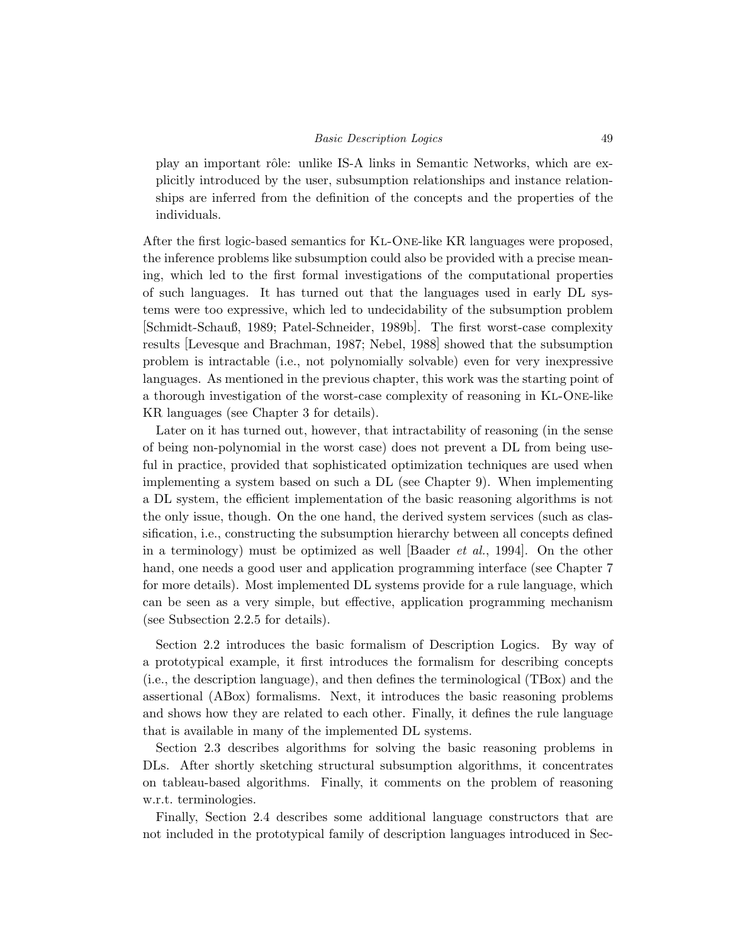#### Basic Description Logics 49

play an important rôle: unlike IS-A links in Semantic Networks, which are explicitly introduced by the user, subsumption relationships and instance relationships are inferred from the definition of the concepts and the properties of the individuals.

After the first logic-based semantics for Kl-One-like KR languages were proposed, the inference problems like subsumption could also be provided with a precise meaning, which led to the first formal investigations of the computational properties of such languages. It has turned out that the languages used in early DL systems were too expressive, which led to undecidability of the subsumption problem [Schmidt-Schauß, 1989; Patel-Schneider, 1989b]. The first worst-case complexity results [Levesque and Brachman, 1987; Nebel, 1988] showed that the subsumption problem is intractable (i.e., not polynomially solvable) even for very inexpressive languages. As mentioned in the previous chapter, this work was the starting point of a thorough investigation of the worst-case complexity of reasoning in Kl-One-like KR languages (see Chapter 3 for details).

Later on it has turned out, however, that intractability of reasoning (in the sense of being non-polynomial in the worst case) does not prevent a DL from being useful in practice, provided that sophisticated optimization techniques are used when implementing a system based on such a DL (see Chapter 9). When implementing a DL system, the efficient implementation of the basic reasoning algorithms is not the only issue, though. On the one hand, the derived system services (such as classification, i.e., constructing the subsumption hierarchy between all concepts defined in a terminology) must be optimized as well [Baader et al., 1994]. On the other hand, one needs a good user and application programming interface (see Chapter 7) for more details). Most implemented DL systems provide for a rule language, which can be seen as a very simple, but effective, application programming mechanism (see Subsection 2.2.5 for details).

Section 2.2 introduces the basic formalism of Description Logics. By way of a prototypical example, it first introduces the formalism for describing concepts (i.e., the description language), and then defines the terminological (TBox) and the assertional (ABox) formalisms. Next, it introduces the basic reasoning problems and shows how they are related to each other. Finally, it defines the rule language that is available in many of the implemented DL systems.

Section 2.3 describes algorithms for solving the basic reasoning problems in DLs. After shortly sketching structural subsumption algorithms, it concentrates on tableau-based algorithms. Finally, it comments on the problem of reasoning w.r.t. terminologies.

Finally, Section 2.4 describes some additional language constructors that are not included in the prototypical family of description languages introduced in Sec-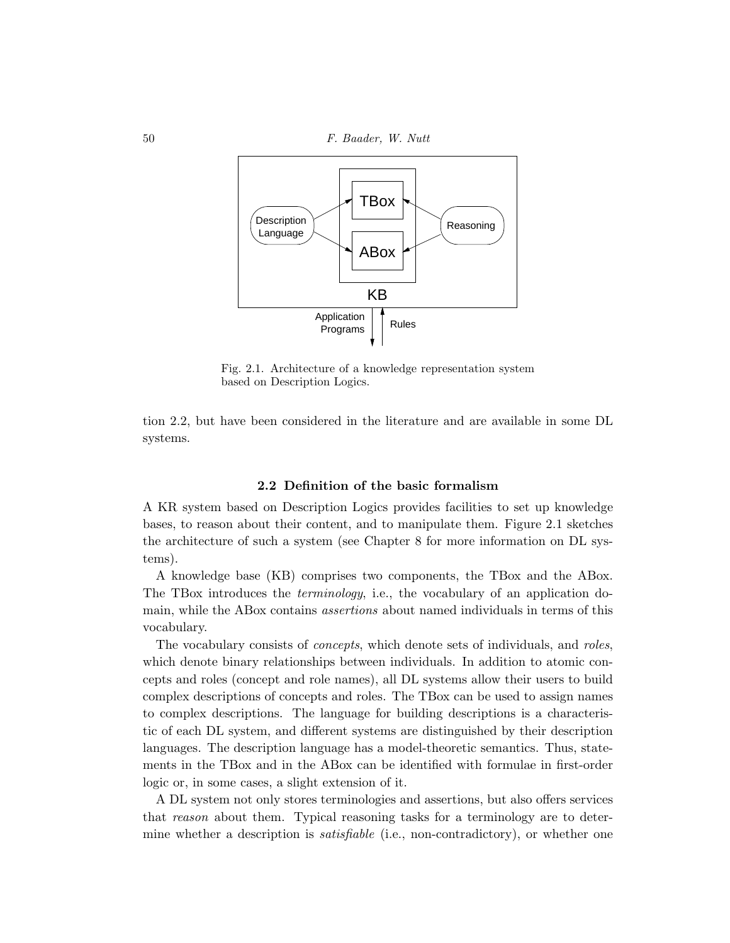

Fig. 2.1. Architecture of a knowledge representation system based on Description Logics.

tion 2.2, but have been considered in the literature and are available in some DL systems.

### 2.2 Definition of the basic formalism

A KR system based on Description Logics provides facilities to set up knowledge bases, to reason about their content, and to manipulate them. Figure 2.1 sketches the architecture of such a system (see Chapter 8 for more information on DL systems).

A knowledge base (KB) comprises two components, the TBox and the ABox. The TBox introduces the terminology, i.e., the vocabulary of an application domain, while the ABox contains assertions about named individuals in terms of this vocabulary.

The vocabulary consists of *concepts*, which denote sets of individuals, and *roles*, which denote binary relationships between individuals. In addition to atomic concepts and roles (concept and role names), all DL systems allow their users to build complex descriptions of concepts and roles. The TBox can be used to assign names to complex descriptions. The language for building descriptions is a characteristic of each DL system, and different systems are distinguished by their description languages. The description language has a model-theoretic semantics. Thus, statements in the TBox and in the ABox can be identified with formulae in first-order logic or, in some cases, a slight extension of it.

A DL system not only stores terminologies and assertions, but also offers services that reason about them. Typical reasoning tasks for a terminology are to determine whether a description is *satisfiable* (i.e., non-contradictory), or whether one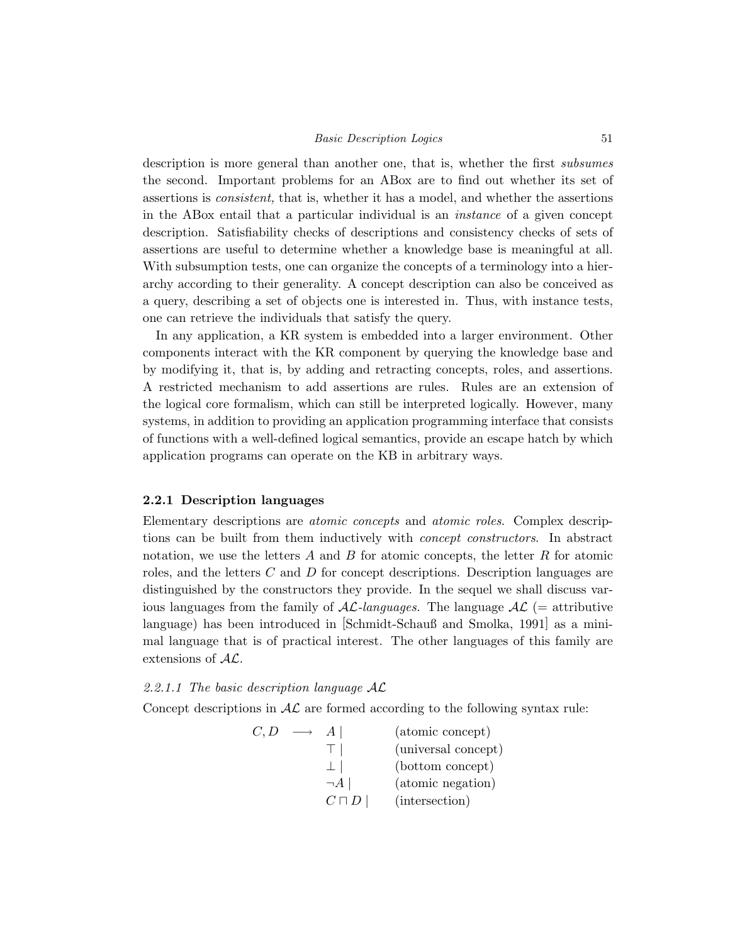description is more general than another one, that is, whether the first *subsumes* the second. Important problems for an ABox are to find out whether its set of assertions is consistent, that is, whether it has a model, and whether the assertions in the ABox entail that a particular individual is an instance of a given concept description. Satisfiability checks of descriptions and consistency checks of sets of assertions are useful to determine whether a knowledge base is meaningful at all. With subsumption tests, one can organize the concepts of a terminology into a hierarchy according to their generality. A concept description can also be conceived as a query, describing a set of objects one is interested in. Thus, with instance tests, one can retrieve the individuals that satisfy the query.

In any application, a KR system is embedded into a larger environment. Other components interact with the KR component by querying the knowledge base and by modifying it, that is, by adding and retracting concepts, roles, and assertions. A restricted mechanism to add assertions are rules. Rules are an extension of the logical core formalism, which can still be interpreted logically. However, many systems, in addition to providing an application programming interface that consists of functions with a well-defined logical semantics, provide an escape hatch by which application programs can operate on the KB in arbitrary ways.

#### 2.2.1 Description languages

Elementary descriptions are atomic concepts and atomic roles. Complex descriptions can be built from them inductively with concept constructors. In abstract notation, we use the letters  $A$  and  $B$  for atomic concepts, the letter  $R$  for atomic roles, and the letters C and D for concept descriptions. Description languages are distinguished by the constructors they provide. In the sequel we shall discuss various languages from the family of  $A\mathcal{L}$ -languages. The language  $A\mathcal{L}$  (= attributive language) has been introduced in [Schmidt-Schauß and Smolka, 1991] as a minimal language that is of practical interest. The other languages of this family are extensions of AL.

2.2.1.1 The basic description language  $AL$ 

Concept descriptions in  $\mathcal{A}\mathcal{L}$  are formed according to the following syntax rule:

| $C, D \longrightarrow$ |              | (atomic concept)    |
|------------------------|--------------|---------------------|
|                        |              | (universal concept) |
|                        | ⊥∣           | (bottom concept)    |
|                        | $\neg A\mid$ | (atomic negation)   |
|                        | $C\sqcap D$  | (intersection)      |
|                        |              |                     |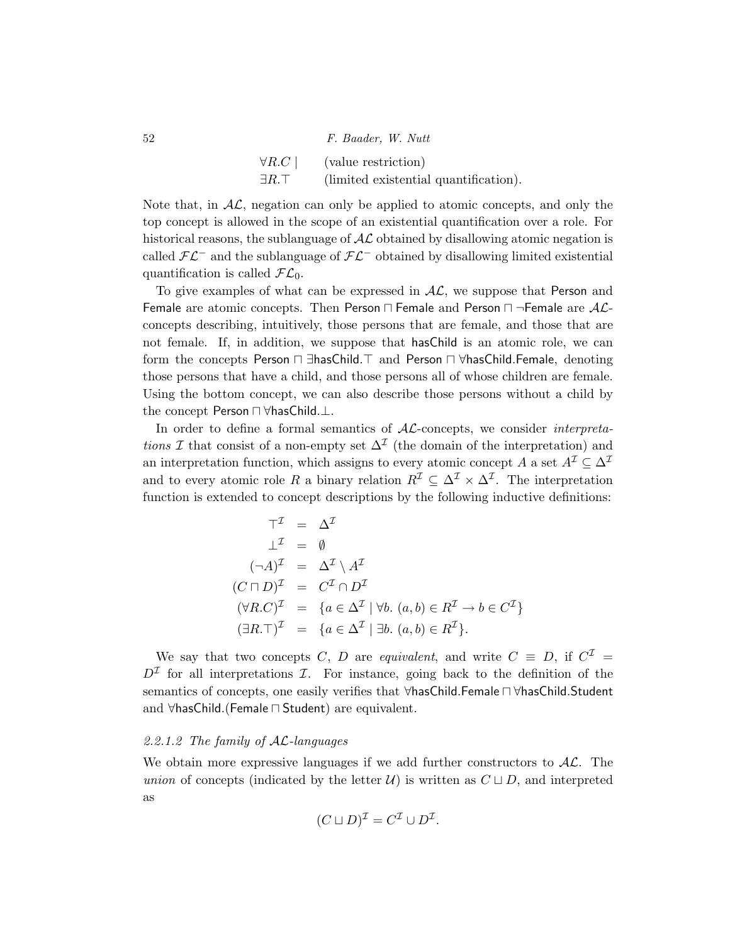| $\forall R.C \mid$ | (value restriction)                   |
|--------------------|---------------------------------------|
| $\exists R.\top$   | (limited existential quantification). |

Note that, in  $AL$ , negation can only be applied to atomic concepts, and only the top concept is allowed in the scope of an existential quantification over a role. For historical reasons, the sublanguage of  $A\mathcal{L}$  obtained by disallowing atomic negation is called  $\mathcal{FL}^-$  and the sublanguage of  $\mathcal{FL}^-$  obtained by disallowing limited existential quantification is called  $\mathcal{FL}_0$ .

To give examples of what can be expressed in  $AL$ , we suppose that Person and Female are atomic concepts. Then Person  $\Box$  Female and Person  $\Box$  -Female are  $AL$ concepts describing, intuitively, those persons that are female, and those that are not female. If, in addition, we suppose that hasChild is an atomic role, we can form the concepts Person  $\sqcap$  ∃hasChild. $\top$  and Person  $\sqcap$  ∀hasChild.Female, denoting those persons that have a child, and those persons all of whose children are female. Using the bottom concept, we can also describe those persons without a child by the concept Person  $\Box$  ∀hasChild. $\bot$ .

In order to define a formal semantics of  $A\mathcal{L}$ -concepts, we consider *interpreta*tions I that consist of a non-empty set  $\Delta^{\mathcal{I}}$  (the domain of the interpretation) and an interpretation function, which assigns to every atomic concept A a set  $A^{\mathcal{I}} \subset \Delta^{\mathcal{I}}$ and to every atomic role R a binary relation  $R^2 \subseteq \Delta^2 \times \Delta^2$ . The interpretation function is extended to concept descriptions by the following inductive definitions:

$$
\begin{aligned}\n\top^{\mathcal{I}} &= \Delta^{\mathcal{I}} \\
\bot^{\mathcal{I}} &= \emptyset \\
(\neg A)^{\mathcal{I}} &= \Delta^{\mathcal{I}} \setminus A^{\mathcal{I}} \\
(C \sqcap D)^{\mathcal{I}} &= C^{\mathcal{I}} \cap D^{\mathcal{I}} \\
(\forall R.C)^{\mathcal{I}} &= \{a \in \Delta^{\mathcal{I}} \mid \forall b. \ (a, b) \in R^{\mathcal{I}} \to b \in C^{\mathcal{I}}\} \\
(\exists R.\top)^{\mathcal{I}} &= \{a \in \Delta^{\mathcal{I}} \mid \exists b. \ (a, b) \in R^{\mathcal{I}}\}.\n\end{aligned}
$$

We say that two concepts C, D are equivalent, and write  $C \equiv D$ , if  $C^{\perp} =$  $D<sup>L</sup>$  for all interpretations  $\mathcal{I}$ . For instance, going back to the definition of the semantics of concepts, one easily verifies that ∀hasChild.Female  $\Box$  ∀hasChild.Student and ∀hasChild.(Female  $\Box$  Student) are equivalent.

#### 2.2.1.2 The family of AL-languages

We obtain more expressive languages if we add further constructors to  $A\mathcal{L}$ . The union of concepts (indicated by the letter  $\mathcal{U}$ ) is written as  $C \sqcup D$ , and interpreted as

$$
(C \sqcup D)^{\mathcal{I}} = C^{\mathcal{I}} \cup D^{\mathcal{I}}.
$$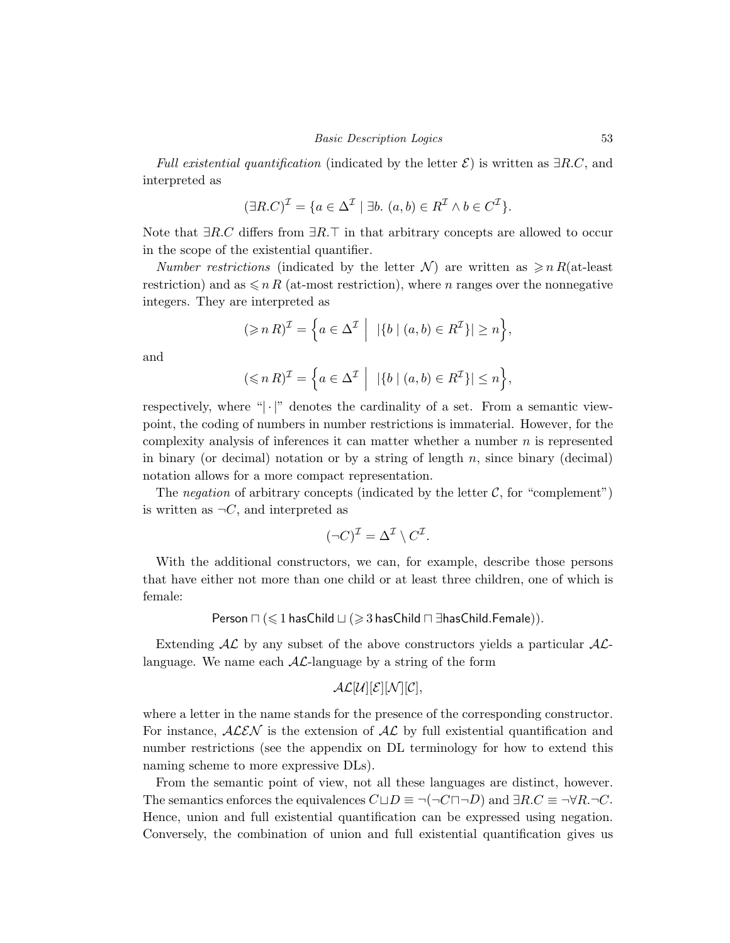#### **Basic Description Logics** 53

Full existential quantification (indicated by the letter  $\mathcal{E}$ ) is written as  $\exists R.C$ , and interpreted as

$$
(\exists R.C)^{\mathcal{I}} = \{a \in \Delta^{\mathcal{I}} \mid \exists b. \ (a,b) \in R^{\mathcal{I}} \land b \in C^{\mathcal{I}}\}.
$$

Note that  $\exists R.C$  differs from  $\exists R.\top$  in that arbitrary concepts are allowed to occur in the scope of the existential quantifier.

Number restrictions (indicated by the letter  $\mathcal{N}$ ) are written as  $\geqslant n R(\text{at-least})$ restriction) and as  $\leq n R$  (at-most restriction), where n ranges over the nonnegative integers. They are interpreted as

$$
(\geqslant n R)^{\mathcal{I}} = \left\{ a \in \Delta^{\mathcal{I}} \middle| \left| \{ b \mid (a, b) \in R^{\mathcal{I}} \} \right| \geq n \right\},\
$$

and

$$
(\leqslant n R)^{\mathcal{I}} = \left\{ a \in \Delta^{\mathcal{I}} \middle| \left| \{ b \mid (a, b) \in R^{\mathcal{I}} \} \right| \leq n \right\},\
$$

respectively, where " $|\cdot|$ " denotes the cardinality of a set. From a semantic viewpoint, the coding of numbers in number restrictions is immaterial. However, for the complexity analysis of inferences it can matter whether a number  $n$  is represented in binary (or decimal) notation or by a string of length  $n$ , since binary (decimal) notation allows for a more compact representation.

The negation of arbitrary concepts (indicated by the letter  $\mathcal{C}$ , for "complement") is written as  $\neg C$ , and interpreted as

$$
(\neg C)^{\mathcal{I}} = \Delta^{\mathcal{I}} \setminus C^{\mathcal{I}}.
$$

With the additional constructors, we can, for example, describe those persons that have either not more than one child or at least three children, one of which is female:

```
Person \Box (\leq 1 hasChild \Box (\geq 3 hasChild \Box ∃hasChild.Female)).
```
Extending  $AL$  by any subset of the above constructors yields a particular  $AL$ language. We name each  $AL$ -language by a string of the form

$$
\mathcal{AL}[\mathcal{U}][\mathcal{E}][\mathcal{N}][\mathcal{C}],
$$

where a letter in the name stands for the presence of the corresponding constructor. For instance,  $\mathcal{ALEN}$  is the extension of  $\mathcal{AL}$  by full existential quantification and number restrictions (see the appendix on DL terminology for how to extend this naming scheme to more expressive DLs).

From the semantic point of view, not all these languages are distinct, however. The semantics enforces the equivalences  $C \sqcup D \equiv \neg(\neg C \sqcap \neg D)$  and  $\exists R.C \equiv \neg \forall R.\neg C$ . Hence, union and full existential quantification can be expressed using negation. Conversely, the combination of union and full existential quantification gives us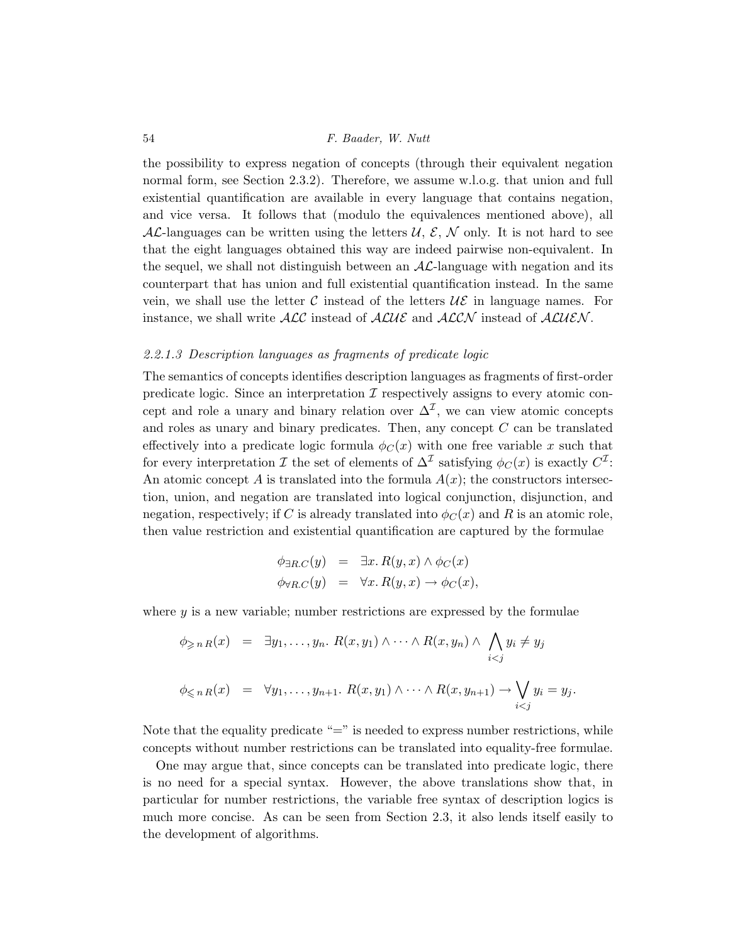the possibility to express negation of concepts (through their equivalent negation normal form, see Section 2.3.2). Therefore, we assume w.l.o.g. that union and full existential quantification are available in every language that contains negation, and vice versa. It follows that (modulo the equivalences mentioned above), all  $A\mathcal{L}$ -languages can be written using the letters  $\mathcal{U}, \mathcal{E}, \mathcal{N}$  only. It is not hard to see that the eight languages obtained this way are indeed pairwise non-equivalent. In the sequel, we shall not distinguish between an  $A\mathcal{L}$ -language with negation and its counterpart that has union and full existential quantification instead. In the same vein, we shall use the letter C instead of the letters  $\mathcal{UE}$  in language names. For instance, we shall write  $\mathcal{ALC}$  instead of  $\mathcal{ALUE}$  and  $\mathcal{ALCN}$  instead of  $\mathcal{ALUEN}$ .

#### 2.2.1.3 Description languages as fragments of predicate logic

The semantics of concepts identifies description languages as fragments of first-order predicate logic. Since an interpretation  $\mathcal I$  respectively assigns to every atomic concept and role a unary and binary relation over  $\Delta^{\mathcal{I}}$ , we can view atomic concepts and roles as unary and binary predicates. Then, any concept  $C$  can be translated effectively into a predicate logic formula  $\phi_C(x)$  with one free variable x such that for every interpretation  $\mathcal I$  the set of elements of  $\Delta^{\mathcal I}$  satisfying  $\phi_C(x)$  is exactly  $C^{\mathcal I}$ : An atomic concept A is translated into the formula  $A(x)$ ; the constructors intersection, union, and negation are translated into logical conjunction, disjunction, and negation, respectively; if C is already translated into  $\phi_C(x)$  and R is an atomic role, then value restriction and existential quantification are captured by the formulae

$$
\begin{array}{rcl}\n\phi_{\exists R.C}(y) & = & \exists x. R(y,x) \land \phi_C(x) \\
\phi_{\forall R.C}(y) & = & \forall x. R(y,x) \to \phi_C(x),\n\end{array}
$$

where  $y$  is a new variable; number restrictions are expressed by the formulae

$$
\phi_{\geq n R}(x) = \exists y_1, \dots, y_n. \ R(x, y_1) \land \dots \land R(x, y_n) \land \bigwedge_{i < j} y_i \neq y_j
$$
\n
$$
\phi_{\leq n R}(x) = \forall y_1, \dots, y_{n+1}. \ R(x, y_1) \land \dots \land R(x, y_{n+1}) \to \bigvee_{i < j} y_i = y_j.
$$

Note that the equality predicate "=" is needed to express number restrictions, while concepts without number restrictions can be translated into equality-free formulae.

One may argue that, since concepts can be translated into predicate logic, there is no need for a special syntax. However, the above translations show that, in particular for number restrictions, the variable free syntax of description logics is much more concise. As can be seen from Section 2.3, it also lends itself easily to the development of algorithms.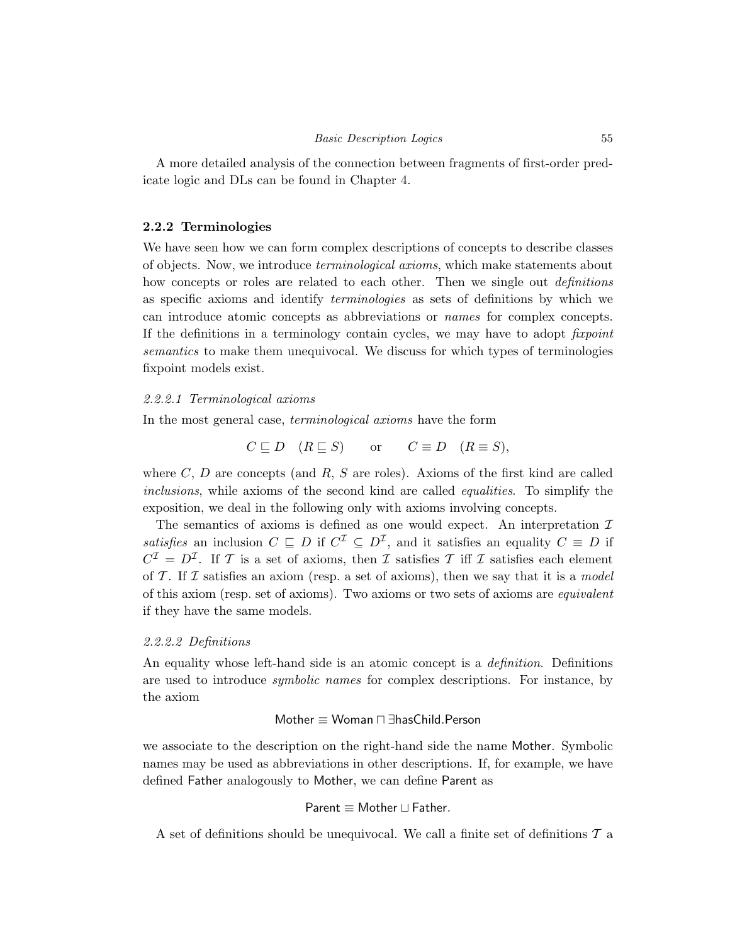A more detailed analysis of the connection between fragments of first-order predicate logic and DLs can be found in Chapter 4.

#### 2.2.2 Terminologies

We have seen how we can form complex descriptions of concepts to describe classes of objects. Now, we introduce terminological axioms, which make statements about how concepts or roles are related to each other. Then we single out *definitions* as specific axioms and identify terminologies as sets of definitions by which we can introduce atomic concepts as abbreviations or names for complex concepts. If the definitions in a terminology contain cycles, we may have to adopt fixpoint semantics to make them unequivocal. We discuss for which types of terminologies fixpoint models exist.

#### 2.2.2.1 Terminological axioms

In the most general case, *terminological axioms* have the form

$$
C \sqsubseteq D \quad (R \sqsubseteq S) \qquad \text{or} \qquad C \equiv D \quad (R \equiv S),
$$

where  $C, D$  are concepts (and  $R, S$  are roles). Axioms of the first kind are called inclusions, while axioms of the second kind are called equalities. To simplify the exposition, we deal in the following only with axioms involving concepts.

The semantics of axioms is defined as one would expect. An interpretation  $\mathcal I$ satisfies an inclusion  $C \subseteq D$  if  $C^{\perp} \subseteq D^{\perp}$ , and it satisfies an equality  $C \equiv D$  if  $C^{\mathcal{I}} = D^{\mathcal{I}}$ . If T is a set of axioms, then T satisfies T iff T satisfies each element of  $\mathcal T$ . If  $\mathcal I$  satisfies an axiom (resp. a set of axioms), then we say that it is a model of this axiom (resp. set of axioms). Two axioms or two sets of axioms are equivalent if they have the same models.

#### 2.2.2.2 Definitions

An equality whose left-hand side is an atomic concept is a *definition*. Definitions are used to introduce *symbolic names* for complex descriptions. For instance, by the axiom

### Mother  $\equiv$  Woman  $\Box$  ∃hasChild. Person

we associate to the description on the right-hand side the name Mother. Symbolic names may be used as abbreviations in other descriptions. If, for example, we have defined Father analogously to Mother, we can define Parent as

$$
Parent \equiv Mother \sqcup Father.
$$

A set of definitions should be unequivocal. We call a finite set of definitions  $\mathcal T$  a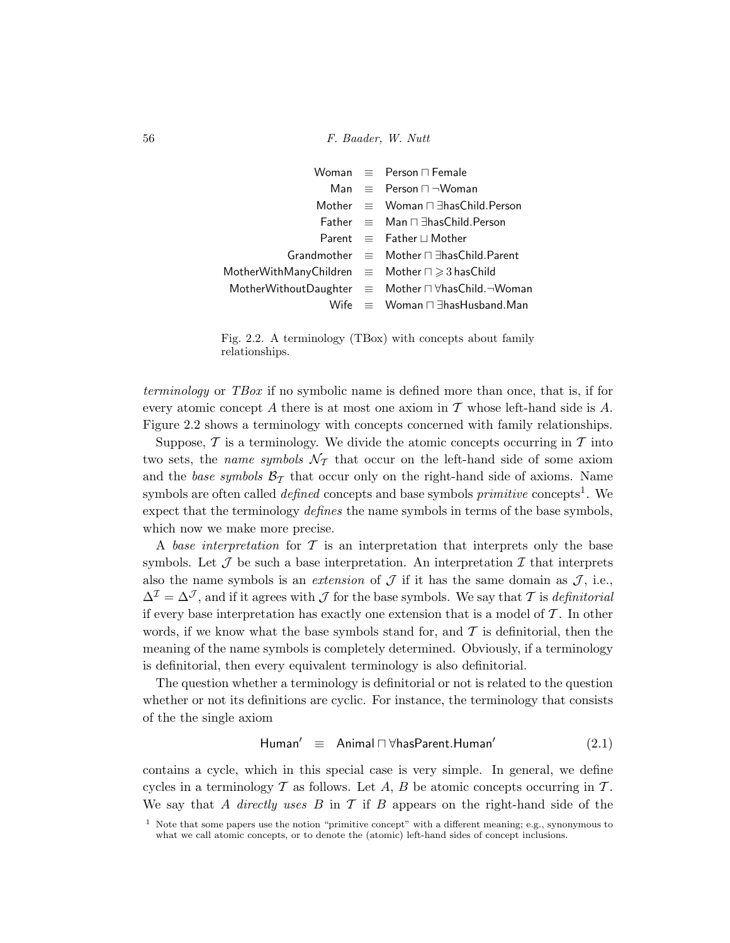|                                                                    |  | Woman $\equiv$ Person $\sqcap$ Female                                         |
|--------------------------------------------------------------------|--|-------------------------------------------------------------------------------|
|                                                                    |  | $Man \equiv$ Person $\Box \neg W$ oman                                        |
|                                                                    |  | Mother $\equiv$ Woman $\Box$ Thas Child. Person                               |
|                                                                    |  | Father $\equiv$ Man $\Box$ Bhas Child. Person                                 |
|                                                                    |  | Parent $\equiv$ Father $\sqcup$ Mother                                        |
|                                                                    |  | Grandmother $\equiv$ Mother $\Box$ has Child. Parent                          |
| MotherWithManyChildren $\equiv$ Mother $\Box \geqslant 3$ hasChild |  |                                                                               |
|                                                                    |  | MotherWithoutDaughter $\equiv$ Mother $\Box$ $\forall$ hasChild. $\neg$ Woman |
|                                                                    |  | Wife $\equiv$ Woman $\Box$ ThasHusband.Man                                    |
|                                                                    |  |                                                                               |

Fig. 2.2. A terminology (TBox) with concepts about family relationships.

terminology or TBox if no symbolic name is defined more than once, that is, if for every atomic concept A there is at most one axiom in T whose left-hand side is A. Figure 2.2 shows a terminology with concepts concerned with family relationships.

Suppose,  $\mathcal T$  is a terminology. We divide the atomic concepts occurring in  $\mathcal T$  into two sets, the *name symbols*  $N<sub>T</sub>$  that occur on the left-hand side of some axiom and the base symbols  $\mathcal{B}_{\mathcal{T}}$  that occur only on the right-hand side of axioms. Name symbols are often called *defined* concepts and base symbols *primitive* concepts<sup>1</sup>. We expect that the terminology *defines* the name symbols in terms of the base symbols, which now we make more precise.

A base interpretation for  $\mathcal T$  is an interpretation that interprets only the base symbols. Let  $\mathcal J$  be such a base interpretation. An interpretation  $\mathcal I$  that interprets also the name symbols is an *extension* of  $\mathcal J$  if it has the same domain as  $\mathcal J$ , i.e.,  $\Delta^{\mathcal{I}} = \Delta^{\mathcal{J}}$ , and if it agrees with  $\mathcal{J}$  for the base symbols. We say that T is *definitorial* if every base interpretation has exactly one extension that is a model of  $\mathcal T$ . In other words, if we know what the base symbols stand for, and  $\mathcal T$  is definitorial, then the meaning of the name symbols is completely determined. Obviously, if a terminology is definitorial, then every equivalent terminology is also definitorial.

The question whether a terminology is definitorial or not is related to the question whether or not its definitions are cyclic. For instance, the terminology that consists of the the single axiom

$$
Human' \equiv Animal \sqcap \forall hasParent.Human'
$$
 (2.1)

contains a cycle, which in this special case is very simple. In general, we define cycles in a terminology T as follows. Let A, B be atomic concepts occurring in  $T$ . We say that A directly uses B in T if B appears on the right-hand side of the

<sup>&</sup>lt;sup>1</sup> Note that some papers use the notion "primitive concept" with a different meaning; e.g., synonymous to what we call atomic concepts, or to denote the (atomic) left-hand sides of concept inclusions.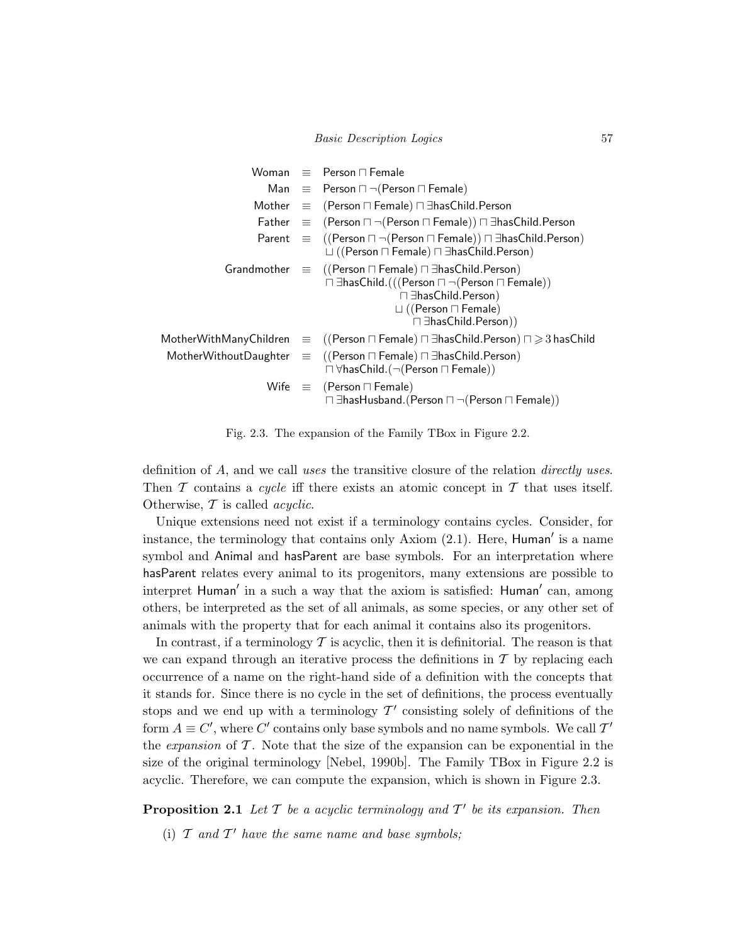|  |  | Woman $\equiv$ Person $\Box$ Female                                                                                                                                                                                                                                   |
|--|--|-----------------------------------------------------------------------------------------------------------------------------------------------------------------------------------------------------------------------------------------------------------------------|
|  |  | Man $\equiv$ Person $\Box \neg$ (Person $\Box$ Female)                                                                                                                                                                                                                |
|  |  | Mother $\equiv$ (Person $\sqcap$ Female) $\sqcap$ 3has Child. Person                                                                                                                                                                                                  |
|  |  | Father $\equiv$ (Person $\Box \neg$ (Person $\Box$ Female)) $\Box$ 3 has Child. Person                                                                                                                                                                                |
|  |  | Parent $\equiv$ ((Person $\Box \neg$ (Person $\Box$ Female)) $\Box$ $\exists$ hasChild. Person)<br>$\sqcup$ ((Person $\sqcap$ Female) $\sqcap$ 3hasChild.Person)                                                                                                      |
|  |  | Grandmother $\equiv$ ((Person $\sqcap$ Female) $\sqcap$ $\exists$ hasChild.Person)<br>$\Box$ $\exists$ hasChild. $((($ Person $\Box \neg$ (Person $\Box$ Female))<br>$\Box$ $\exists$ hasChild.Person)<br>$\Box$ ((Person $\Box$ Female)<br>$\Box$ 3hasChild.Person)) |
|  |  | MotherWithManyChildren $\equiv$ ((Person $\sqcap$ Female) $\sqcap$ $\exists$ hasChild.Person) $\sqcap \geqslant 3$ hasChild                                                                                                                                           |
|  |  | MotherWithoutDaughter $\equiv$ ((Person $\sqcap$ Female) $\sqcap$ 3hasChild.Person)<br>$\Box \forall$ hasChild. $(\neg(\text{Person } \Box \text{ Female}))$                                                                                                          |
|  |  | Wife $\equiv$ (Person $\sqcap$ Female)<br>$\Box$ 3hasHusband. (Person $\Box \neg$ (Person $\Box$ Female))                                                                                                                                                             |

Fig. 2.3. The expansion of the Family TBox in Figure 2.2.

definition of  $A$ , and we call uses the transitive closure of the relation *directly uses*. Then  $\mathcal T$  contains a cycle iff there exists an atomic concept in  $\mathcal T$  that uses itself. Otherwise,  $\mathcal{T}$  is called *acyclic*.

Unique extensions need not exist if a terminology contains cycles. Consider, for instance, the terminology that contains only Axiom  $(2.1)$ . Here,  $\mu$ man' is a name symbol and Animal and hasParent are base symbols. For an interpretation where hasParent relates every animal to its progenitors, many extensions are possible to interpret Human' in a such a way that the axiom is satisfied: Human' can, among others, be interpreted as the set of all animals, as some species, or any other set of animals with the property that for each animal it contains also its progenitors.

In contrast, if a terminology  $\mathcal T$  is acyclic, then it is definitorial. The reason is that we can expand through an iterative process the definitions in  $\mathcal T$  by replacing each occurrence of a name on the right-hand side of a definition with the concepts that it stands for. Since there is no cycle in the set of definitions, the process eventually stops and we end up with a terminology  $\mathcal{T}'$  consisting solely of definitions of the form  $A \equiv C'$ , where  $C'$  contains only base symbols and no name symbols. We call  $\mathcal{T}'$ the *expansion* of  $\mathcal T$ . Note that the size of the expansion can be exponential in the size of the original terminology [Nebel, 1990b]. The Family TBox in Figure 2.2 is acyclic. Therefore, we can compute the expansion, which is shown in Figure 2.3.

**Proposition 2.1** Let  $\mathcal T$  be a acyclic terminology and  $\mathcal T'$  be its expansion. Then

(i)  $T$  and  $T'$  have the same name and base symbols;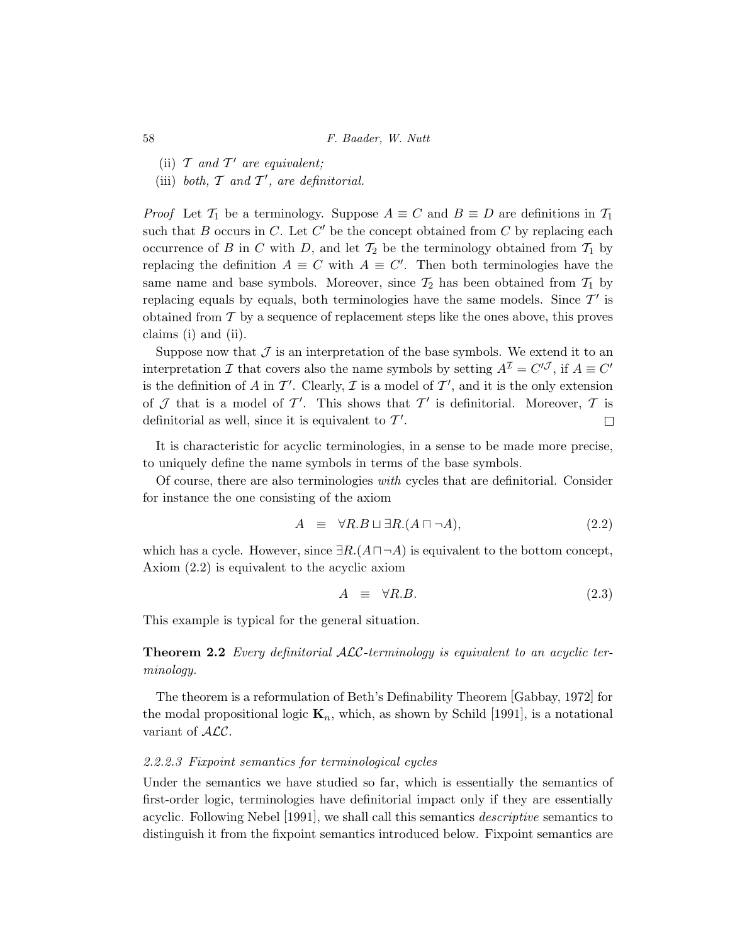- (ii)  $\mathcal{T}$  and  $\mathcal{T}'$  are equivalent;
- (iii) both,  $\mathcal T$  and  $\mathcal T'$ , are definitorial.

*Proof* Let  $\mathcal{T}_1$  be a terminology. Suppose  $A \equiv C$  and  $B \equiv D$  are definitions in  $\mathcal{T}_1$ such that B occurs in C. Let  $C'$  be the concept obtained from C by replacing each occurrence of B in C with D, and let  $\mathcal{T}_2$  be the terminology obtained from  $\mathcal{T}_1$  by replacing the definition  $A \equiv C$  with  $A \equiv C'$ . Then both terminologies have the same name and base symbols. Moreover, since  $\mathcal{T}_2$  has been obtained from  $\mathcal{T}_1$  by replacing equals by equals, both terminologies have the same models. Since  $\mathcal{T}'$  is obtained from  $\mathcal T$  by a sequence of replacement steps like the ones above, this proves claims (i) and (ii).

Suppose now that  $\mathcal J$  is an interpretation of the base symbols. We extend it to an interpretation  $\mathcal I$  that covers also the name symbols by setting  $A^{\mathcal I} = C'^{\mathcal J}$ , if  $A \equiv C'$ is the definition of A in  $\mathcal{T}'$ . Clearly,  $\mathcal I$  is a model of  $\mathcal T'$ , and it is the only extension of  $\mathcal J$  that is a model of  $\mathcal T'$ . This shows that  $\mathcal T'$  is definitorial. Moreover,  $\mathcal T$  is definitorial as well, since it is equivalent to  $\mathcal{T}'$ .  $\Box$ 

It is characteristic for acyclic terminologies, in a sense to be made more precise, to uniquely define the name symbols in terms of the base symbols.

Of course, there are also terminologies with cycles that are definitorial. Consider for instance the one consisting of the axiom

$$
A \equiv \forall R.B \sqcup \exists R.(A \sqcap \neg A), \tag{2.2}
$$

which has a cycle. However, since  $\exists R.(A \sqcap \neg A)$  is equivalent to the bottom concept, Axiom (2.2) is equivalent to the acyclic axiom

$$
A \equiv \forall R.B. \tag{2.3}
$$

This example is typical for the general situation.

**Theorem 2.2** Every definitorial  $\text{ALC-terminology}$  is equivalent to an acyclic terminology.

The theorem is a reformulation of Beth's Definability Theorem [Gabbay, 1972] for the modal propositional logic  $\mathbf{K}_n$ , which, as shown by Schild [1991], is a notational variant of  $\mathcal{ALC}$ .

#### 2.2.2.3 Fixpoint semantics for terminological cycles

Under the semantics we have studied so far, which is essentially the semantics of first-order logic, terminologies have definitorial impact only if they are essentially acyclic. Following Nebel [1991], we shall call this semantics *descriptive* semantics to distinguish it from the fixpoint semantics introduced below. Fixpoint semantics are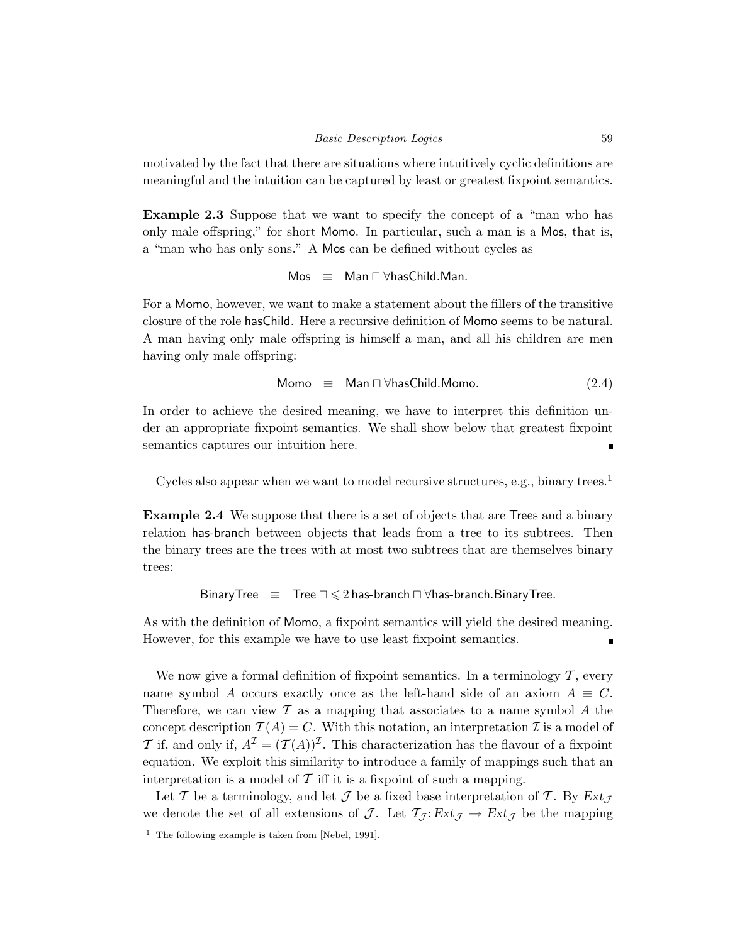#### Basic Description Logics 59

motivated by the fact that there are situations where intuitively cyclic definitions are meaningful and the intuition can be captured by least or greatest fixpoint semantics.

Example 2.3 Suppose that we want to specify the concept of a "man who has only male offspring," for short Momo. In particular, such a man is a Mos, that is, a "man who has only sons." A Mos can be defined without cycles as

$$
Mos \equiv Man \sqcap \forall hasChild.Man.
$$

For a Momo, however, we want to make a statement about the fillers of the transitive closure of the role hasChild. Here a recursive definition of Momo seems to be natural. A man having only male offspring is himself a man, and all his children are men having only male offspring:

$$
Momo \equiv Man \sqcap \forall hasChild.Momo. \tag{2.4}
$$

In order to achieve the desired meaning, we have to interpret this definition under an appropriate fixpoint semantics. We shall show below that greatest fixpoint semantics captures our intuition here.

Cycles also appear when we want to model recursive structures, e.g., binary trees.<sup>1</sup>

**Example 2.4** We suppose that there is a set of objects that are Trees and a binary relation has-branch between objects that leads from a tree to its subtrees. Then the binary trees are the trees with at most two subtrees that are themselves binary trees:

#### BinaryTree  $\equiv$  Tree  $\Box \leqslant 2$  has-branch  $\Box$   $\forall$  has-branch. BinaryTree.

As with the definition of Momo, a fixpoint semantics will yield the desired meaning. However, for this example we have to use least fixpoint semantics.

We now give a formal definition of fixpoint semantics. In a terminology  $\mathcal{T}$ , every name symbol A occurs exactly once as the left-hand side of an axiom  $A \equiv C$ . Therefore, we can view  $\mathcal T$  as a mapping that associates to a name symbol  $A$  the concept description  $\mathcal{T}(A) = C$ . With this notation, an interpretation  $\mathcal{I}$  is a model of  $\mathcal T$  if, and only if,  $A^{\mathcal I} = (\mathcal T(A))^{\mathcal I}$ . This characterization has the flavour of a fixpoint equation. We exploit this similarity to introduce a family of mappings such that an interpretation is a model of  $\mathcal T$  iff it is a fixpoint of such a mapping.

Let T be a terminology, and let J be a fixed base interpretation of T. By  $Ext_{\mathcal{J}}$ we denote the set of all extensions of J. Let  $\mathcal{T}_{\mathcal{J}}: Ext_{\mathcal{J}} \to Ext_{\mathcal{J}}$  be the mapping

<sup>&</sup>lt;sup>1</sup> The following example is taken from [Nebel, 1991].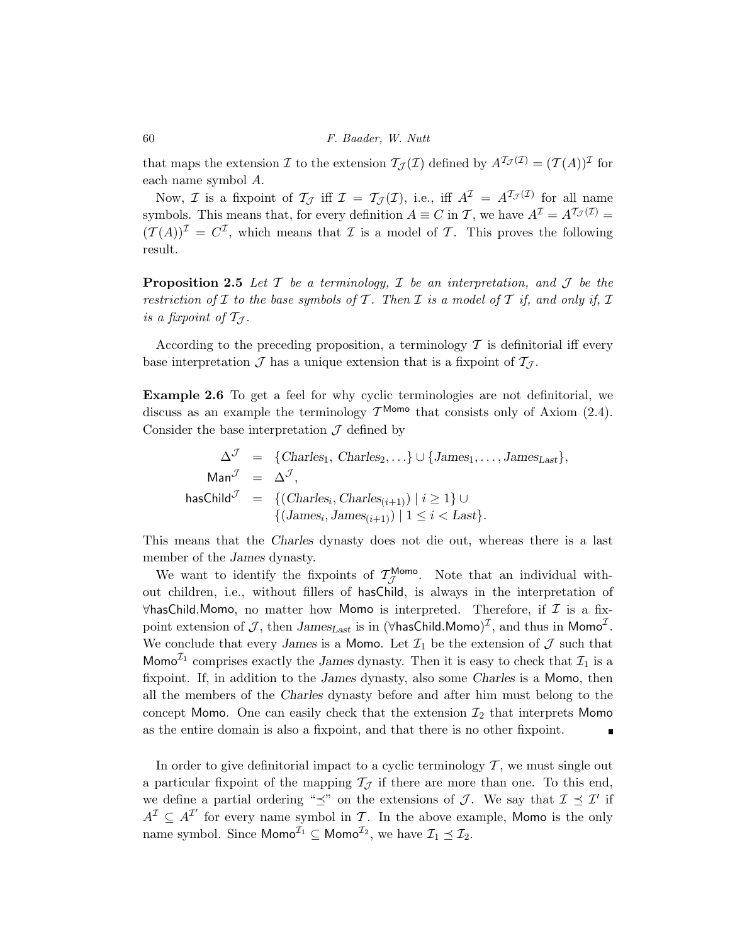that maps the extension  $\mathcal I$  to the extension  $\mathcal T_{\mathcal J}(\mathcal I)$  defined by  $A^{\mathcal T_{\mathcal J}(\mathcal I)} = (\mathcal T(A))^{\mathcal I}$  for each name symbol A.

Now, I is a fixpoint of  $\mathcal{T}_{\mathcal{J}}$  iff  $\mathcal{I} = \mathcal{T}_{\mathcal{J}}(\mathcal{I})$ , i.e., iff  $A^{\mathcal{I}} = A^{\mathcal{T}_{\mathcal{J}}(\mathcal{I})}$  for all name symbols. This means that, for every definition  $A \equiv C$  in T, we have  $A^{\mathcal{I}} = A^{\mathcal{I}_{\mathcal{J}}(\mathcal{I})}$  $(\mathcal{T}(A))^{\mathcal{I}} = C^{\mathcal{I}}$ , which means that  $\mathcal I$  is a model of  $\mathcal T$ . This proves the following result.

**Proposition 2.5** Let T be a terminology, I be an interpretation, and J be the restriction of  $\mathcal I$  to the base symbols of  $\mathcal T$ . Then  $\mathcal I$  is a model of  $\mathcal T$  if, and only if,  $\mathcal I$ is a fixpoint of  $\mathcal{T}_{\mathcal{J}}$ .

According to the preceding proposition, a terminology  $\mathcal T$  is definitorial iff every base interpretation  $\mathcal J$  has a unique extension that is a fixpoint of  $\mathcal I_{\mathcal J}$ .

Example 2.6 To get a feel for why cyclic terminologies are not definitorial, we discuss as an example the terminology  $\mathcal{T}^{\mathsf{Momo}}$  that consists only of Axiom (2.4). Consider the base interpretation  $\mathcal J$  defined by

$$
\Delta^{\mathcal{J}} = \{Charles_1, Charles_2, \ldots\} \cup \{James_1, \ldots, James_{Last}\},
$$
  
\n
$$
\text{Man}^{\mathcal{J}} = \Delta^{\mathcal{J}},
$$
  
\n
$$
\text{hasChild}^{\mathcal{J}} = \{(\text{Charles}_i, Charles_{(i+1)}) \mid i \ge 1\} \cup
$$
  
\n
$$
\{(\text{James}_i, James_{(i+1)}) \mid 1 \le i < Last\}.
$$

This means that the Charles dynasty does not die out, whereas there is a last member of the James dynasty.

We want to identify the fixpoints of  $\mathcal{T}_{\mathcal{J}}^{\mathsf{Momo}}$  $\mathcal{J}$ <sup>-Momo</sup>. Note that an individual without children, i.e., without fillers of hasChild, is always in the interpretation of  $\forall$ hasChild.Momo, no matter how Momo is interpreted. Therefore, if  $\mathcal I$  is a fixpoint extension of  $J$ , then  $James_{Last}$  is in  $(\forall$ hasChild.Momo)<sup>2</sup>, and thus in Momo<sup>2</sup>. We conclude that every James is a Momo. Let  $\mathcal{I}_1$  be the extension of  $\mathcal J$  such that Momo<sup> $\mathcal{I}_1$ </sup> comprises exactly the James dynasty. Then it is easy to check that  $\mathcal{I}_1$  is a fixpoint. If, in addition to the James dynasty, also some Charles is a Momo, then all the members of the Charles dynasty before and after him must belong to the concept Momo. One can easily check that the extension  $\mathcal{I}_2$  that interprets Momo as the entire domain is also a fixpoint, and that there is no other fixpoint.  $\blacksquare$ 

In order to give definitorial impact to a cyclic terminology  $\mathcal T$ , we must single out a particular fixpoint of the mapping  $\mathcal{T}_{\mathcal{J}}$  if there are more than one. To this end, we define a partial ordering " $\preceq$ " on the extensions of J. We say that  $\mathcal{I} \preceq \mathcal{I}'$  if  $A^{\mathcal{I}} \subseteq A^{\mathcal{I}'}$  for every name symbol in  $\mathcal{I}$ . In the above example, Momo is the only name symbol. Since  $\mathsf{Momo}^{L_1} \subseteq \mathsf{Momo}^{L_2}$ , we have  $\mathcal{I}_1 \preceq \mathcal{I}_2$ .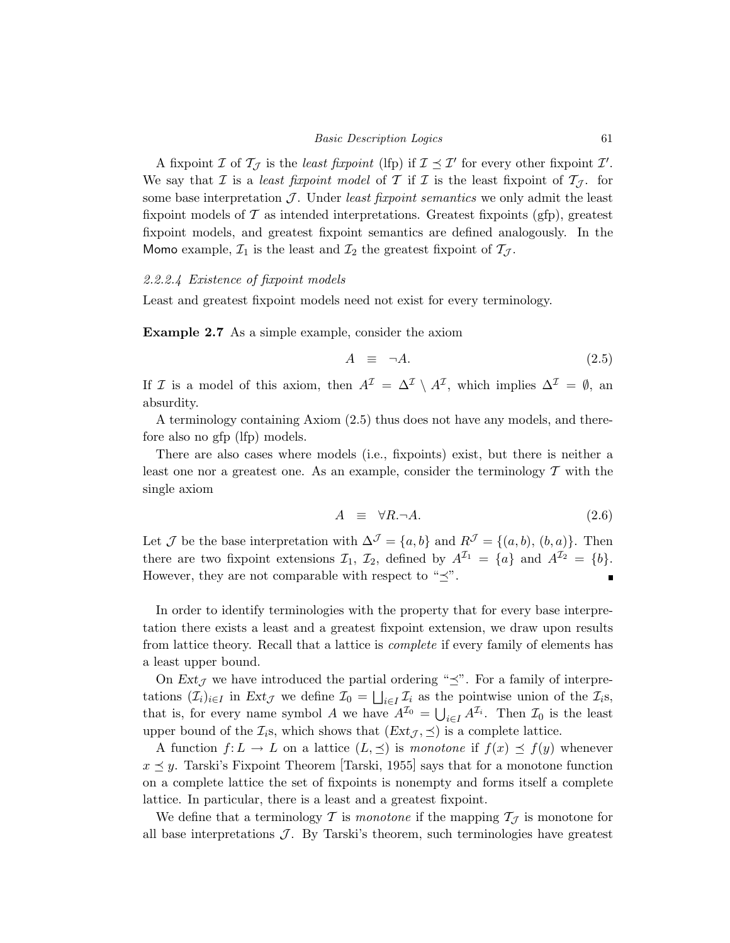A fixpoint  $\mathcal I$  of  $\mathcal T_{\mathcal J}$  is the *least fixpoint* (lfp) if  $\mathcal I \preceq \mathcal I'$  for every other fixpoint  $\mathcal I'.$ We say that I is a least fixpoint model of T if I is the least fixpoint of  $\mathcal{T}_{\mathcal{J}}$ . for some base interpretation  $\mathcal{J}$ . Under *least fixpoint semantics* we only admit the least fixpoint models of  $\mathcal T$  as intended interpretations. Greatest fixpoints (gfp), greatest fixpoint models, and greatest fixpoint semantics are defined analogously. In the Momo example,  $\mathcal{I}_1$  is the least and  $\mathcal{I}_2$  the greatest fixpoint of  $\mathcal{I}_{\mathcal{J}}$ .

#### 2.2.2.4 Existence of fixpoint models

Least and greatest fixpoint models need not exist for every terminology.

Example 2.7 As a simple example, consider the axiom

$$
A \equiv \neg A. \tag{2.5}
$$

If *I* is a model of this axiom, then  $A^2 = \Delta^2 \setminus A^2$ , which implies  $\Delta^2 = \emptyset$ , an absurdity.

A terminology containing Axiom (2.5) thus does not have any models, and therefore also no gfp (lfp) models.

There are also cases where models (i.e., fixpoints) exist, but there is neither a least one nor a greatest one. As an example, consider the terminology  $T$  with the single axiom

$$
A \equiv \forall R.\neg A. \tag{2.6}
$$

Let J be the base interpretation with  $\Delta^{\mathcal{J}} = \{a, b\}$  and  $R^{\mathcal{J}} = \{(a, b), (b, a)\}.$  Then there are two fixpoint extensions  $\mathcal{I}_1$ ,  $\mathcal{I}_2$ , defined by  $A^{\mathcal{I}_1} = \{a\}$  and  $A^{\mathcal{I}_2} = \{b\}.$ However, they are not comparable with respect to " $\preceq$ ".  $\blacksquare$ 

In order to identify terminologies with the property that for every base interpretation there exists a least and a greatest fixpoint extension, we draw upon results from lattice theory. Recall that a lattice is *complete* if every family of elements has a least upper bound.

On  $Ext_{\mathcal{J}}$  we have introduced the partial ordering " $\preceq$ ". For a family of interpretations  $(\mathcal{I}_i)_{i\in I}$  in  $Ext_{\mathcal{J}}$  we define  $\mathcal{I}_0 = \bigsqcup_{i\in I} \mathcal{I}_i$  as the pointwise union of the  $\mathcal{I}_i$ s, that is, for every name symbol A we have  $A^{\mathcal{I}_0} = \bigcup_{i \in I} A^{\mathcal{I}_i}$ . Then  $\mathcal{I}_0$  is the least upper bound of the  $\mathcal{I}_i$ s, which shows that  $(Ext_{\mathcal{J}}, \preceq)$  is a complete lattice.

A function  $f: L \to L$  on a lattice  $(L, \preceq)$  is monotone if  $f(x) \preceq f(y)$  whenever  $x \leq y$ . Tarski's Fixpoint Theorem [Tarski, 1955] says that for a monotone function on a complete lattice the set of fixpoints is nonempty and forms itself a complete lattice. In particular, there is a least and a greatest fixpoint.

We define that a terminology T is monotone if the mapping  $\mathcal{T}_{\mathcal{J}}$  is monotone for all base interpretations  $\mathcal{J}$ . By Tarski's theorem, such terminologies have greatest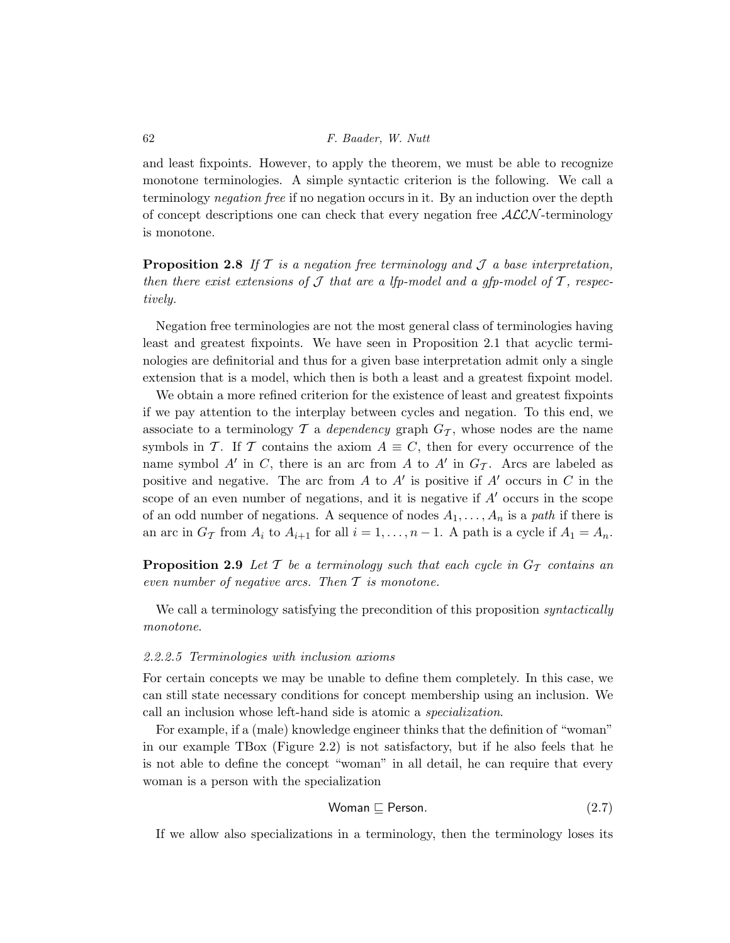and least fixpoints. However, to apply the theorem, we must be able to recognize monotone terminologies. A simple syntactic criterion is the following. We call a terminology negation free if no negation occurs in it. By an induction over the depth of concept descriptions one can check that every negation free  $\mathcal{ALCN}$ -terminology is monotone.

**Proposition 2.8** If  $\mathcal T$  is a negation free terminology and  $\mathcal J$  a base interpretation, then there exist extensions of  $\mathcal J$  that are a lfp-model and a gfp-model of  $\mathcal T$ , respectively.

Negation free terminologies are not the most general class of terminologies having least and greatest fixpoints. We have seen in Proposition 2.1 that acyclic terminologies are definitorial and thus for a given base interpretation admit only a single extension that is a model, which then is both a least and a greatest fixpoint model.

We obtain a more refined criterion for the existence of least and greatest fixpoints if we pay attention to the interplay between cycles and negation. To this end, we associate to a terminology T a *dependency* graph  $G<sub>T</sub>$ , whose nodes are the name symbols in T. If T contains the axiom  $A \equiv C$ , then for every occurrence of the name symbol  $A'$  in  $C$ , there is an arc from  $A$  to  $A'$  in  $G<sub>T</sub>$ . Arcs are labeled as positive and negative. The arc from A to A' is positive if A' occurs in C in the scope of an even number of negations, and it is negative if  $A'$  occurs in the scope of an odd number of negations. A sequence of nodes  $A_1, \ldots, A_n$  is a path if there is an arc in  $G_T$  from  $A_i$  to  $A_{i+1}$  for all  $i = 1, \ldots, n-1$ . A path is a cycle if  $A_1 = A_n$ .

**Proposition 2.9** Let  $T$  be a terminology such that each cycle in  $G_T$  contains an even number of negative arcs. Then  $T$  is monotone.

We call a terminology satisfying the precondition of this proposition *syntactically* monotone.

#### 2.2.2.5 Terminologies with inclusion axioms

For certain concepts we may be unable to define them completely. In this case, we can still state necessary conditions for concept membership using an inclusion. We call an inclusion whose left-hand side is atomic a specialization.

For example, if a (male) knowledge engineer thinks that the definition of "woman" in our example TBox (Figure 2.2) is not satisfactory, but if he also feels that he is not able to define the concept "woman" in all detail, he can require that every woman is a person with the specialization

$$
Woman \sqsubseteq Person. \tag{2.7}
$$

If we allow also specializations in a terminology, then the terminology loses its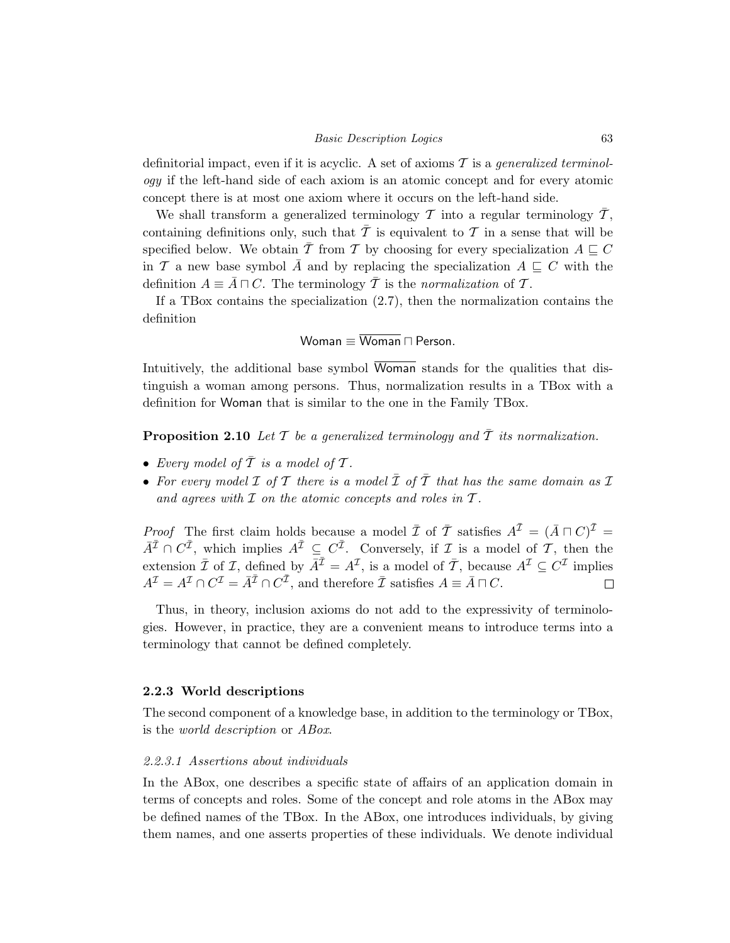definitorial impact, even if it is acyclic. A set of axioms  $\mathcal T$  is a *generalized terminol*ogy if the left-hand side of each axiom is an atomic concept and for every atomic concept there is at most one axiom where it occurs on the left-hand side.

We shall transform a generalized terminology  $\mathcal T$  into a regular terminology  $\bar{\mathcal T}$ , containing definitions only, such that  $\overline{T}$  is equivalent to T in a sense that will be specified below. We obtain  $\overline{T}$  from T by choosing for every specialization  $A \subseteq C$ in T a new base symbol  $\overline{A}$  and by replacing the specialization  $A \subseteq C$  with the definition  $A \equiv \overline{A} \sqcap C$ . The terminology  $\overline{T}$  is the normalization of T.

If a TBox contains the specialization  $(2.7)$ , then the normalization contains the definition

$$
Woman \equiv Woman \sqcap Person.
$$

Intuitively, the additional base symbol Woman stands for the qualities that distinguish a woman among persons. Thus, normalization results in a TBox with a definition for Woman that is similar to the one in the Family TBox.

# **Proposition 2.10** Let T be a generalized terminology and  $\overline{T}$  its normalization.

- Every model of  $\overline{T}$  is a model of T.
- For every model  $\mathcal I$  of  $\mathcal T$  there is a model  $\bar{\mathcal I}$  of  $\bar{\mathcal I}$  that has the same domain as  $\mathcal I$ and agrees with  $\mathcal I$  on the atomic concepts and roles in  $\mathcal T$ .

Proof The first claim holds because a model  $\overline{\mathcal{I}}$  of  $\overline{\mathcal{I}}$  satisfies  $A^{\overline{\mathcal{I}}} = (\overline{A} \sqcap C)^{\overline{\mathcal{I}}} =$  $\bar{A}^{\bar{\mathcal{I}}}\cap C^{\bar{\mathcal{I}}},\$  which implies  $A^{\bar{\mathcal{I}}}\subseteq C^{\bar{\mathcal{I}}}$ . Conversely, if  $\mathcal{I}$  is a model of  $\mathcal{T},\$  then the extension  $\overline{\mathcal{I}}$  of  $\mathcal{I}$ , defined by  $\overline{A}^{\overline{\mathcal{I}}}=A^{\mathcal{I}}$ , is a model of  $\overline{\mathcal{I}}$ , because  $A^{\mathcal{I}}\subseteq C^{\mathcal{I}}$  implies  $A^{\mathcal{I}} = A^{\mathcal{I}} \cap C^{\mathcal{I}} = \overline{A}^{\overline{\mathcal{I}}} \cap C^{\overline{\mathcal{I}}}$ , and therefore  $\overline{\mathcal{I}}$  satisfies  $A \equiv \overline{A} \cap C$ .  $\Box$ 

Thus, in theory, inclusion axioms do not add to the expressivity of terminologies. However, in practice, they are a convenient means to introduce terms into a terminology that cannot be defined completely.

#### 2.2.3 World descriptions

The second component of a knowledge base, in addition to the terminology or TBox, is the world description or ABox.

#### 2.2.3.1 Assertions about individuals

In the ABox, one describes a specific state of affairs of an application domain in terms of concepts and roles. Some of the concept and role atoms in the ABox may be defined names of the TBox. In the ABox, one introduces individuals, by giving them names, and one asserts properties of these individuals. We denote individual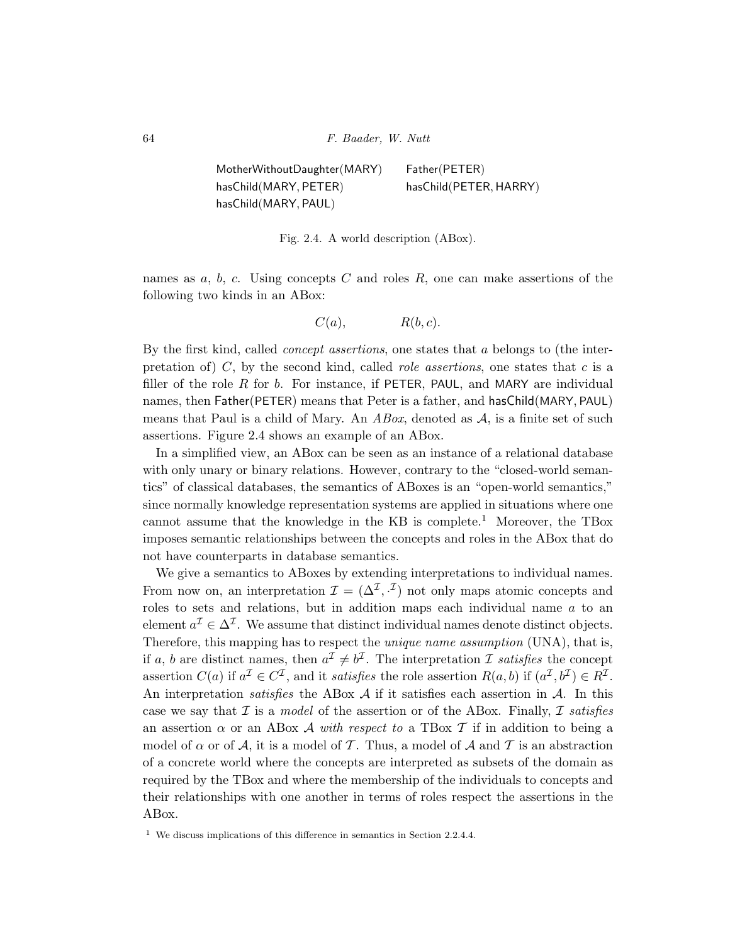```
64 F. Baader, W. Nutt
```
MotherWithoutDaughter(MARY) Father(PETER) hasChild(MARY, PETER) hasChild(PETER, HARRY) hasChild(MARY, PAUL)

Fig. 2.4. A world description (ABox).

names as  $a, b, c$ . Using concepts  $C$  and roles  $R$ , one can make assertions of the following two kinds in an ABox:

$$
C(a), \qquad R(b, c).
$$

By the first kind, called concept assertions, one states that a belongs to (the interpretation of)  $C$ , by the second kind, called *role assertions*, one states that  $c$  is a filler of the role R for b. For instance, if PETER, PAUL, and MARY are individual names, then Father(PETER) means that Peter is a father, and hasChild(MARY, PAUL) means that Paul is a child of Mary. An  $ABox$ , denoted as  $A$ , is a finite set of such assertions. Figure 2.4 shows an example of an ABox.

In a simplified view, an ABox can be seen as an instance of a relational database with only unary or binary relations. However, contrary to the "closed-world semantics" of classical databases, the semantics of ABoxes is an "open-world semantics," since normally knowledge representation systems are applied in situations where one cannot assume that the knowledge in the KB is complete.<sup>1</sup> Moreover, the TBox imposes semantic relationships between the concepts and roles in the ABox that do not have counterparts in database semantics.

We give a semantics to ABoxes by extending interpretations to individual names. From now on, an interpretation  $\mathcal{I} = (\Delta^{\mathcal{I}}, \cdot^{\mathcal{I}})$  not only maps atomic concepts and roles to sets and relations, but in addition maps each individual name a to an element  $a^2 \in \Delta^2$ . We assume that distinct individual names denote distinct objects. Therefore, this mapping has to respect the *unique name assumption* (UNA), that is, if a, b are distinct names, then  $a^2 \neq b^2$ . The interpretation I satisfies the concept assertion  $C(a)$  if  $a^{\mathcal{I}} \in C^{\mathcal{I}}$ , and it satisfies the role assertion  $R(a, b)$  if  $(a^{\mathcal{I}}, b^{\mathcal{I}}) \in R^{\mathcal{I}}$ . An interpretation *satisfies* the ABox  $A$  if it satisfies each assertion in  $A$ . In this case we say that  $\mathcal I$  is a model of the assertion or of the ABox. Finally,  $\mathcal I$  satisfies an assertion  $\alpha$  or an ABox A with respect to a TBox T if in addition to being a model of  $\alpha$  or of  $\mathcal{A}$ , it is a model of T. Thus, a model of  $\mathcal{A}$  and T is an abstraction of a concrete world where the concepts are interpreted as subsets of the domain as required by the TBox and where the membership of the individuals to concepts and their relationships with one another in terms of roles respect the assertions in the ABox.

<sup>1</sup> We discuss implications of this difference in semantics in Section 2.2.4.4.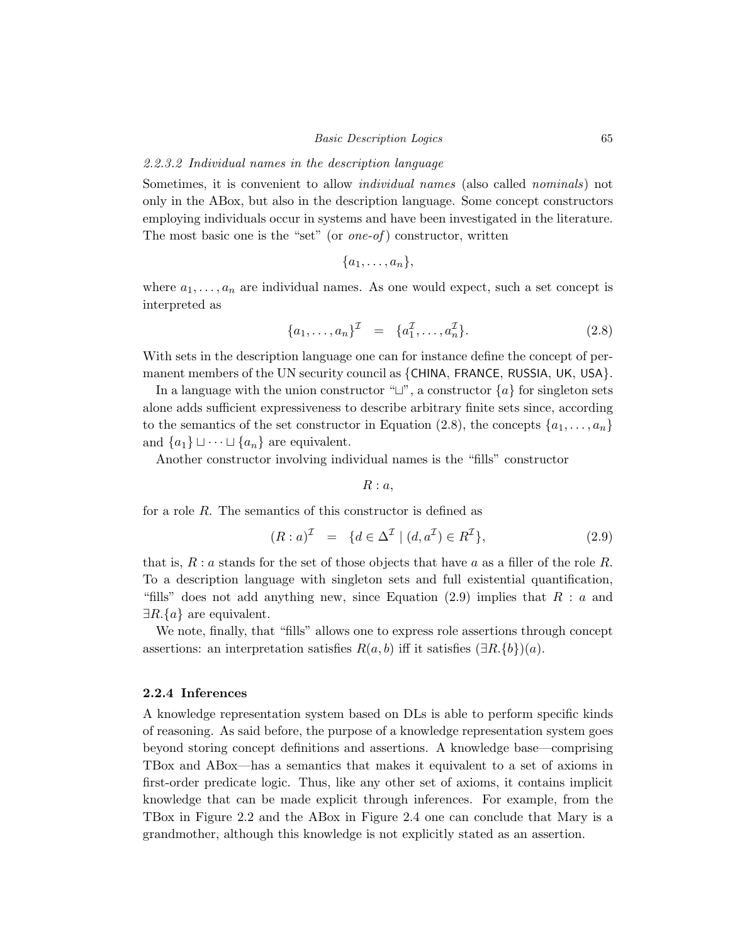#### 2.2.3.2 Individual names in the description language

Sometimes, it is convenient to allow individual names (also called nominals) not only in the ABox, but also in the description language. Some concept constructors employing individuals occur in systems and have been investigated in the literature. The most basic one is the "set" (or  $one-of)$ ) constructor, written

$$
\{a_1,\ldots,a_n\},\
$$

where  $a_1, \ldots, a_n$  are individual names. As one would expect, such a set concept is interpreted as

$$
\{a_1, \ldots, a_n\}^{\mathcal{I}} = \{a_1^{\mathcal{I}}, \ldots, a_n^{\mathcal{I}}\}.
$$
 (2.8)

With sets in the description language one can for instance define the concept of permanent members of the UN security council as {CHINA, FRANCE, RUSSIA, UK, USA}.

In a language with the union constructor " $\Box$ ", a constructor  $\{a\}$  for singleton sets alone adds sufficient expressiveness to describe arbitrary finite sets since, according to the semantics of the set constructor in Equation (2.8), the concepts  $\{a_1, \ldots, a_n\}$ and  $\{a_1\} \sqcup \cdots \sqcup \{a_n\}$  are equivalent.

Another constructor involving individual names is the "fills" constructor

$$
R:a,
$$

for a role R. The semantics of this constructor is defined as

$$
(R : a)^{\mathcal{I}} = \{ d \in \Delta^{\mathcal{I}} \mid (d, a^{\mathcal{I}}) \in R^{\mathcal{I}} \},\tag{2.9}
$$

that is,  $R : a$  stands for the set of those objects that have a as a filler of the role  $R$ . To a description language with singleton sets and full existential quantification, "fills" does not add anything new, since Equation  $(2.9)$  implies that  $R : a$  and  $\exists R.\{a\}$  are equivalent.

We note, finally, that "fills" allows one to express role assertions through concept assertions: an interpretation satisfies  $R(a, b)$  iff it satisfies  $(\exists R.\{b\})(a)$ .

#### 2.2.4 Inferences

A knowledge representation system based on DLs is able to perform specific kinds of reasoning. As said before, the purpose of a knowledge representation system goes beyond storing concept definitions and assertions. A knowledge base—comprising TBox and ABox—has a semantics that makes it equivalent to a set of axioms in first-order predicate logic. Thus, like any other set of axioms, it contains implicit knowledge that can be made explicit through inferences. For example, from the TBox in Figure 2.2 and the ABox in Figure 2.4 one can conclude that Mary is a grandmother, although this knowledge is not explicitly stated as an assertion.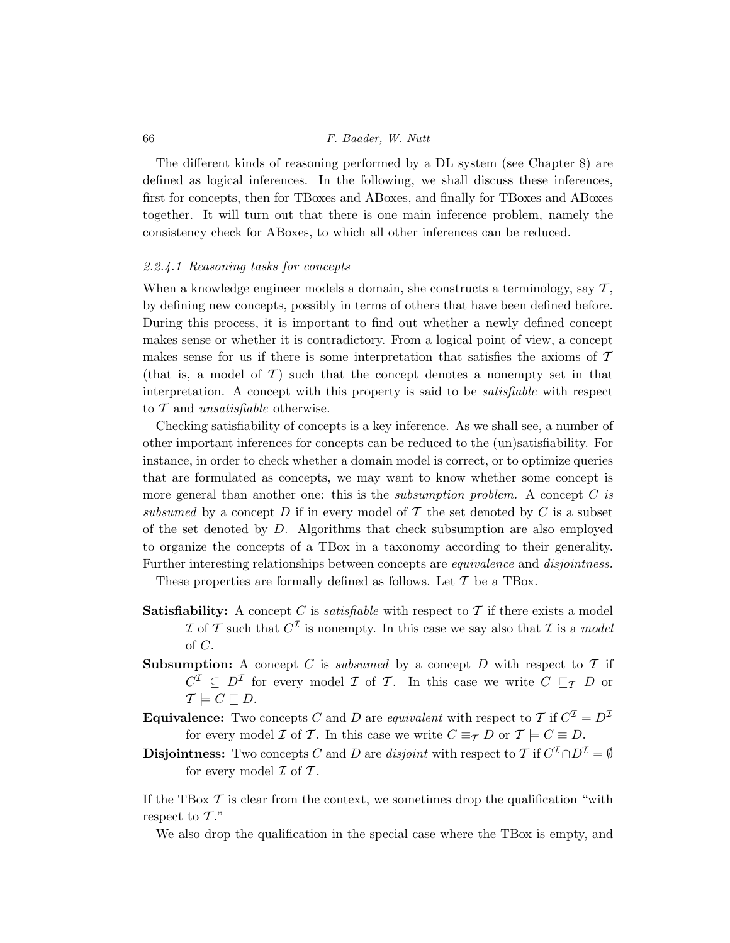The different kinds of reasoning performed by a DL system (see Chapter 8) are defined as logical inferences. In the following, we shall discuss these inferences, first for concepts, then for TBoxes and ABoxes, and finally for TBoxes and ABoxes together. It will turn out that there is one main inference problem, namely the consistency check for ABoxes, to which all other inferences can be reduced.

#### 2.2.4.1 Reasoning tasks for concepts

When a knowledge engineer models a domain, she constructs a terminology, say  $\mathcal{T},$ by defining new concepts, possibly in terms of others that have been defined before. During this process, it is important to find out whether a newly defined concept makes sense or whether it is contradictory. From a logical point of view, a concept makes sense for us if there is some interpretation that satisfies the axioms of  $\mathcal T$ (that is, a model of  $\mathcal{T}$ ) such that the concept denotes a nonempty set in that interpretation. A concept with this property is said to be satisfiable with respect to  $\mathcal T$  and unsatisfiable otherwise.

Checking satisfiability of concepts is a key inference. As we shall see, a number of other important inferences for concepts can be reduced to the (un)satisfiability. For instance, in order to check whether a domain model is correct, or to optimize queries that are formulated as concepts, we may want to know whether some concept is more general than another one: this is the *subsumption problem*. A concept  $C$  is subsumed by a concept D if in every model of T the set denoted by C is a subset of the set denoted by  $D$ . Algorithms that check subsumption are also employed to organize the concepts of a TBox in a taxonomy according to their generality. Further interesting relationships between concepts are *equivalence* and *disjointness*.

These properties are formally defined as follows. Let  $\mathcal T$  be a TBox.

- **Satisfiability:** A concept C is *satisfiable* with respect to T if there exists a model  $I$  of  $I$  such that  $C<sup>L</sup>$  is nonempty. In this case we say also that  $I$  is a model of  $C$ .
- **Subsumption:** A concept C is *subsumed* by a concept D with respect to T if  $C^{\perp} \subseteq D^{\perp}$  for every model  $\mathcal I$  of  $\mathcal T$ . In this case we write  $C \sqsubseteq_{\mathcal T} D$  or  $\mathcal{T} \models C \sqsubseteq D.$
- **Equivalence:** Two concepts C and D are *equivalent* with respect to T if  $C^{\perp} = D^{\perp}$ for every model  $\mathcal I$  of  $\mathcal T$ . In this case we write  $C \equiv_{\mathcal T} D$  or  $\mathcal T \models C \equiv D$ .
- **Disjointness:** Two concepts C and D are disjoint with respect to T if  $C^1 \cap D^1 = \emptyset$ for every model  $\mathcal I$  of  $\mathcal T$ .

If the TBox  $\mathcal T$  is clear from the context, we sometimes drop the qualification "with respect to  $T$ ."

We also drop the qualification in the special case where the TBox is empty, and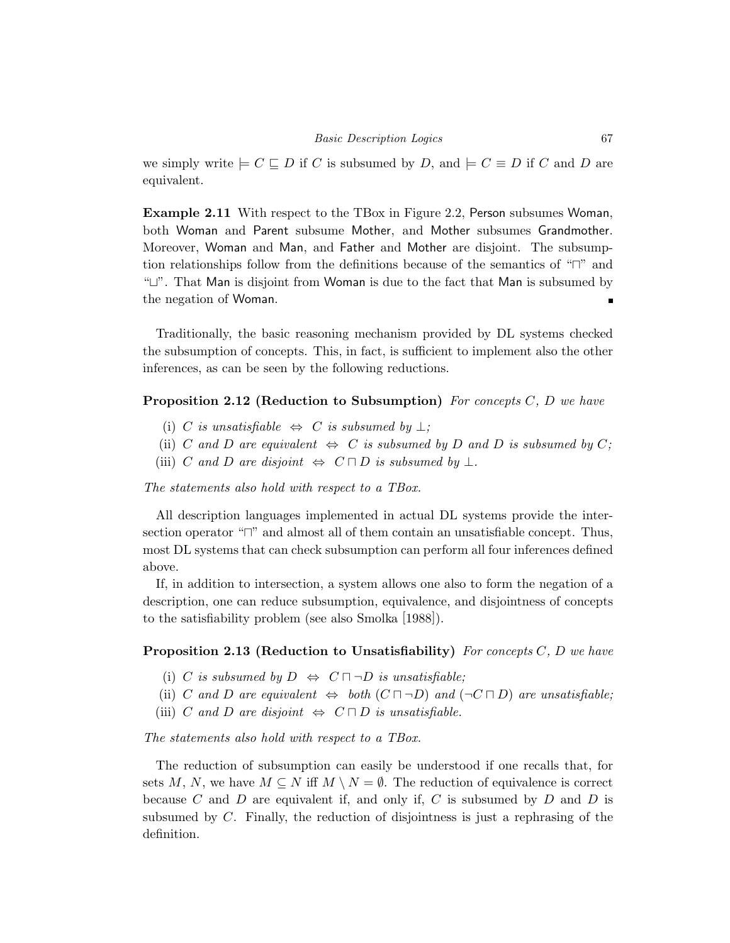we simply write  $\models C \sqsubseteq D$  if C is subsumed by D, and  $\models C \equiv D$  if C and D are equivalent.

Example 2.11 With respect to the TBox in Figure 2.2, Person subsumes Woman, both Woman and Parent subsume Mother, and Mother subsumes Grandmother. Moreover, Woman and Man, and Father and Mother are disjoint. The subsumption relationships follow from the definitions because of the semantics of " $\Box$ " and " $\sqcup$ ". That Man is disjoint from Woman is due to the fact that Man is subsumed by the negation of Woman. Ė

Traditionally, the basic reasoning mechanism provided by DL systems checked the subsumption of concepts. This, in fact, is sufficient to implement also the other inferences, as can be seen by the following reductions.

#### **Proposition 2.12 (Reduction to Subsumption)** For concepts  $C$ , D we have

- (i) C is unsatisfiable  $\Leftrightarrow$  C is subsumed by  $\perp$ ;
- (ii) C and D are equivalent  $\Leftrightarrow$  C is subsumed by D and D is subsumed by C;
- (iii) C and D are disjoint  $\Leftrightarrow$  C  $\Box$  D is subsumed by  $\bot$ .

The statements also hold with respect to a TBox.

All description languages implemented in actual DL systems provide the intersection operator " $\Box$ " and almost all of them contain an unsatisfiable concept. Thus, most DL systems that can check subsumption can perform all four inferences defined above.

If, in addition to intersection, a system allows one also to form the negation of a description, one can reduce subsumption, equivalence, and disjointness of concepts to the satisfiability problem (see also Smolka [1988]).

#### **Proposition 2.13 (Reduction to Unsatisfiability)** For concepts  $C, D$  we have

- (i) C is subsumed by  $D \Leftrightarrow C \sqcap \neg D$  is unsatisfiable;
- (ii) C and D are equivalent  $\Leftrightarrow$  both  $(C \sqcap \neg D)$  and  $(\neg C \sqcap D)$  are unsatisfiable;
- (iii) C and D are disjoint  $\Leftrightarrow$   $C \sqcap D$  is unsatisfiable.

The statements also hold with respect to a TBox.

The reduction of subsumption can easily be understood if one recalls that, for sets M, N, we have  $M \subseteq N$  iff  $M \setminus N = \emptyset$ . The reduction of equivalence is correct because C and D are equivalent if, and only if, C is subsumed by D and D is subsumed by C. Finally, the reduction of disjointness is just a rephrasing of the definition.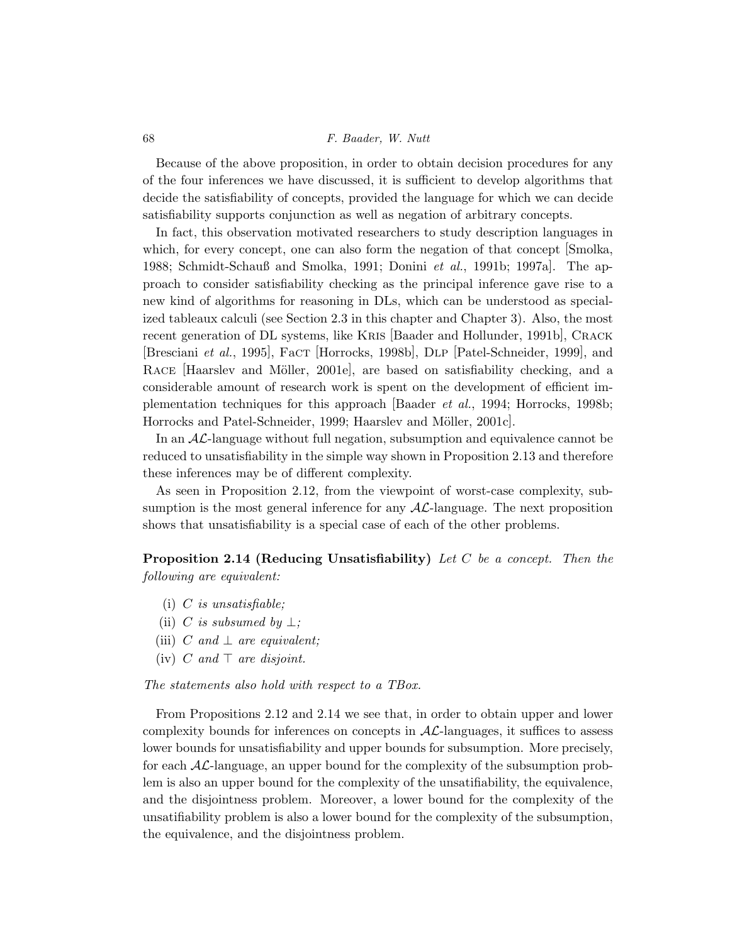Because of the above proposition, in order to obtain decision procedures for any of the four inferences we have discussed, it is sufficient to develop algorithms that decide the satisfiability of concepts, provided the language for which we can decide satisfiability supports conjunction as well as negation of arbitrary concepts.

In fact, this observation motivated researchers to study description languages in which, for every concept, one can also form the negation of that concept [Smolka, 1988; Schmidt-Schauß and Smolka, 1991; Donini et al., 1991b; 1997a]. The approach to consider satisfiability checking as the principal inference gave rise to a new kind of algorithms for reasoning in DLs, which can be understood as specialized tableaux calculi (see Section 2.3 in this chapter and Chapter 3). Also, the most recent generation of DL systems, like Kris [Baader and Hollunder, 1991b], Crack [Bresciani et al., 1995], Fact [Horrocks, 1998b], DLP [Patel-Schneider, 1999], and RACE [Haarslev and Möller, 2001e], are based on satisfiability checking, and a considerable amount of research work is spent on the development of efficient implementation techniques for this approach [Baader et al., 1994; Horrocks, 1998b; Horrocks and Patel-Schneider, 1999; Haarslev and Möller, 2001c.

In an  $AL$ -language without full negation, subsumption and equivalence cannot be reduced to unsatisfiability in the simple way shown in Proposition 2.13 and therefore these inferences may be of different complexity.

As seen in Proposition 2.12, from the viewpoint of worst-case complexity, subsumption is the most general inference for any  $AL$ -language. The next proposition shows that unsatisfiability is a special case of each of the other problems.

**Proposition 2.14 (Reducing Unsatisfiability)** Let C be a concept. Then the following are equivalent:

- (i)  $C$  is unsatisfiable;
- (ii) C is subsumed by  $\perp$ ;
- (iii) C and  $\perp$  are equivalent;
- (iv) C and  $\top$  are disjoint.

The statements also hold with respect to a TBox.

From Propositions 2.12 and 2.14 we see that, in order to obtain upper and lower complexity bounds for inferences on concepts in  $A\mathcal{L}$ -languages, it suffices to assess lower bounds for unsatisfiability and upper bounds for subsumption. More precisely, for each  $A\mathcal{L}$ -language, an upper bound for the complexity of the subsumption problem is also an upper bound for the complexity of the unsatifiability, the equivalence, and the disjointness problem. Moreover, a lower bound for the complexity of the unsatifiability problem is also a lower bound for the complexity of the subsumption, the equivalence, and the disjointness problem.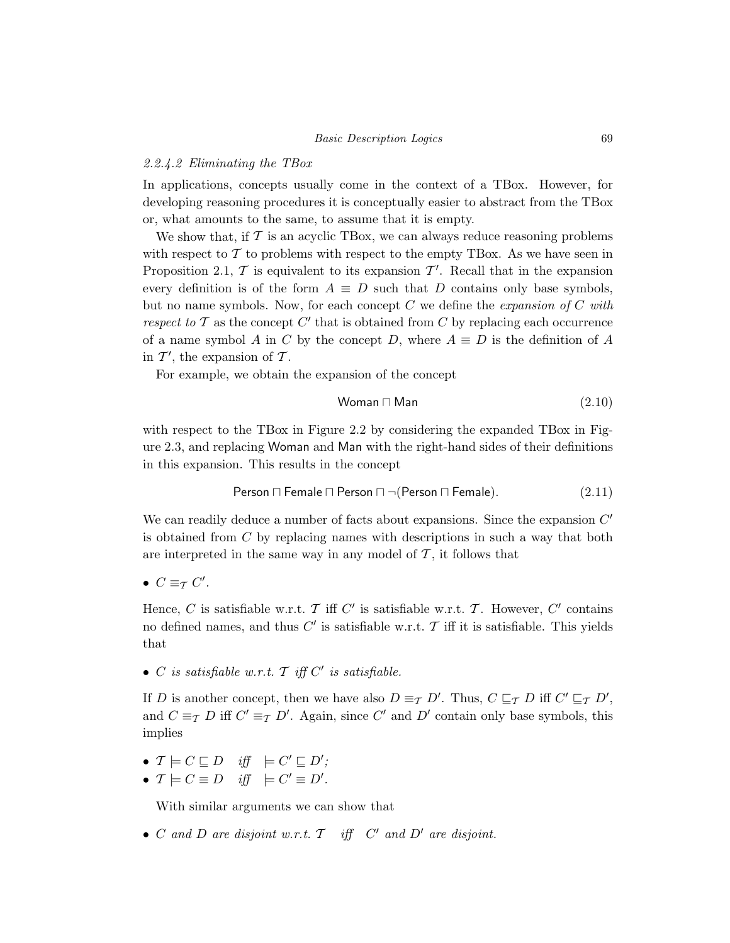#### 2.2.4.2 Eliminating the TBox

In applications, concepts usually come in the context of a TBox. However, for developing reasoning procedures it is conceptually easier to abstract from the TBox or, what amounts to the same, to assume that it is empty.

We show that, if  $\mathcal T$  is an acyclic TBox, we can always reduce reasoning problems with respect to  $\mathcal T$  to problems with respect to the empty TBox. As we have seen in Proposition 2.1,  $\mathcal T$  is equivalent to its expansion  $\mathcal T'$ . Recall that in the expansion every definition is of the form  $A \equiv D$  such that D contains only base symbols, but no name symbols. Now, for each concept C we define the *expansion of C with* respect to  $\mathcal T$  as the concept  $C'$  that is obtained from  $C$  by replacing each occurrence of a name symbol A in C by the concept D, where  $A \equiv D$  is the definition of A in  $\mathcal{T}'$ , the expansion of  $\mathcal{T}$ .

For example, we obtain the expansion of the concept

$$
Woman \sqcap Man \tag{2.10}
$$

with respect to the TBox in Figure 2.2 by considering the expanded TBox in Figure 2.3, and replacing Woman and Man with the right-hand sides of their definitions in this expansion. This results in the concept

$$
\mathsf{Person} \sqcap \mathsf{Female} \sqcap \mathsf{Person} \sqcap \neg (\mathsf{Person} \sqcap \mathsf{Female}).\tag{2.11}
$$

We can readily deduce a number of facts about expansions. Since the expansion  $C'$ is obtained from C by replacing names with descriptions in such a way that both are interpreted in the same way in any model of  $\mathcal{T}$ , it follows that

•  $C \equiv_T C'$ .

Hence, C is satisfiable w.r.t. T iff C' is satisfiable w.r.t. T. However, C' contains no defined names, and thus  $C'$  is satisfiable w.r.t.  $\mathcal T$  iff it is satisfiable. This yields that

• C is satisfiable w.r.t. T iff  $C'$  is satisfiable.

If D is another concept, then we have also  $D \equiv_T D'$ . Thus,  $C \sqsubseteq_T D$  iff  $C' \sqsubseteq_T D'$ , and  $C \equiv_T D$  iff  $C' \equiv_T D'$ . Again, since  $C'$  and  $D'$  contain only base symbols, this implies

- $\mathcal{T} \models C \sqsubseteq D$  iff  $\models C' \sqsubseteq D'$ ;
- $\mathcal{T} \models C \equiv D$  iff  $\models C' \equiv D'.$

With similar arguments we can show that

• C and D are disjoint w.r.t.  $\mathcal{T}$  iff  $C'$  and  $D'$  are disjoint.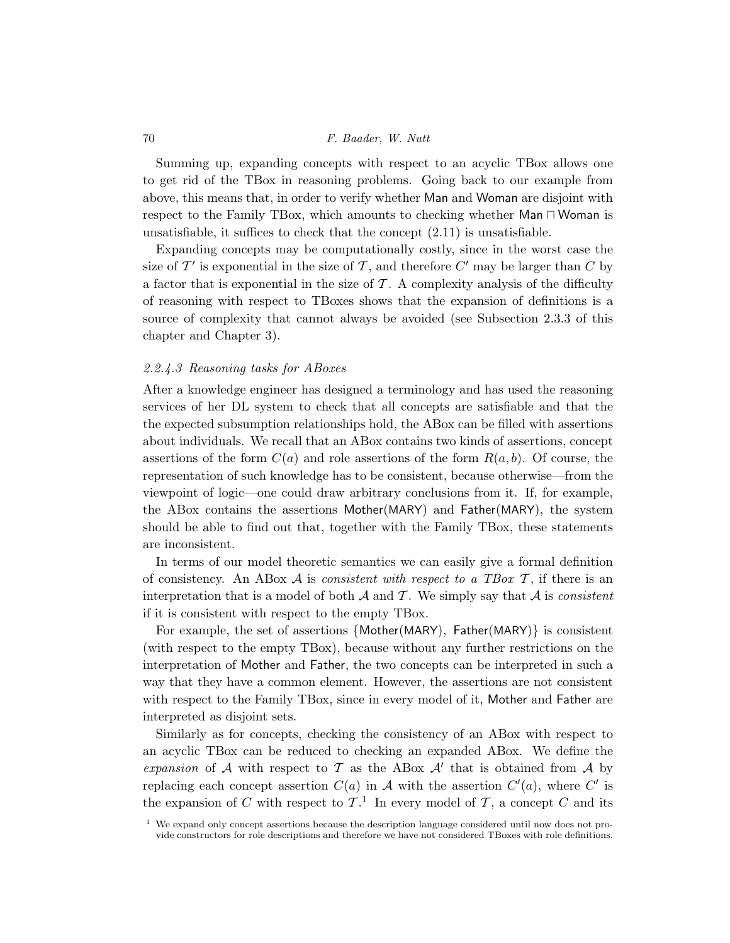Summing up, expanding concepts with respect to an acyclic TBox allows one to get rid of the TBox in reasoning problems. Going back to our example from above, this means that, in order to verify whether Man and Woman are disjoint with respect to the Family TBox, which amounts to checking whether  $Man \sqcap Woman$  is unsatisfiable, it suffices to check that the concept  $(2.11)$  is unsatisfiable.

Expanding concepts may be computationally costly, since in the worst case the size of  $\mathcal{T}'$  is exponential in the size of  $\mathcal{T}$ , and therefore  $C'$  may be larger than  $C$  by a factor that is exponential in the size of  $\mathcal T$ . A complexity analysis of the difficulty of reasoning with respect to TBoxes shows that the expansion of definitions is a source of complexity that cannot always be avoided (see Subsection 2.3.3 of this chapter and Chapter 3).

#### 2.2.4.3 Reasoning tasks for ABoxes

After a knowledge engineer has designed a terminology and has used the reasoning services of her DL system to check that all concepts are satisfiable and that the the expected subsumption relationships hold, the ABox can be filled with assertions about individuals. We recall that an ABox contains two kinds of assertions, concept assertions of the form  $C(a)$  and role assertions of the form  $R(a, b)$ . Of course, the representation of such knowledge has to be consistent, because otherwise—from the viewpoint of logic—one could draw arbitrary conclusions from it. If, for example, the ABox contains the assertions Mother(MARY) and Father(MARY), the system should be able to find out that, together with the Family TBox, these statements are inconsistent.

In terms of our model theoretic semantics we can easily give a formal definition of consistency. An ABox  $\mathcal A$  is *consistent with respect to a TBox T*, if there is an interpretation that is a model of both  $A$  and  $T$ . We simply say that  $A$  is consistent if it is consistent with respect to the empty TBox.

For example, the set of assertions {Mother(MARY), Father(MARY)} is consistent (with respect to the empty TBox), because without any further restrictions on the interpretation of Mother and Father, the two concepts can be interpreted in such a way that they have a common element. However, the assertions are not consistent with respect to the Family TBox, since in every model of it, Mother and Father are interpreted as disjoint sets.

Similarly as for concepts, checking the consistency of an ABox with respect to an acyclic TBox can be reduced to checking an expanded ABox. We define the *expansion* of A with respect to T as the ABox  $A'$  that is obtained from A by replacing each concept assertion  $C(a)$  in A with the assertion  $C'(a)$ , where  $C'$  is the expansion of C with respect to  $\mathcal{T}$ .<sup>1</sup> In every model of T, a concept C and its

<sup>&</sup>lt;sup>1</sup> We expand only concept assertions because the description language considered until now does not provide constructors for role descriptions and therefore we have not considered TBoxes with role definitions.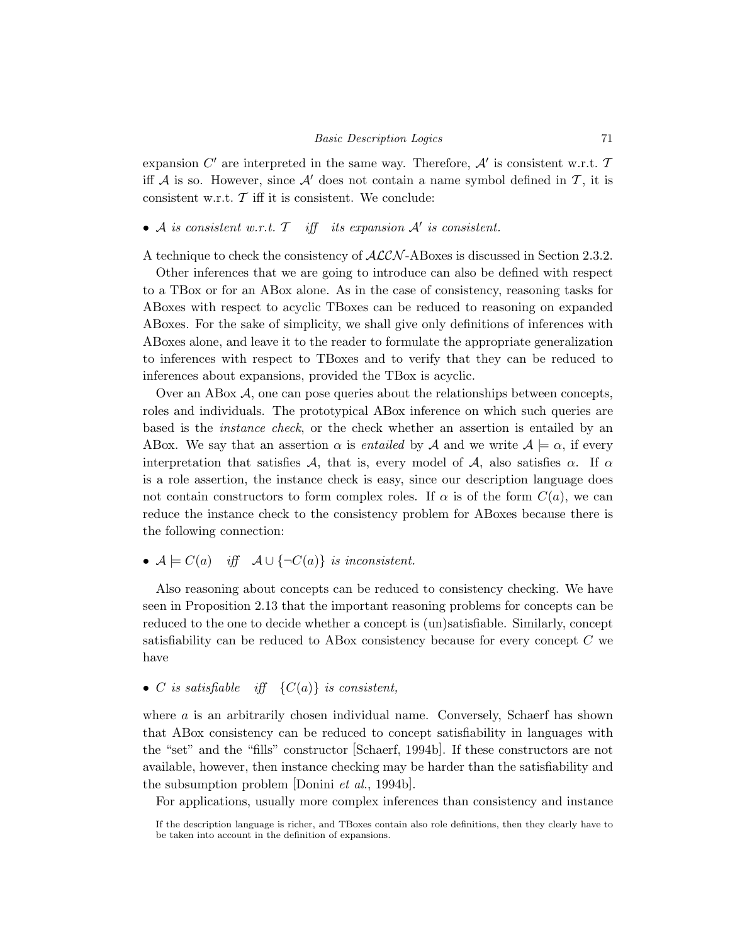expansion  $C'$  are interpreted in the same way. Therefore,  $\mathcal{A}'$  is consistent w.r.t.  $\mathcal{I}$ iff A is so. However, since A' does not contain a name symbol defined in  $\mathcal{T}$ , it is consistent w.r.t.  $\mathcal T$  iff it is consistent. We conclude:

#### • A is consistent w.r.t.  $\mathcal T$ iff its expansion  $A'$  is consistent.

A technique to check the consistency of ALCN -ABoxes is discussed in Section 2.3.2.

Other inferences that we are going to introduce can also be defined with respect to a TBox or for an ABox alone. As in the case of consistency, reasoning tasks for ABoxes with respect to acyclic TBoxes can be reduced to reasoning on expanded ABoxes. For the sake of simplicity, we shall give only definitions of inferences with ABoxes alone, and leave it to the reader to formulate the appropriate generalization to inferences with respect to TBoxes and to verify that they can be reduced to inferences about expansions, provided the TBox is acyclic.

Over an ABox  $A$ , one can pose queries about the relationships between concepts, roles and individuals. The prototypical ABox inference on which such queries are based is the instance check, or the check whether an assertion is entailed by an ABox. We say that an assertion  $\alpha$  is entailed by A and we write  $\mathcal{A} \models \alpha$ , if every interpretation that satisfies A, that is, every model of A, also satisfies  $\alpha$ . If  $\alpha$ is a role assertion, the instance check is easy, since our description language does not contain constructors to form complex roles. If  $\alpha$  is of the form  $C(a)$ , we can reduce the instance check to the consistency problem for ABoxes because there is the following connection:

## •  $A \models C(a)$  iff  $A \cup \{\neg C(a)\}\$ is inconsistent.

Also reasoning about concepts can be reduced to consistency checking. We have seen in Proposition 2.13 that the important reasoning problems for concepts can be reduced to the one to decide whether a concept is (un)satisfiable. Similarly, concept satisfiability can be reduced to ABox consistency because for every concept  $C$  we have

• C is satisfiable iff  ${C(a)}$  is consistent,

where a is an arbitrarily chosen individual name. Conversely, Schaerf has shown that ABox consistency can be reduced to concept satisfiability in languages with the "set" and the "fills" constructor [Schaerf, 1994b]. If these constructors are not available, however, then instance checking may be harder than the satisfiability and the subsumption problem [Donini *et al.*, 1994b].

For applications, usually more complex inferences than consistency and instance

If the description language is richer, and TBoxes contain also role definitions, then they clearly have to be taken into account in the definition of expansions.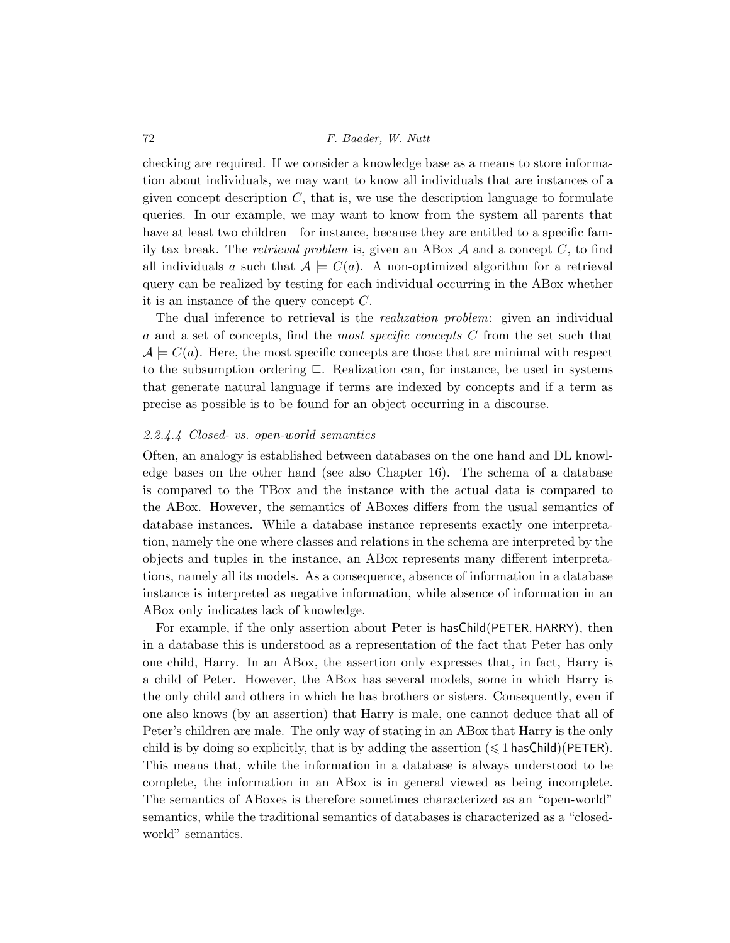checking are required. If we consider a knowledge base as a means to store information about individuals, we may want to know all individuals that are instances of a given concept description  $C$ , that is, we use the description language to formulate queries. In our example, we may want to know from the system all parents that have at least two children—for instance, because they are entitled to a specific family tax break. The *retrieval problem* is, given an ABox  $A$  and a concept  $C$ , to find all individuals a such that  $A \models C(a)$ . A non-optimized algorithm for a retrieval query can be realized by testing for each individual occurring in the ABox whether it is an instance of the query concept C.

The dual inference to retrieval is the *realization problem*: given an individual a and a set of concepts, find the most specific concepts C from the set such that  $\mathcal{A} \models C(a)$ . Here, the most specific concepts are those that are minimal with respect to the subsumption ordering  $\subseteq$ . Realization can, for instance, be used in systems that generate natural language if terms are indexed by concepts and if a term as precise as possible is to be found for an object occurring in a discourse.

#### 2.2.4.4 Closed- vs. open-world semantics

Often, an analogy is established between databases on the one hand and DL knowledge bases on the other hand (see also Chapter 16). The schema of a database is compared to the TBox and the instance with the actual data is compared to the ABox. However, the semantics of ABoxes differs from the usual semantics of database instances. While a database instance represents exactly one interpretation, namely the one where classes and relations in the schema are interpreted by the objects and tuples in the instance, an ABox represents many different interpretations, namely all its models. As a consequence, absence of information in a database instance is interpreted as negative information, while absence of information in an ABox only indicates lack of knowledge.

For example, if the only assertion about Peter is hasChild(PETER, HARRY), then in a database this is understood as a representation of the fact that Peter has only one child, Harry. In an ABox, the assertion only expresses that, in fact, Harry is a child of Peter. However, the ABox has several models, some in which Harry is the only child and others in which he has brothers or sisters. Consequently, even if one also knows (by an assertion) that Harry is male, one cannot deduce that all of Peter's children are male. The only way of stating in an ABox that Harry is the only child is by doing so explicitly, that is by adding the assertion  $(\leq 1$  has Child)(PETER). This means that, while the information in a database is always understood to be complete, the information in an ABox is in general viewed as being incomplete. The semantics of ABoxes is therefore sometimes characterized as an "open-world" semantics, while the traditional semantics of databases is characterized as a "closedworld" semantics.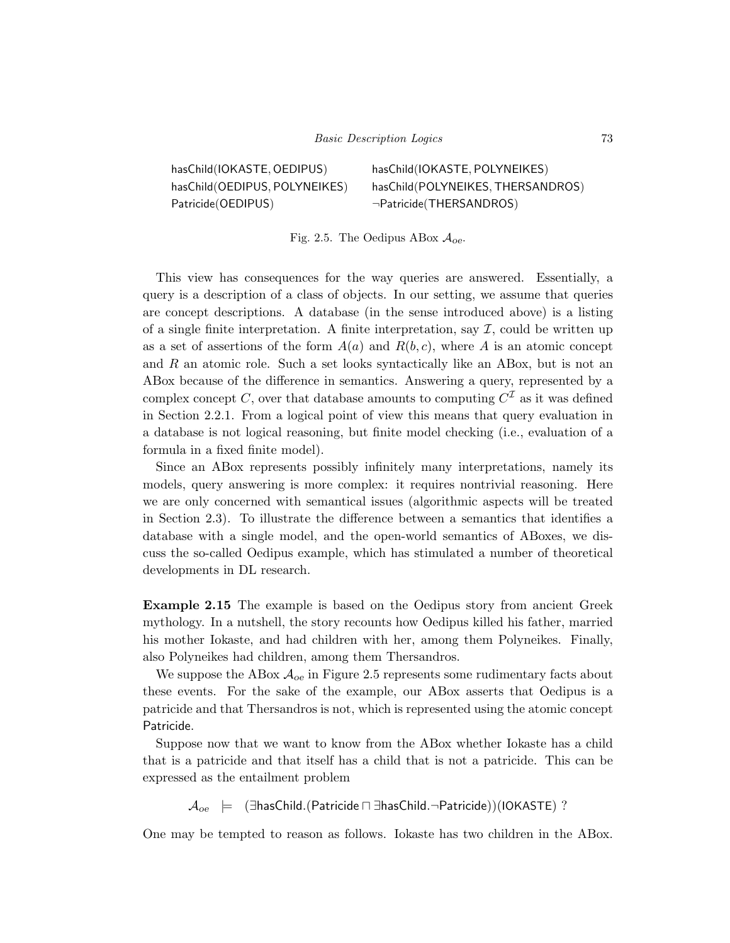```
Basic Description Logics 73
```
hasChild(IOKASTE, OEDIPUS) hasChild(IOKASTE, POLYNEIKES) Patricide(OEDIPUS) ¬Patricide(THERSANDROS)

hasChild(OEDIPUS, POLYNEIKES) hasChild(POLYNEIKES,THERSANDROS)

Fig. 2.5. The Oedipus ABox  $\mathcal{A}_{oe}$ .

This view has consequences for the way queries are answered. Essentially, a query is a description of a class of objects. In our setting, we assume that queries are concept descriptions. A database (in the sense introduced above) is a listing of a single finite interpretation. A finite interpretation, say  $\mathcal I$ , could be written up as a set of assertions of the form  $A(a)$  and  $R(b, c)$ , where A is an atomic concept and  $R$  an atomic role. Such a set looks syntactically like an ABox, but is not an ABox because of the difference in semantics. Answering a query, represented by a complex concept C, over that database amounts to computing  $C<sup>\perp</sup>$  as it was defined in Section 2.2.1. From a logical point of view this means that query evaluation in a database is not logical reasoning, but finite model checking (i.e., evaluation of a formula in a fixed finite model).

Since an ABox represents possibly infinitely many interpretations, namely its models, query answering is more complex: it requires nontrivial reasoning. Here we are only concerned with semantical issues (algorithmic aspects will be treated in Section 2.3). To illustrate the difference between a semantics that identifies a database with a single model, and the open-world semantics of ABoxes, we discuss the so-called Oedipus example, which has stimulated a number of theoretical developments in DL research.

Example 2.15 The example is based on the Oedipus story from ancient Greek mythology. In a nutshell, the story recounts how Oedipus killed his father, married his mother Iokaste, and had children with her, among them Polyneikes. Finally, also Polyneikes had children, among them Thersandros.

We suppose the ABox  $\mathcal{A}_{oe}$  in Figure 2.5 represents some rudimentary facts about these events. For the sake of the example, our ABox asserts that Oedipus is a patricide and that Thersandros is not, which is represented using the atomic concept Patricide.

Suppose now that we want to know from the ABox whether Iokaste has a child that is a patricide and that itself has a child that is not a patricide. This can be expressed as the entailment problem

 $\mathcal{A}_{oe}$  = ( $\exists$ hasChild.(Patricide  $\sqcap \exists$ hasChild.¬Patricide))(IOKASTE) ?

One may be tempted to reason as follows. Iokaste has two children in the ABox.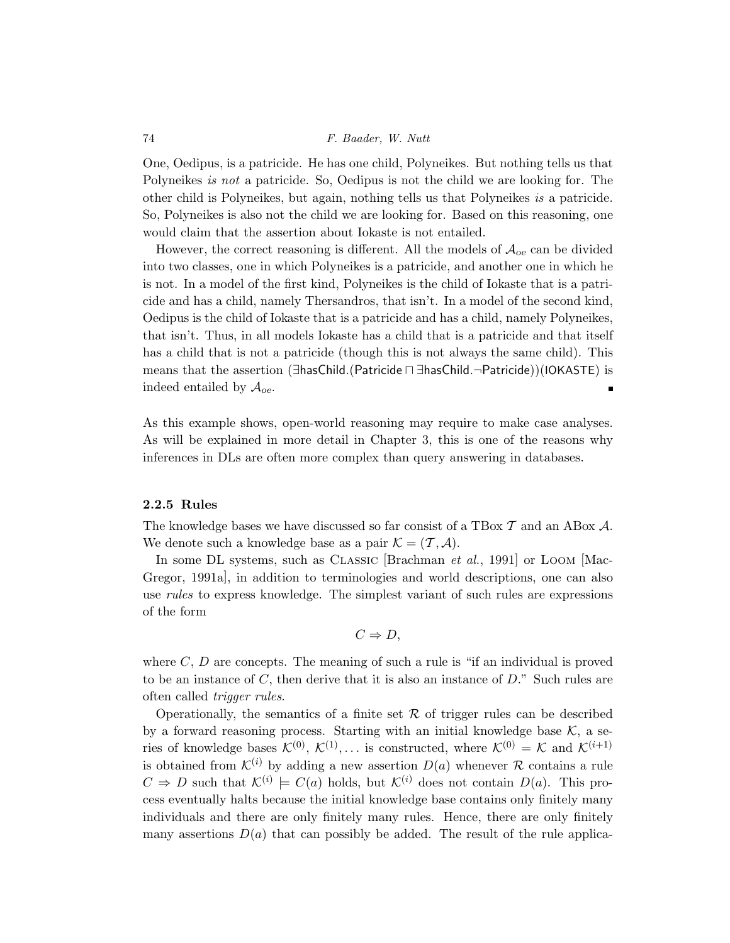One, Oedipus, is a patricide. He has one child, Polyneikes. But nothing tells us that Polyneikes is not a patricide. So, Oedipus is not the child we are looking for. The other child is Polyneikes, but again, nothing tells us that Polyneikes is a patricide. So, Polyneikes is also not the child we are looking for. Based on this reasoning, one would claim that the assertion about Iokaste is not entailed.

However, the correct reasoning is different. All the models of  $\mathcal{A}_{oe}$  can be divided into two classes, one in which Polyneikes is a patricide, and another one in which he is not. In a model of the first kind, Polyneikes is the child of Iokaste that is a patricide and has a child, namely Thersandros, that isn't. In a model of the second kind, Oedipus is the child of Iokaste that is a patricide and has a child, namely Polyneikes, that isn't. Thus, in all models Iokaste has a child that is a patricide and that itself has a child that is not a patricide (though this is not always the same child). This means that the assertion (∃hasChild.(Patricide ⊓∃hasChild.¬Patricide))(IOKASTE) is indeed entailed by  $\mathcal{A}_{oe}$ .

As this example shows, open-world reasoning may require to make case analyses. As will be explained in more detail in Chapter 3, this is one of the reasons why inferences in DLs are often more complex than query answering in databases.

#### 2.2.5 Rules

The knowledge bases we have discussed so far consist of a TBox  $\mathcal T$  and an ABox  $\mathcal A$ . We denote such a knowledge base as a pair  $\mathcal{K} = (\mathcal{T}, \mathcal{A})$ .

In some DL systems, such as CLASSIC Brachman *et al.*, 1991 or LOOM Mac-Gregor, 1991a], in addition to terminologies and world descriptions, one can also use *rules* to express knowledge. The simplest variant of such rules are expressions of the form

$$
C \Rightarrow D,
$$

where  $C, D$  are concepts. The meaning of such a rule is "if an individual is proved to be an instance of  $C$ , then derive that it is also an instance of  $D$ ." Such rules are often called trigger rules.

Operationally, the semantics of a finite set  $R$  of trigger rules can be described by a forward reasoning process. Starting with an initial knowledge base  $\mathcal{K}$ , a series of knowledge bases  $\mathcal{K}^{(0)}$ ,  $\mathcal{K}^{(1)}$ ,... is constructed, where  $\mathcal{K}^{(0)} = \mathcal{K}$  and  $\mathcal{K}^{(i+1)}$ is obtained from  $\mathcal{K}^{(i)}$  by adding a new assertion  $D(a)$  whenever R contains a rule  $C \Rightarrow D$  such that  $\mathcal{K}^{(i)} \models C(a)$  holds, but  $\mathcal{K}^{(i)}$  does not contain  $D(a)$ . This process eventually halts because the initial knowledge base contains only finitely many individuals and there are only finitely many rules. Hence, there are only finitely many assertions  $D(a)$  that can possibly be added. The result of the rule applica-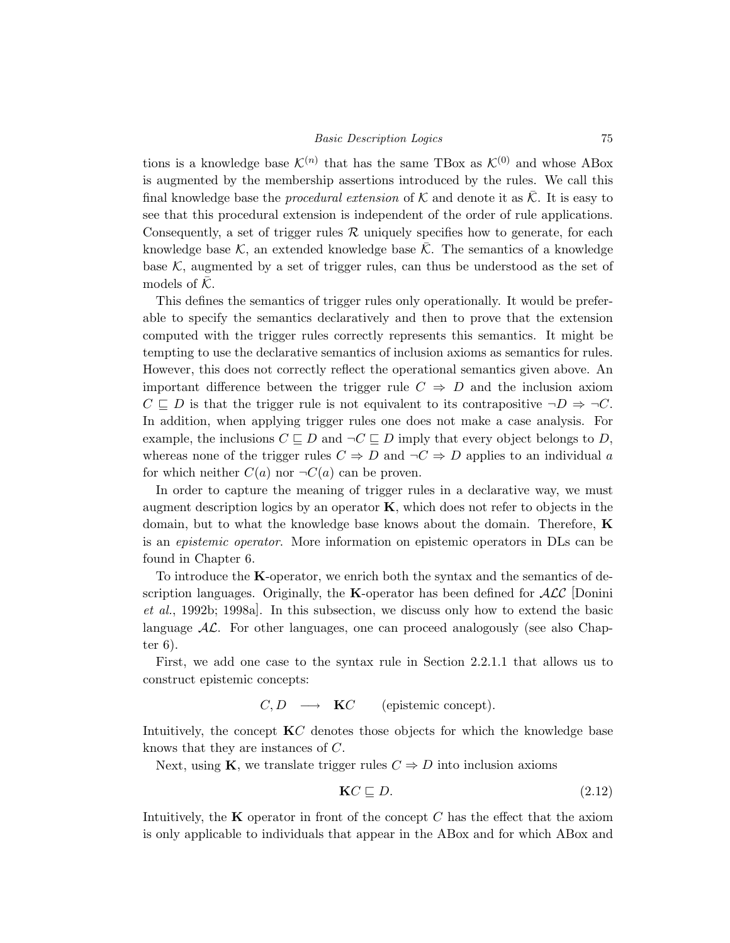tions is a knowledge base  $\mathcal{K}^{(n)}$  that has the same TBox as  $\mathcal{K}^{(0)}$  and whose ABox is augmented by the membership assertions introduced by the rules. We call this final knowledge base the *procedural extension* of  $K$  and denote it as  $K$ . It is easy to see that this procedural extension is independent of the order of rule applications. Consequently, a set of trigger rules  $\mathcal R$  uniquely specifies how to generate, for each knowledge base  $\mathcal{K}$ , an extended knowledge base  $\overline{\mathcal{K}}$ . The semantics of a knowledge base  $\mathcal{K}$ , augmented by a set of trigger rules, can thus be understood as the set of models of  $\bar{\mathcal{K}}$ .

This defines the semantics of trigger rules only operationally. It would be preferable to specify the semantics declaratively and then to prove that the extension computed with the trigger rules correctly represents this semantics. It might be tempting to use the declarative semantics of inclusion axioms as semantics for rules. However, this does not correctly reflect the operational semantics given above. An important difference between the trigger rule  $C \Rightarrow D$  and the inclusion axiom  $C \subseteq D$  is that the trigger rule is not equivalent to its contrapositive  $\neg D \Rightarrow \neg C$ . In addition, when applying trigger rules one does not make a case analysis. For example, the inclusions  $C \subseteq D$  and  $\neg C \subseteq D$  imply that every object belongs to D, whereas none of the trigger rules  $C \Rightarrow D$  and  $\neg C \Rightarrow D$  applies to an individual a for which neither  $C(a)$  nor  $\neg C(a)$  can be proven.

In order to capture the meaning of trigger rules in a declarative way, we must augment description logics by an operator  $\bf{K}$ , which does not refer to objects in the domain, but to what the knowledge base knows about the domain. Therefore,  $\bf{K}$ is an epistemic operator. More information on epistemic operators in DLs can be found in Chapter 6.

To introduce the K-operator, we enrich both the syntax and the semantics of description languages. Originally, the **K**-operator has been defined for  $\mathcal{ALC}$  [Donini et al., 1992b; 1998a]. In this subsection, we discuss only how to extend the basic language  $A\mathcal{L}$ . For other languages, one can proceed analogously (see also Chapter 6).

First, we add one case to the syntax rule in Section 2.2.1.1 that allows us to construct epistemic concepts:

 $C, D \longrightarrow \mathbf{K}C$  (epistemic concept).

Intuitively, the concept  $\mathbf{K}C$  denotes those objects for which the knowledge base knows that they are instances of C.

Next, using **K**, we translate trigger rules  $C \Rightarrow D$  into inclusion axioms

$$
\mathbf{K}C \sqsubseteq D. \tag{2.12}
$$

Intuitively, the  $\bf{K}$  operator in front of the concept C has the effect that the axiom is only applicable to individuals that appear in the ABox and for which ABox and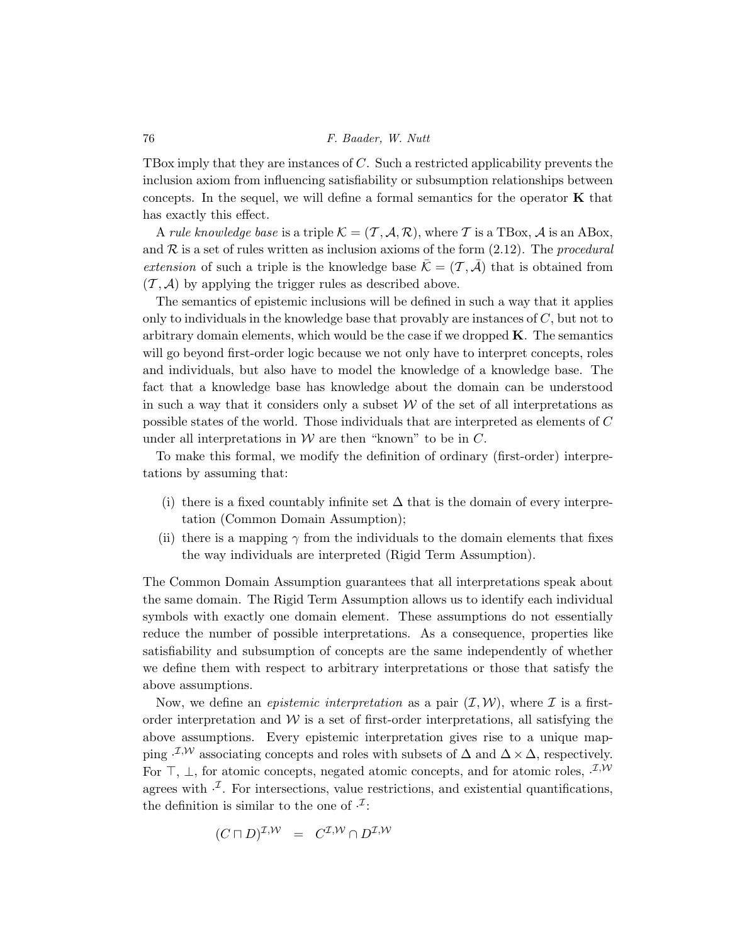TBox imply that they are instances of C. Such a restricted applicability prevents the inclusion axiom from influencing satisfiability or subsumption relationships between concepts. In the sequel, we will define a formal semantics for the operator  $\bf{K}$  that has exactly this effect.

A rule knowledge base is a triple  $\mathcal{K} = (\mathcal{T}, \mathcal{A}, \mathcal{R})$ , where T is a TBox, A is an ABox, and  $R$  is a set of rules written as inclusion axioms of the form  $(2.12)$ . The *procedural* extension of such a triple is the knowledge base  $\overline{\mathcal{K}} = (\mathcal{T}, \overline{\mathcal{A}})$  that is obtained from  $(\mathcal{T}, \mathcal{A})$  by applying the trigger rules as described above.

The semantics of epistemic inclusions will be defined in such a way that it applies only to individuals in the knowledge base that provably are instances of  $C$ , but not to arbitrary domain elements, which would be the case if we dropped  $K$ . The semantics will go beyond first-order logic because we not only have to interpret concepts, roles and individuals, but also have to model the knowledge of a knowledge base. The fact that a knowledge base has knowledge about the domain can be understood in such a way that it considers only a subset  $\mathcal W$  of the set of all interpretations as possible states of the world. Those individuals that are interpreted as elements of C under all interpretations in  $W$  are then "known" to be in  $C$ .

To make this formal, we modify the definition of ordinary (first-order) interpretations by assuming that:

- (i) there is a fixed countably infinite set  $\Delta$  that is the domain of every interpretation (Common Domain Assumption);
- (ii) there is a mapping  $\gamma$  from the individuals to the domain elements that fixes the way individuals are interpreted (Rigid Term Assumption).

The Common Domain Assumption guarantees that all interpretations speak about the same domain. The Rigid Term Assumption allows us to identify each individual symbols with exactly one domain element. These assumptions do not essentially reduce the number of possible interpretations. As a consequence, properties like satisfiability and subsumption of concepts are the same independently of whether we define them with respect to arbitrary interpretations or those that satisfy the above assumptions.

Now, we define an *epistemic interpretation* as a pair  $(\mathcal{I}, \mathcal{W})$ , where  $\mathcal I$  is a firstorder interpretation and  $W$  is a set of first-order interpretations, all satisfying the above assumptions. Every epistemic interpretation gives rise to a unique mapping  $\cdot^{\mathcal{I}, \mathcal{W}}$  associating concepts and roles with subsets of  $\Delta$  and  $\Delta \times \Delta$ , respectively. For  $\top$ ,  $\bot$ , for atomic concepts, negated atomic concepts, and for atomic roles,  $\cdot^{\mathcal{I},\mathcal{W}}$ agrees with  $\cdot^2$ . For intersections, value restrictions, and existential quantifications, the definition is similar to the one of  $\cdot^2$ :

$$
(C \sqcap D)^{\mathcal{I},\mathcal{W}} = C^{\mathcal{I},\mathcal{W}} \cap D^{\mathcal{I},\mathcal{W}}
$$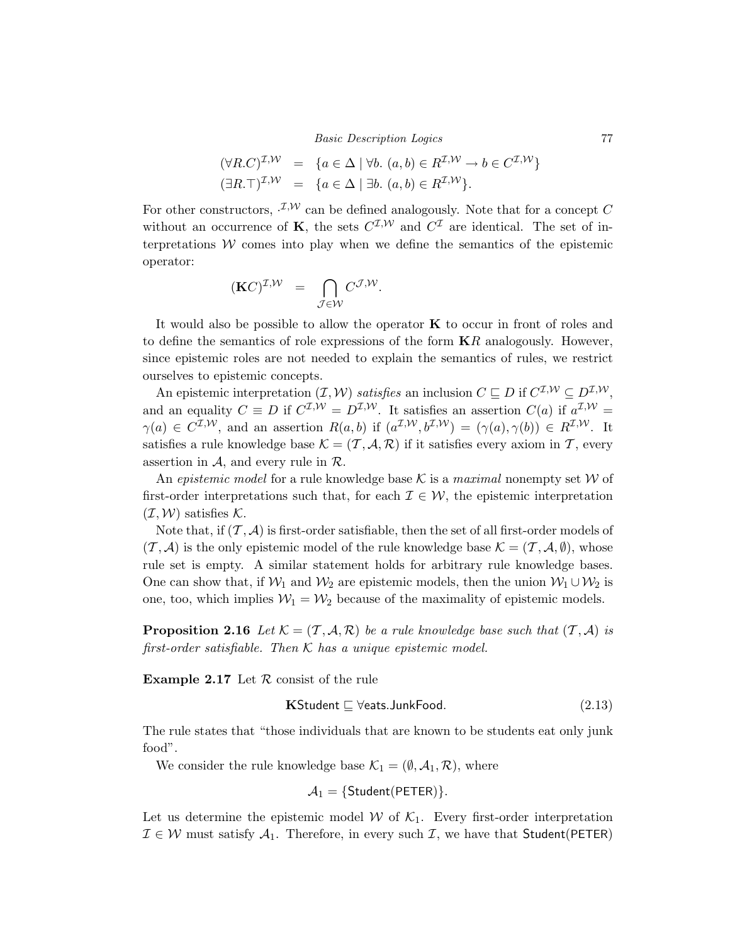**Basic Description Logics** 77

$$
\begin{aligned}\n(\forall R.C)^{\mathcal{I},\mathcal{W}} &= \{a \in \Delta \mid \forall b. \ (a,b) \in R^{\mathcal{I},\mathcal{W}} \to b \in C^{\mathcal{I},\mathcal{W}}\} \\
(\exists R.\top)^{\mathcal{I},\mathcal{W}} &= \{a \in \Delta \mid \exists b. \ (a,b) \in R^{\mathcal{I},\mathcal{W}}\}.\n\end{aligned}
$$

For other constructors,  $\mathcal{I}, \mathcal{W}$  can be defined analogously. Note that for a concept C without an occurrence of **K**, the sets  $C^{1,W}$  and  $C^{1}$  are identical. The set of interpretations  $W$  comes into play when we define the semantics of the epistemic operator:

$$
(\mathbf{K}C)^{\mathcal{I},\mathcal{W}} = \bigcap_{\mathcal{J}\in\mathcal{W}} C^{\mathcal{J},\mathcal{W}}.
$$

It would also be possible to allow the operator  $\bf{K}$  to occur in front of roles and to define the semantics of role expressions of the form  $KR$  analogously. However, since epistemic roles are not needed to explain the semantics of rules, we restrict ourselves to epistemic concepts.

An epistemic interpretation  $(\mathcal{I}, \mathcal{W})$  satisfies an inclusion  $C \sqsubseteq D$  if  $C^{\mathcal{I}, \mathcal{W}} \subseteq D^{\mathcal{I}, \mathcal{W}},$ and an equality  $C \equiv D$  if  $C^{(I,W)} = D^{(I,W)}$ . It satisfies an assertion  $C(a)$  if  $a^{(I,W)} =$  $\gamma(a) \in C^{\mathcal{I}, \mathcal{W}},$  and an assertion  $R(a, b)$  if  $(a^{\mathcal{I}, \mathcal{W}}, b^{\mathcal{I}, \mathcal{W}}) = (\gamma(a), \gamma(b)) \in R^{\mathcal{I}, \mathcal{W}}.$  It satisfies a rule knowledge base  $\mathcal{K} = (\mathcal{T}, \mathcal{A}, \mathcal{R})$  if it satisfies every axiom in  $\mathcal{T}$ , every assertion in  $\mathcal{A}$ , and every rule in  $\mathcal{R}$ .

An epistemic model for a rule knowledge base  $\mathcal K$  is a maximal nonempty set  $\mathcal W$  of first-order interpretations such that, for each  $\mathcal{I} \in \mathcal{W}$ , the epistemic interpretation  $(\mathcal{I}, \mathcal{W})$  satisfies  $\mathcal{K}$ .

Note that, if  $(\mathcal{T}, \mathcal{A})$  is first-order satisfiable, then the set of all first-order models of  $(\mathcal{T}, \mathcal{A})$  is the only epistemic model of the rule knowledge base  $\mathcal{K} = (\mathcal{T}, \mathcal{A}, \emptyset)$ , whose rule set is empty. A similar statement holds for arbitrary rule knowledge bases. One can show that, if  $\mathcal{W}_1$  and  $\mathcal{W}_2$  are epistemic models, then the union  $\mathcal{W}_1 \cup \mathcal{W}_2$  is one, too, which implies  $W_1 = W_2$  because of the maximality of epistemic models.

**Proposition 2.16** Let  $\mathcal{K} = (\mathcal{T}, \mathcal{A}, \mathcal{R})$  be a rule knowledge base such that  $(\mathcal{T}, \mathcal{A})$  is first-order satisfiable. Then  $K$  has a unique epistemic model.

**Example 2.17** Let  $\mathcal{R}$  consist of the rule

KStudent 
$$
\sqsubseteq
$$
  $\forall$ eats.JunkFood. (2.13)

The rule states that "those individuals that are known to be students eat only junk food".

We consider the rule knowledge base  $\mathcal{K}_1 = (\emptyset, \mathcal{A}_1, \mathcal{R})$ , where

$$
A_1 = \{\mathsf{Student}(\mathsf{PETER})\}.
$$

Let us determine the epistemic model W of  $K_1$ . Every first-order interpretation  $\mathcal{I} \in \mathcal{W}$  must satisfy  $\mathcal{A}_1$ . Therefore, in every such  $\mathcal{I}$ , we have that Student(PETER)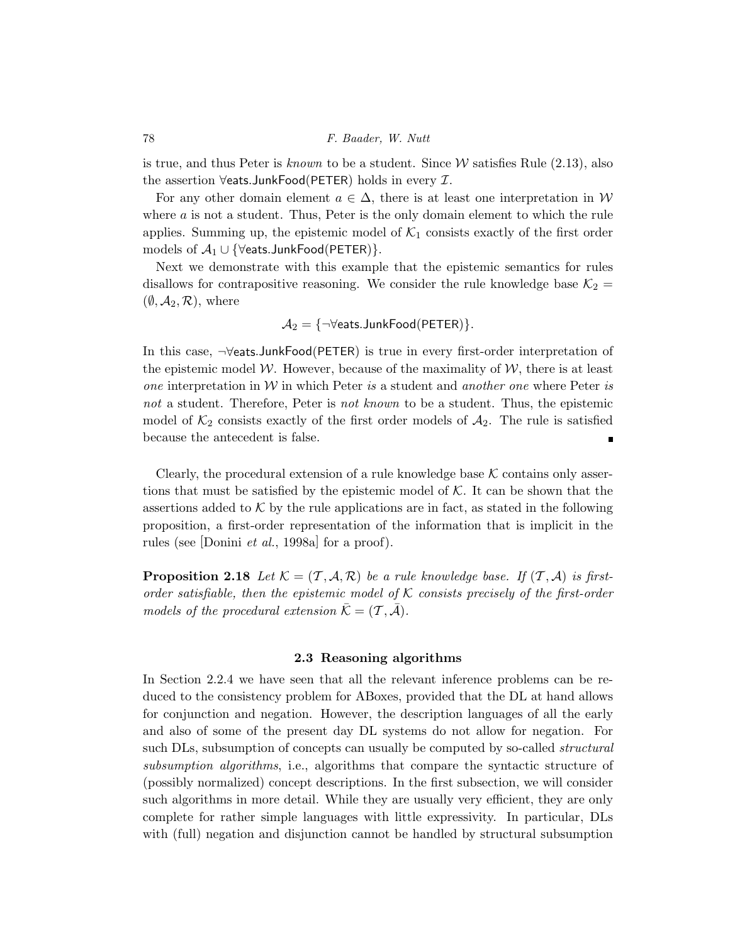is true, and thus Peter is known to be a student. Since  $W$  satisfies Rule (2.13), also the assertion  $\forall$ eats.JunkFood(PETER) holds in every  $\mathcal{I}$ .

For any other domain element  $a \in \Delta$ , there is at least one interpretation in W where  $a$  is not a student. Thus, Peter is the only domain element to which the rule applies. Summing up, the epistemic model of  $K_1$  consists exactly of the first order models of  $\mathcal{A}_1 \cup \{\forall \text{eats.JunkFood}(PETER)\}.$ 

Next we demonstrate with this example that the epistemic semantics for rules disallows for contrapositive reasoning. We consider the rule knowledge base  $\mathcal{K}_2 =$  $(\emptyset, \mathcal{A}_2, \mathcal{R})$ , where

 $A_2 = \{\neg \forall \text{eats.JunkFood}(PETER)\}.$ 

In this case, ¬∀eats.JunkFood(PETER) is true in every first-order interpretation of the epistemic model W. However, because of the maximality of  $W$ , there is at least one interpretation in  $W$  in which Peter is a student and another one where Peter is not a student. Therefore, Peter is not known to be a student. Thus, the epistemic model of  $\mathcal{K}_2$  consists exactly of the first order models of  $\mathcal{A}_2$ . The rule is satisfied because the antecedent is false.

Clearly, the procedural extension of a rule knowledge base  $K$  contains only assertions that must be satisfied by the epistemic model of  $K$ . It can be shown that the assertions added to  $K$  by the rule applications are in fact, as stated in the following proposition, a first-order representation of the information that is implicit in the rules (see [Donini et al., 1998a] for a proof).

**Proposition 2.18** Let  $\mathcal{K} = (\mathcal{T}, \mathcal{A}, \mathcal{R})$  be a rule knowledge base. If  $(\mathcal{T}, \mathcal{A})$  is firstorder satisfiable, then the epistemic model of  $K$  consists precisely of the first-order models of the procedural extension  $\overline{\mathcal{K}} = (\mathcal{T}, \overline{\mathcal{A}})$ .

#### 2.3 Reasoning algorithms

In Section 2.2.4 we have seen that all the relevant inference problems can be reduced to the consistency problem for ABoxes, provided that the DL at hand allows for conjunction and negation. However, the description languages of all the early and also of some of the present day DL systems do not allow for negation. For such DLs, subsumption of concepts can usually be computed by so-called *structural* subsumption algorithms, i.e., algorithms that compare the syntactic structure of (possibly normalized) concept descriptions. In the first subsection, we will consider such algorithms in more detail. While they are usually very efficient, they are only complete for rather simple languages with little expressivity. In particular, DLs with (full) negation and disjunction cannot be handled by structural subsumption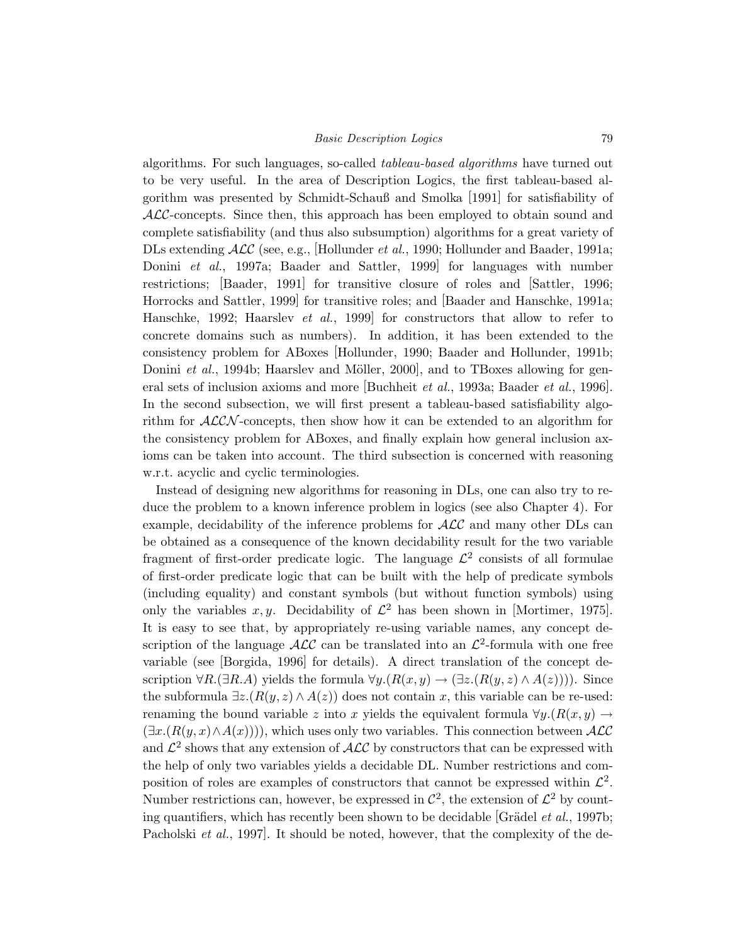#### Basic Description Logics 79

algorithms. For such languages, so-called *tableau-based algorithms* have turned out to be very useful. In the area of Description Logics, the first tableau-based algorithm was presented by Schmidt-Schauß and Smolka [1991] for satisfiability of  $ALC$ -concepts. Since then, this approach has been employed to obtain sound and complete satisfiability (and thus also subsumption) algorithms for a great variety of DLs extending  $\text{ALC}$  (see, e.g., [Hollunder *et al.*, 1990; Hollunder and Baader, 1991a; Donini et al., 1997a; Baader and Sattler, 1999] for languages with number restrictions; [Baader, 1991] for transitive closure of roles and [Sattler, 1996; Horrocks and Sattler, 1999] for transitive roles; and [Baader and Hanschke, 1991a; Hanschke, 1992; Haarslev et al., 1999] for constructors that allow to refer to concrete domains such as numbers). In addition, it has been extended to the consistency problem for ABoxes [Hollunder, 1990; Baader and Hollunder, 1991b; Donini *et al.*, 1994b; Haarslev and Möller, 2000], and to TBoxes allowing for general sets of inclusion axioms and more Buchheit *et al.*, 1993a; Baader *et al.*, 1996. In the second subsection, we will first present a tableau-based satisfiability algorithm for  $ALCN$ -concepts, then show how it can be extended to an algorithm for the consistency problem for ABoxes, and finally explain how general inclusion axioms can be taken into account. The third subsection is concerned with reasoning w.r.t. acyclic and cyclic terminologies.

Instead of designing new algorithms for reasoning in DLs, one can also try to reduce the problem to a known inference problem in logics (see also Chapter 4). For example, decidability of the inference problems for  $\mathcal{ALC}$  and many other DLs can be obtained as a consequence of the known decidability result for the two variable fragment of first-order predicate logic. The language  $\mathcal{L}^2$  consists of all formulae of first-order predicate logic that can be built with the help of predicate symbols (including equality) and constant symbols (but without function symbols) using only the variables  $x, y$ . Decidability of  $\mathcal{L}^2$  has been shown in [Mortimer, 1975]. It is easy to see that, by appropriately re-using variable names, any concept description of the language  $\mathcal{ALC}$  can be translated into an  $\mathcal{L}^2$ -formula with one free variable (see [Borgida, 1996] for details). A direct translation of the concept description  $\forall R.(\exists R.A)$  yields the formula  $\forall y.(\overline{R}(x,y) \rightarrow (\exists z.(\overline{R}(y,z) \land \overline{A}(z))))$ . Since the subformula  $\exists z.(R(y, z) \land A(z))$  does not contain x, this variable can be re-used: renaming the bound variable z into x yields the equivalent formula  $\forall y.(R(x, y) \rightarrow$  $(\exists x.(R(y,x) \land A(x))))$ , which uses only two variables. This connection between  $\mathcal{ALC}$ and  $\mathcal{L}^2$  shows that any extension of  $\mathcal{ALC}$  by constructors that can be expressed with the help of only two variables yields a decidable DL. Number restrictions and composition of roles are examples of constructors that cannot be expressed within  $\mathcal{L}^2$ . Number restrictions can, however, be expressed in  $\mathcal{C}^2$ , the extension of  $\mathcal{L}^2$  by counting quantifiers, which has recently been shown to be decidable [Grädel *et al.*, 1997b; Pacholski et al., 1997]. It should be noted, however, that the complexity of the de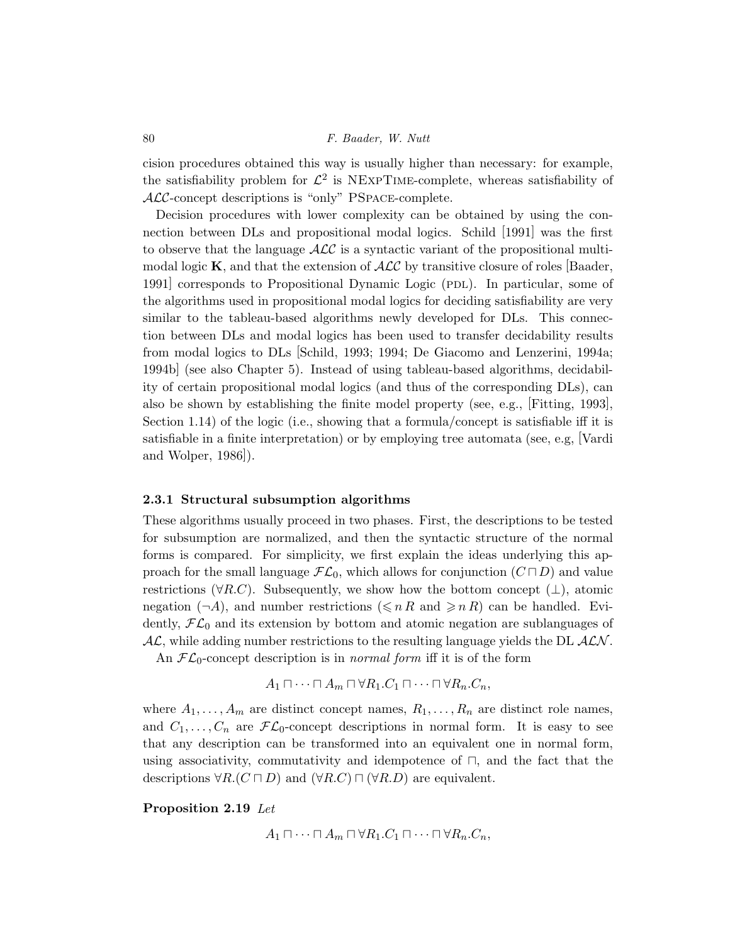cision procedures obtained this way is usually higher than necessary: for example, the satisfiability problem for  $\mathcal{L}^2$  is NEXPTIME-complete, whereas satisfiability of ALC-concept descriptions is "only" PSPACE-complete.

Decision procedures with lower complexity can be obtained by using the connection between DLs and propositional modal logics. Schild [1991] was the first to observe that the language  $\angle$  is a syntactic variant of the propositional multimodal logic **K**, and that the extension of  $\mathcal{ALC}$  by transitive closure of roles [Baader, 1991] corresponds to Propositional Dynamic Logic (pdl). In particular, some of the algorithms used in propositional modal logics for deciding satisfiability are very similar to the tableau-based algorithms newly developed for DLs. This connection between DLs and modal logics has been used to transfer decidability results from modal logics to DLs [Schild, 1993; 1994; De Giacomo and Lenzerini, 1994a; 1994b] (see also Chapter 5). Instead of using tableau-based algorithms, decidability of certain propositional modal logics (and thus of the corresponding DLs), can also be shown by establishing the finite model property (see, e.g., [Fitting, 1993], Section 1.14) of the logic (i.e., showing that a formula/concept is satisfiable iff it is satisfiable in a finite interpretation) or by employing tree automata (see, e.g, [Vardi and Wolper, 1986]).

#### 2.3.1 Structural subsumption algorithms

These algorithms usually proceed in two phases. First, the descriptions to be tested for subsumption are normalized, and then the syntactic structure of the normal forms is compared. For simplicity, we first explain the ideas underlying this approach for the small language  $\mathcal{FL}_0$ , which allows for conjunction  $(C \sqcap D)$  and value restrictions ( $\forall R.C$ ). Subsequently, we show how the bottom concept ( $\bot$ ), atomic negation  $(\neg A)$ , and number restrictions  $(\leq n R \text{ and } \geq n R)$  can be handled. Evidently,  $\mathcal{F}\mathcal{L}_0$  and its extension by bottom and atomic negation are sublanguages of  $AL$ , while adding number restrictions to the resulting language yields the DL  $ALN$ .

An  $\mathcal{FL}_0$ -concept description is in *normal form* iff it is of the form

$$
A_1 \sqcap \cdots \sqcap A_m \sqcap \forall R_1.C_1 \sqcap \cdots \sqcap \forall R_n.C_n,
$$

where  $A_1, \ldots, A_m$  are distinct concept names,  $R_1, \ldots, R_n$  are distinct role names, and  $C_1, \ldots, C_n$  are  $\mathcal{FL}_0$ -concept descriptions in normal form. It is easy to see that any description can be transformed into an equivalent one in normal form, using associativity, commutativity and idempotence of  $\Box$ , and the fact that the descriptions  $\forall R.(C \sqcap D)$  and  $(\forall R.C) \sqcap (\forall R.D)$  are equivalent.

#### Proposition 2.19 Let

$$
A_1 \sqcap \cdots \sqcap A_m \sqcap \forall R_1.C_1 \sqcap \cdots \sqcap \forall R_n.C_n,
$$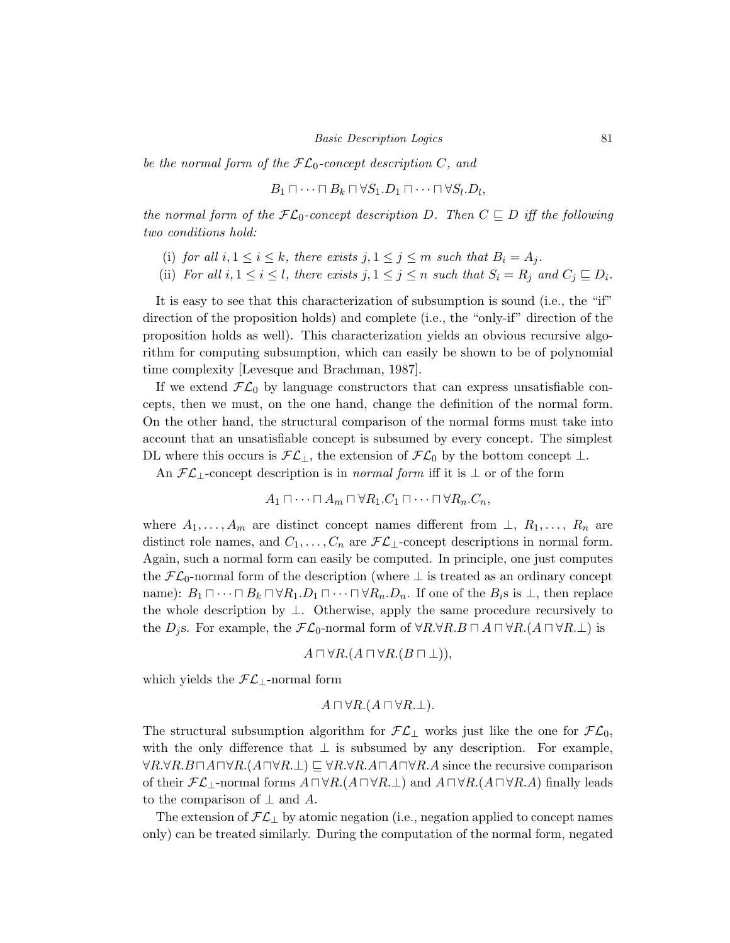#### Basic Description Logics 81

be the normal form of the  $FL_0$ -concept description C, and

$$
B_1 \sqcap \cdots \sqcap B_k \sqcap \forall S_1 \ldotp D_1 \sqcap \cdots \sqcap \forall S_l \ldotp D_l,
$$

the normal form of the  $FL_0$ -concept description D. Then  $C \sqsubseteq D$  iff the following two conditions hold:

- (i) for all  $i, 1 \leq i \leq k$ , there exists  $j, 1 \leq j \leq m$  such that  $B_i = A_j$ .
- (ii) For all  $i, 1 \le i \le l$ , there exists  $j, 1 \le j \le n$  such that  $S_i = R_j$  and  $C_j \sqsubseteq D_i$ .

It is easy to see that this characterization of subsumption is sound (i.e., the "if" direction of the proposition holds) and complete (i.e., the "only-if" direction of the proposition holds as well). This characterization yields an obvious recursive algorithm for computing subsumption, which can easily be shown to be of polynomial time complexity [Levesque and Brachman, 1987].

If we extend  $\mathcal{F}\mathcal{L}_0$  by language constructors that can express unsatisfiable concepts, then we must, on the one hand, change the definition of the normal form. On the other hand, the structural comparison of the normal forms must take into account that an unsatisfiable concept is subsumed by every concept. The simplest DL where this occurs is  $\mathcal{FL}_\perp$ , the extension of  $\mathcal{FL}_0$  by the bottom concept  $\perp$ .

An  $\mathcal{FL}_\perp$ -concept description is in *normal form* iff it is  $\perp$  or of the form

$$
A_1 \sqcap \cdots \sqcap A_m \sqcap \forall R_1.C_1 \sqcap \cdots \sqcap \forall R_n.C_n,
$$

where  $A_1, \ldots, A_m$  are distinct concept names different from  $\perp, R_1, \ldots, R_n$  are distinct role names, and  $C_1, \ldots, C_n$  are  $\mathcal{FL}_\perp$ -concept descriptions in normal form. Again, such a normal form can easily be computed. In principle, one just computes the  $\mathcal{FL}_0$ -normal form of the description (where  $\perp$  is treated as an ordinary concept name):  $B_1 \sqcap \cdots \sqcap B_k \sqcap \forall R_1 \sqcap \cdots \sqcap \forall R_n \sqcap_n$ . If one of the  $B_i$ s is  $\bot$ , then replace the whole description by ⊥. Otherwise, apply the same procedure recursively to the  $D_j$ s. For example, the  $\mathcal{FL}_0$ -normal form of  $\forall R \forall R . B \sqcap A \sqcap \forall R . (A \sqcap \forall R . \bot)$  is

$$
A \sqcap \forall R.(A \sqcap \forall R.(B \sqcap \bot)),
$$

which yields the  $FL_{\perp}$ -normal form

$$
A \sqcap \forall R.(A \sqcap \forall R.\bot).
$$

The structural subsumption algorithm for  $\mathcal{FL}_\perp$  works just like the one for  $\mathcal{FL}_0$ , with the only difference that  $\perp$  is subsumed by any description. For example,  $\forall R.\forall R.B\sqcap A\sqcap \forall R. (A\sqcap \forall R.\bot) \sqsubseteq \forall R.\forall R.A\sqcap A\sqcap \forall R.A$  since the recursive comparison of their  $\mathcal{FL}_{\perp}$ -normal forms  $A \sqcap \forall R. (A \sqcap \forall R.\bot)$  and  $A \sqcap \forall R. (A \sqcap \forall R.A)$  finally leads to the comparison of  $\perp$  and A.

The extension of  $\mathcal{FL}_{\perp}$  by atomic negation (i.e., negation applied to concept names only) can be treated similarly. During the computation of the normal form, negated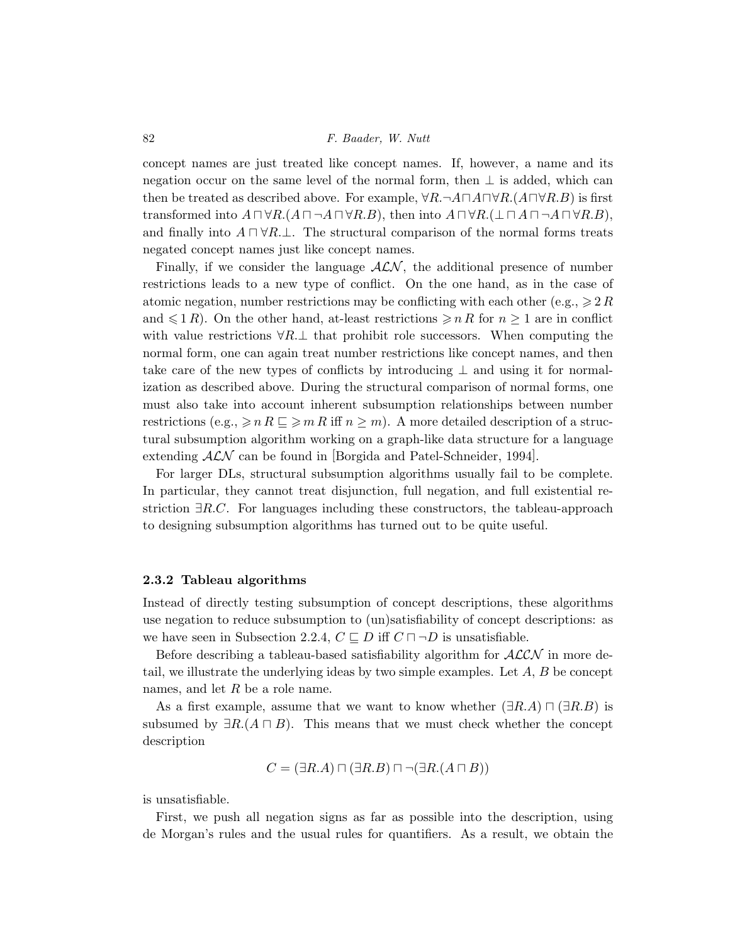concept names are just treated like concept names. If, however, a name and its negation occur on the same level of the normal form, then  $\perp$  is added, which can then be treated as described above. For example,  $\forall R.\neg A \sqcap A \sqcap \forall R.\overline{(A \sqcap \forall R.B)}$  is first transformed into  $A \sqcap \forall R.(A \sqcap \neg A \sqcap \forall R.B)$ , then into  $A \sqcap \forall R.(L \sqcap A \sqcap \neg A \sqcap \forall R.B)$ , and finally into  $A \sqcap \forall R \perp$ . The structural comparison of the normal forms treats negated concept names just like concept names.

Finally, if we consider the language  $ALN$ , the additional presence of number restrictions leads to a new type of conflict. On the one hand, as in the case of atomic negation, number restrictions may be conflicting with each other (e.g.,  $\geqslant 2 R$ ) and  $\leq 1$  R). On the other hand, at-least restrictions  $\geq n R$  for  $n \geq 1$  are in conflict with value restrictions  $\forall R \perp$  that prohibit role successors. When computing the normal form, one can again treat number restrictions like concept names, and then take care of the new types of conflicts by introducing  $\perp$  and using it for normalization as described above. During the structural comparison of normal forms, one must also take into account inherent subsumption relationships between number restrictions (e.g.,  $\geq n R \sqsubseteq \geq m R$  iff  $n \geq m$ ). A more detailed description of a structural subsumption algorithm working on a graph-like data structure for a language extending ALN can be found in [Borgida and Patel-Schneider, 1994].

For larger DLs, structural subsumption algorithms usually fail to be complete. In particular, they cannot treat disjunction, full negation, and full existential restriction ∃R.C. For languages including these constructors, the tableau-approach to designing subsumption algorithms has turned out to be quite useful.

#### 2.3.2 Tableau algorithms

Instead of directly testing subsumption of concept descriptions, these algorithms use negation to reduce subsumption to (un)satisfiability of concept descriptions: as we have seen in Subsection 2.2.4,  $C \sqsubseteq D$  iff  $C \sqcap \neg D$  is unsatisfiable.

Before describing a tableau-based satisfiability algorithm for  $ALCN$  in more detail, we illustrate the underlying ideas by two simple examples. Let  $A, B$  be concept names, and let  $R$  be a role name.

As a first example, assume that we want to know whether  $(\exists R.A) \sqcap (\exists R.B)$  is subsumed by  $\exists R.(A \sqcap B)$ . This means that we must check whether the concept description

$$
C = (\exists R.A) \sqcap (\exists R.B) \sqcap \neg (\exists R.(A \sqcap B))
$$

is unsatisfiable.

First, we push all negation signs as far as possible into the description, using de Morgan's rules and the usual rules for quantifiers. As a result, we obtain the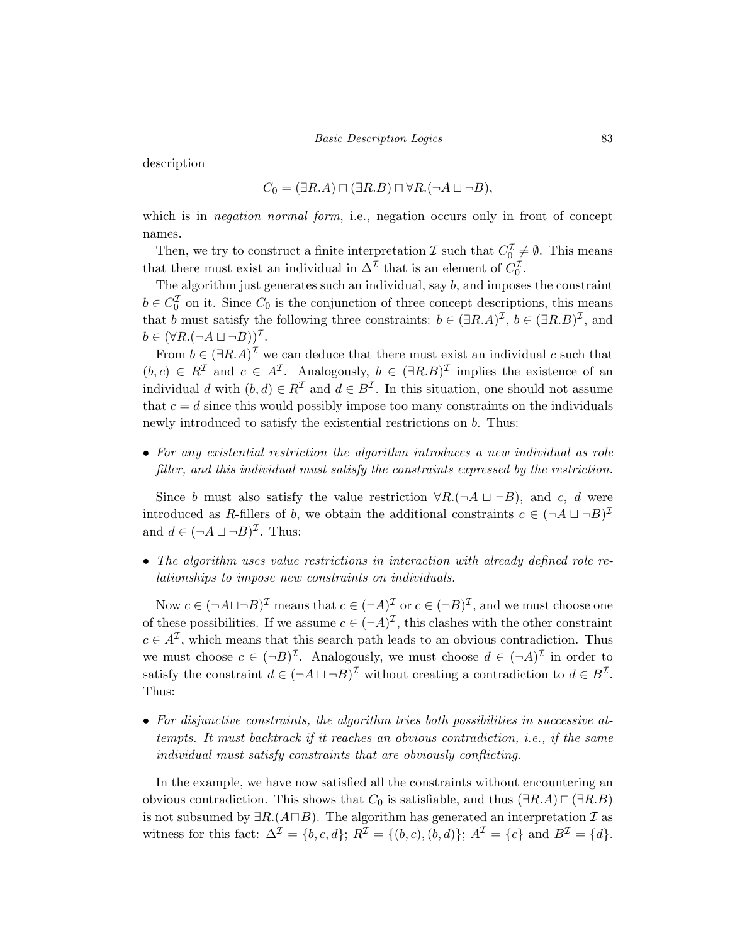description

$$
C_0 = (\exists R.A) \sqcap (\exists R.B) \sqcap \forall R. (\neg A \sqcup \neg B),
$$

which is in *negation normal form*, i.e., negation occurs only in front of concept names.

Then, we try to construct a finite interpretation  $\mathcal{I}$  such that  $C_0^{\mathcal{I}} \neq \emptyset$ . This means that there must exist an individual in  $\Delta^{\mathcal{I}}$  that is an element of  $C_0^{\mathcal{I}}$ .

The algorithm just generates such an individual, say  $b$ , and imposes the constraint  $b \in C_0^{\mathcal{I}}$  on it. Since  $C_0$  is the conjunction of three concept descriptions, this means that b must satisfy the following three constraints:  $b \in (\exists R.A)^{\mathcal{I}}, b \in (\exists R.B)^{\mathcal{I}},$  and  $b \in (\forall R.(\neg A \sqcup \neg B))^{\perp}.$ 

From  $b \in (\exists R.A)^{\mathcal{I}}$  we can deduce that there must exist an individual c such that  $(b, c) \in R^{\mathcal{I}}$  and  $c \in A^{\mathcal{I}}$ . Analogously,  $b \in (\exists R.B)^{\mathcal{I}}$  implies the existence of an individual d with  $(b, d) \in R^{\mathcal{I}}$  and  $d \in B^{\mathcal{I}}$ . In this situation, one should not assume that  $c = d$  since this would possibly impose too many constraints on the individuals newly introduced to satisfy the existential restrictions on b. Thus:

• For any existential restriction the algorithm introduces a new individual as role filler, and this individual must satisfy the constraints expressed by the restriction.

Since b must also satisfy the value restriction  $\forall R.(\neg A \sqcup \neg B)$ , and c, d were introduced as R-fillers of b, we obtain the additional constraints  $c \in (\neg A \sqcup \neg B)^{\perp}$ and  $d \in (\neg A \sqcup \neg B)^{\perp}$ . Thus:

• The algorithm uses value restrictions in interaction with already defined role relationships to impose new constraints on individuals.

Now  $c \in (\neg A \sqcup \neg B)^{\perp}$  means that  $c \in (\neg A)^{\perp}$  or  $c \in (\neg B)^{\perp}$ , and we must choose one of these possibilities. If we assume  $c \in (\neg A)^{\perp}$ , this clashes with the other constraint  $c \in A<sup>2</sup>$ , which means that this search path leads to an obvious contradiction. Thus we must choose  $c \in (\neg B)^{\perp}$ . Analogously, we must choose  $d \in (\neg A)^{\perp}$  in order to satisfy the constraint  $d \in (\neg A \sqcup \neg B)^{\perp}$  without creating a contradiction to  $d \in B^{\perp}$ . Thus:

• For disjunctive constraints, the algorithm tries both possibilities in successive attempts. It must backtrack if it reaches an obvious contradiction, i.e., if the same individual must satisfy constraints that are obviously conflicting.

In the example, we have now satisfied all the constraints without encountering an obvious contradiction. This shows that  $C_0$  is satisfiable, and thus  $(\exists R.A) \sqcap (\exists R.B)$ is not subsumed by  $\exists R.(A \sqcap B)$ . The algorithm has generated an interpretation  $\mathcal I$  as witness for this fact:  $\Delta^{\mathcal{I}} = \{b, c, d\}$ ;  $R^{\mathcal{I}} = \{(b, c), (b, d)\}$ ;  $A^{\mathcal{I}} = \{c\}$  and  $B^{\mathcal{I}} = \{d\}$ .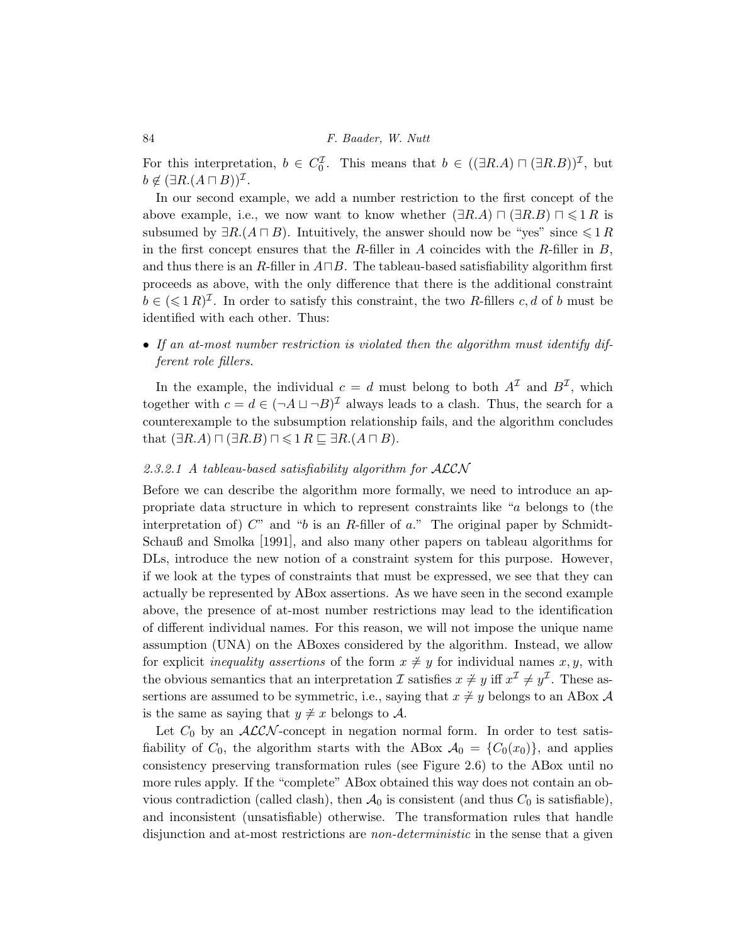For this interpretation,  $b \in C_0^{\mathcal{L}}$ . This means that  $b \in ((\exists R.A) \cap (\exists R.B))^{\mathcal{L}}$ , but  $b \notin (\exists R.(A \sqcap B))^{\perp}.$ 

In our second example, we add a number restriction to the first concept of the above example, i.e., we now want to know whether  $(\exists R.A) \sqcap (\exists R.B) \sqcap \leq l R$  is subsumed by  $\exists R. (A \sqcap B)$ . Intuitively, the answer should now be "yes" since  $\leq 1 R$ in the first concept ensures that the R-filler in A coincides with the R-filler in  $B$ , and thus there is an R-filler in  $A \sqcap B$ . The tableau-based satisfiability algorithm first proceeds as above, with the only difference that there is the additional constraint  $b \in (\leq 1 \, R)^2$ . In order to satisfy this constraint, the two R-fillers c, d of b must be identified with each other. Thus:

• If an at-most number restriction is violated then the algorithm must identify different role fillers.

In the example, the individual  $c = d$  must belong to both  $A<sup>\perp</sup>$  and  $B<sup>\perp</sup>$ , which together with  $c = d \in (\neg A \sqcup \neg B)^{\perp}$  always leads to a clash. Thus, the search for a counterexample to the subsumption relationship fails, and the algorithm concludes that  $(\exists R.A) \sqcap (\exists R.B) \sqcap \leqslant 1 R \sqsubseteq \exists R.(A \sqcap B).$ 

#### 2.3.2.1 A tableau-based satisfiability algorithm for ALCN

Before we can describe the algorithm more formally, we need to introduce an appropriate data structure in which to represent constraints like "a belongs to (the interpretation of) C" and "b is an R-filler of a." The original paper by Schmidt-Schauß and Smolka [1991], and also many other papers on tableau algorithms for DLs, introduce the new notion of a constraint system for this purpose. However, if we look at the types of constraints that must be expressed, we see that they can actually be represented by ABox assertions. As we have seen in the second example above, the presence of at-most number restrictions may lead to the identification of different individual names. For this reason, we will not impose the unique name assumption (UNA) on the ABoxes considered by the algorithm. Instead, we allow for explicit *inequality assertions* of the form  $x \neq y$  for individual names  $x, y$ , with the obvious semantics that an interpretation  $\mathcal I$  satisfies  $x \neq y$  iff  $x^{\mathcal I} \neq y^{\mathcal I}$ . These assertions are assumed to be symmetric, i.e., saying that  $x \neq y$  belongs to an ABox A is the same as saying that  $y \neq x$  belongs to  $\mathcal{A}$ .

Let  $C_0$  by an  $ALCN$ -concept in negation normal form. In order to test satisfiability of  $C_0$ , the algorithm starts with the ABox  $\mathcal{A}_0 = \{C_0(x_0)\}\text{, and applies}$ consistency preserving transformation rules (see Figure 2.6) to the ABox until no more rules apply. If the "complete" ABox obtained this way does not contain an obvious contradiction (called clash), then  $A_0$  is consistent (and thus  $C_0$  is satisfiable), and inconsistent (unsatisfiable) otherwise. The transformation rules that handle disjunction and at-most restrictions are *non-deterministic* in the sense that a given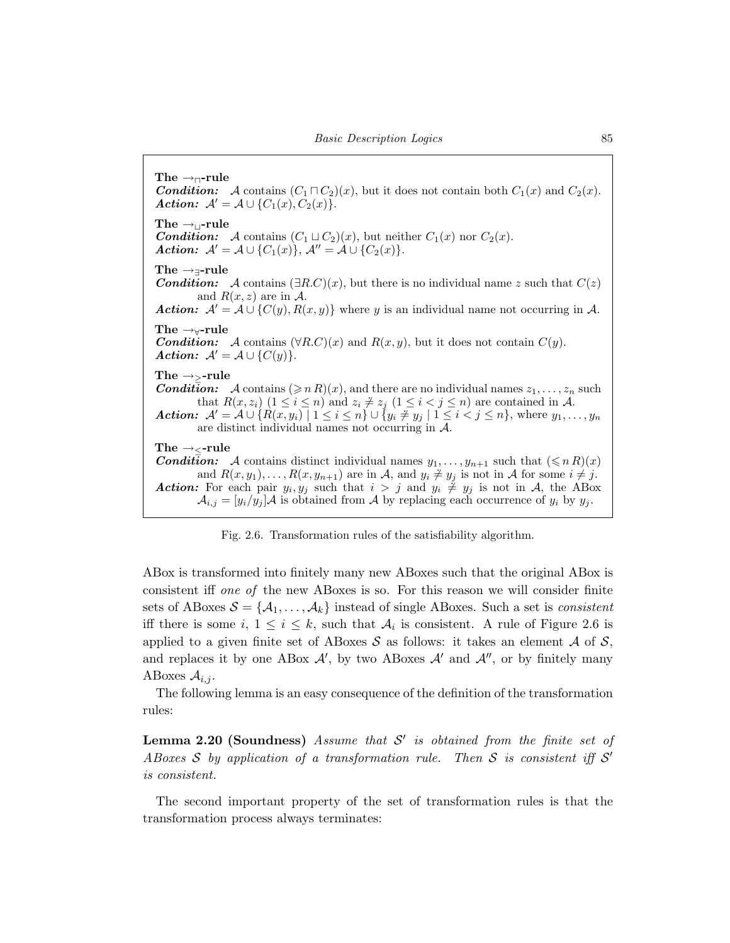The  $\rightarrow_{\Box}$ -rule **Condition:** A contains  $(C_1 \sqcap C_2)(x)$ , but it does not contain both  $C_1(x)$  and  $C_2(x)$ . Action:  $\mathcal{A}' = \mathcal{A} \cup \{C_1(x), C_2(x)\}.$ The  $\rightarrow$ <sub>U</sub>-rule **Condition:** A contains  $(C_1 \sqcup C_2)(x)$ , but neither  $C_1(x)$  nor  $C_2(x)$ . Action:  $\mathcal{A}' = \mathcal{A} \cup \{C_1(x)\}, \ \mathcal{A}'' = \mathcal{A} \cup \{C_2(x)\}.$ The →∃-rule **Condition:** A contains  $(\exists R.C)(x)$ , but there is no individual name z such that  $C(z)$ and  $R(x, z)$  are in A. **Action:**  $A' = A \cup \{C(y), R(x, y)\}\$  where y is an individual name not occurring in A. The  $\rightarrow$  +rule **Condition:** A contains  $(\forall R.C)(x)$  and  $R(x, y)$ , but it does not contain  $C(y)$ . Action:  $\mathcal{A}' = \mathcal{A} \cup \{C(y)\}.$ The  $\rightarrow >$ -rule **Condition:** A contains  $(\geqslant n R)(x)$ , and there are no individual names  $z_1, \ldots, z_n$  such that  $R(x, z_i)$   $(1 \le i \le n)$  and  $z_i \ne z_j$   $(1 \le i \le j \le n)$  are contained in A. Action:  $\mathcal{A}' = \mathcal{A} \cup \{R(x, y_i) \mid 1 \leq i \leq n\} \cup \{y_i \neq y_j \mid 1 \leq i < j \leq n\}$ , where  $y_1, \ldots, y_n$ are distinct individual names not occurring in A. The  $\rightarrow$ <-rule **Condition:** A contains distinct individual names  $y_1, \ldots, y_{n+1}$  such that  $(\leq n R)(x)$ and  $R(x, y_1), \ldots, R(x, y_{n+1})$  are in A, and  $y_i \neq y_j$  is not in A for some  $i \neq j$ . **Action:** For each pair  $y_i, y_j$  such that  $i > j$  and  $y_i \neq y_j$  is not in A, the ABox  $\mathcal{A}_{i,j} = [y_i/y_j] \mathcal{A}$  is obtained from  $\mathcal{A}$  by replacing each occurrence of  $y_i$  by  $y_j$ .

Fig. 2.6. Transformation rules of the satisfiability algorithm.

ABox is transformed into finitely many new ABoxes such that the original ABox is consistent iff one of the new ABoxes is so. For this reason we will consider finite sets of ABoxes  $\mathcal{S} = \{A_1, \ldots, A_k\}$  instead of single ABoxes. Such a set is *consistent* iff there is some  $i, 1 \leq i \leq k$ , such that  $\mathcal{A}_i$  is consistent. A rule of Figure 2.6 is applied to a given finite set of ABoxes  $S$  as follows: it takes an element  $A$  of  $S$ , and replaces it by one ABox  $\mathcal{A}'$ , by two ABoxes  $\mathcal{A}'$  and  $\mathcal{A}''$ , or by finitely many ABoxes  $A_{i,j}$ .

The following lemma is an easy consequence of the definition of the transformation rules:

**Lemma 2.20 (Soundness)** Assume that  $\mathcal{S}'$  is obtained from the finite set of ABoxes S by application of a transformation rule. Then S is consistent iff  $\mathcal{S}'$ is consistent.

The second important property of the set of transformation rules is that the transformation process always terminates: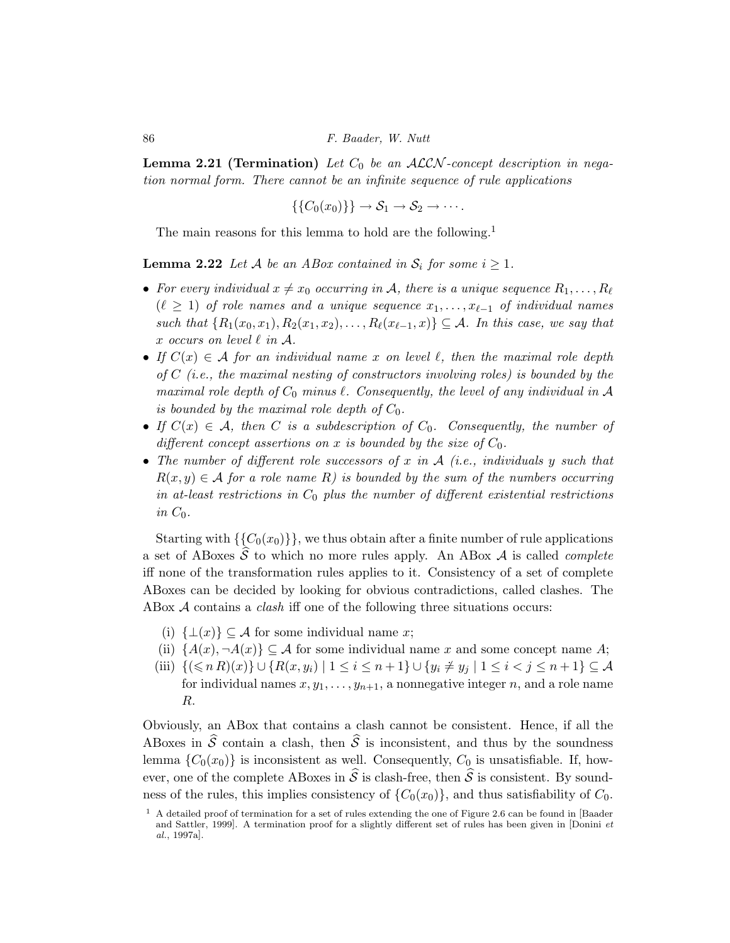**Lemma 2.21 (Termination)** Let  $C_0$  be an ALCN-concept description in negation normal form. There cannot be an infinite sequence of rule applications

$$
\{\{C_0(x_0)\}\}\rightarrow \mathcal{S}_1\rightarrow \mathcal{S}_2\rightarrow \cdots.
$$

The main reasons for this lemma to hold are the following.<sup>1</sup>

**Lemma 2.22** Let A be an ABox contained in  $S_i$  for some  $i \geq 1$ .

- For every individual  $x \neq x_0$  occurring in A, there is a unique sequence  $R_1, \ldots, R_\ell$  $(\ell \geq 1)$  of role names and a unique sequence  $x_1, \ldots, x_{\ell-1}$  of individual names such that  $\{R_1(x_0, x_1), R_2(x_1, x_2), \ldots, R_\ell(x_{\ell-1}, x)\} \subseteq A$ . In this case, we say that x occurs on level  $\ell$  in  $\mathcal{A}$ .
- If  $C(x) \in \mathcal{A}$  for an individual name x on level  $\ell$ , then the maximal role depth of  $C$  (i.e., the maximal nesting of constructors involving roles) is bounded by the maximal role depth of  $C_0$  minus  $\ell$ . Consequently, the level of any individual in A is bounded by the maximal role depth of  $C_0$ .
- If  $C(x) \in \mathcal{A}$ , then C is a subdescription of  $C_0$ . Consequently, the number of different concept assertions on x is bounded by the size of  $C_0$ .
- The number of different role successors of x in  $A$  (i.e., individuals y such that  $R(x, y) \in \mathcal{A}$  for a role name R) is bounded by the sum of the numbers occurring in at-least restrictions in  $C_0$  plus the number of different existential restrictions in  $C_0$ .

Starting with  $\{C_0(x_0)\}\$ , we thus obtain after a finite number of rule applications a set of ABoxes S to which no more rules apply. An ABox  $A$  is called *complete* iff none of the transformation rules applies to it. Consistency of a set of complete ABoxes can be decided by looking for obvious contradictions, called clashes. The ABox  $A$  contains a *clash* iff one of the following three situations occurs:

- (i)  $\{\perp(x)\}\subseteq \mathcal{A}$  for some individual name x;
- (ii)  $\{A(x), \neg A(x)\}\subseteq \mathcal{A}$  for some individual name x and some concept name A;
- (iii)  $\{(\le n R)(x)\}\cup \{R(x,y_i)\mid 1\le i\le n+1\}\cup \{y_i\neq y_j\mid 1\le i< j\le n+1\}\subseteq \mathcal{A}$ for individual names  $x, y_1, \ldots, y_{n+1}$ , a nonnegative integer n, and a role name R.

Obviously, an ABox that contains a clash cannot be consistent. Hence, if all the ABoxes in  $\hat{S}$  contain a clash, then  $\hat{S}$  is inconsistent, and thus by the soundness lemma  ${C_0(x_0)}$  is inconsistent as well. Consequently,  $C_0$  is unsatisfiable. If, however, one of the complete ABoxes in  $\widehat{\mathcal{S}}$  is clash-free, then  $\widehat{\mathcal{S}}$  is consistent. By soundness of the rules, this implies consistency of  $\{C_0(x_0)\}\$ , and thus satisfiability of  $C_0$ .

<sup>1</sup> A detailed proof of termination for a set of rules extending the one of Figure 2.6 can be found in [Baader and Sattler, 1999]. A termination proof for a slightly different set of rules has been given in [Donini et al., 1997a].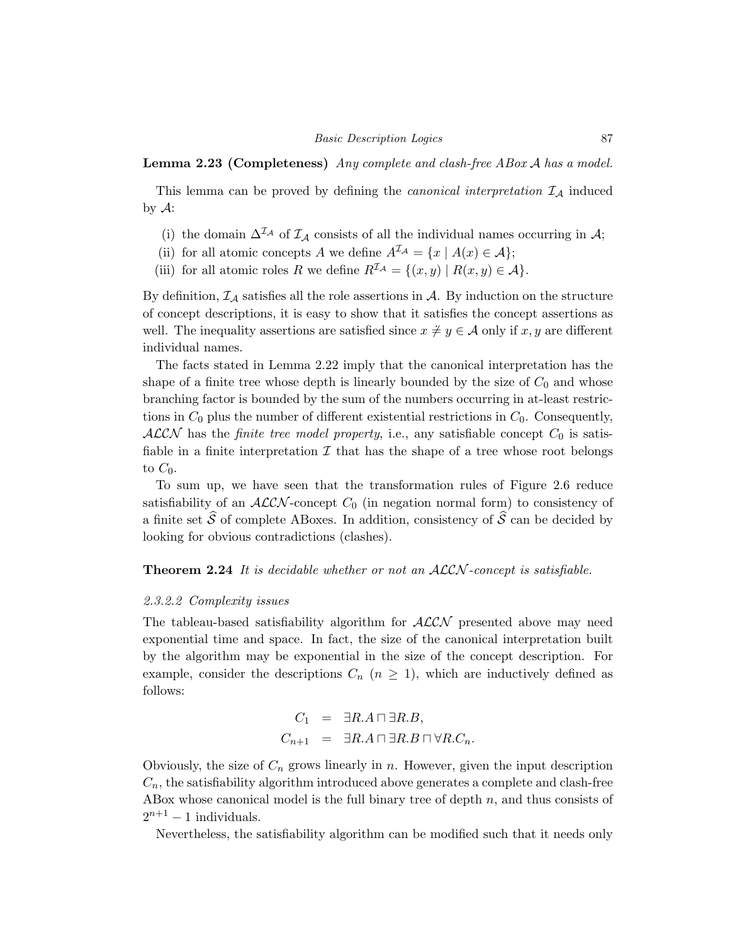Lemma 2.23 (Completeness) Any complete and clash-free ABox A has a model.

This lemma can be proved by defining the *canonical interpretation*  $I_A$  induced by  $A$ :

- (i) the domain  $\Delta^{\mathcal{I}_{\mathcal{A}}}$  of  $\mathcal{I}_{\mathcal{A}}$  consists of all the individual names occurring in  $\mathcal{A}$ ;
- (ii) for all atomic concepts A we define  $A^{\mathcal{I}_{\mathcal{A}}} = \{x \mid A(x) \in \mathcal{A}\};$
- (iii) for all atomic roles R we define  $R^{\mathcal{I}_{\mathcal{A}}} = \{(x, y) | R(x, y) \in \mathcal{A}\}.$

By definition,  $\mathcal{I}_{\mathcal{A}}$  satisfies all the role assertions in  $\mathcal{A}$ . By induction on the structure of concept descriptions, it is easy to show that it satisfies the concept assertions as well. The inequality assertions are satisfied since  $x \neq y \in \mathcal{A}$  only if  $x, y$  are different individual names.

The facts stated in Lemma 2.22 imply that the canonical interpretation has the shape of a finite tree whose depth is linearly bounded by the size of  $C_0$  and whose branching factor is bounded by the sum of the numbers occurring in at-least restrictions in  $C_0$  plus the number of different existential restrictions in  $C_0$ . Consequently, ALCN has the *finite tree model property*, i.e., any satisfiable concept  $C_0$  is satisfiable in a finite interpretation  $\mathcal I$  that has the shape of a tree whose root belongs to  $C_0$ .

To sum up, we have seen that the transformation rules of Figure 2.6 reduce satisfiability of an  $ALCN$ -concept  $C_0$  (in negation normal form) to consistency of a finite set  $\widehat{\mathcal{S}}$  of complete ABoxes. In addition, consistency of  $\widehat{\mathcal{S}}$  can be decided by looking for obvious contradictions (clashes).

#### **Theorem 2.24** It is decidable whether or not an  $ALCN$ -concept is satisfiable.

#### 2.3.2.2 Complexity issues

The tableau-based satisfiability algorithm for  $ALCN$  presented above may need exponential time and space. In fact, the size of the canonical interpretation built by the algorithm may be exponential in the size of the concept description. For example, consider the descriptions  $C_n$   $(n \geq 1)$ , which are inductively defined as follows:

$$
C_1 = \exists R.A \sqcap \exists R.B,
$$
  

$$
C_{n+1} = \exists R.A \sqcap \exists R.B \sqcap \forall R.C_n.
$$

Obviously, the size of  $C_n$  grows linearly in n. However, given the input description  $C_n$ , the satisfiability algorithm introduced above generates a complete and clash-free ABox whose canonical model is the full binary tree of depth  $n$ , and thus consists of  $2^{n+1} - 1$  individuals.

Nevertheless, the satisfiability algorithm can be modified such that it needs only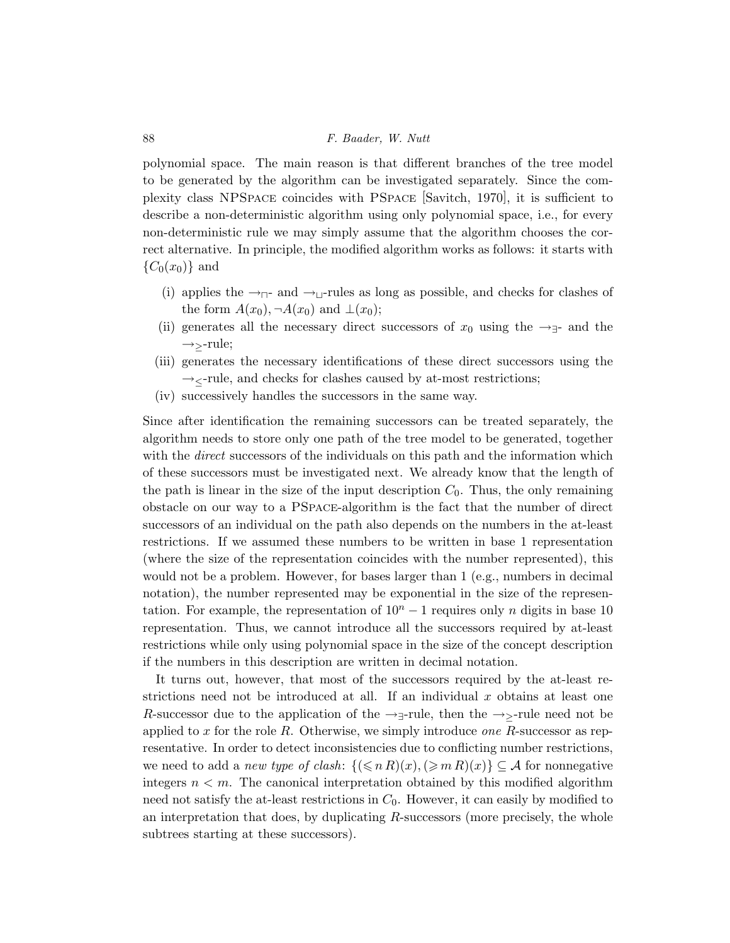polynomial space. The main reason is that different branches of the tree model to be generated by the algorithm can be investigated separately. Since the complexity class NPSpace coincides with PSpace [Savitch, 1970], it is sufficient to describe a non-deterministic algorithm using only polynomial space, i.e., for every non-deterministic rule we may simply assume that the algorithm chooses the correct alternative. In principle, the modified algorithm works as follows: it starts with  ${C_0(x_0)}$  and

- (i) applies the  $\rightarrow_{\Box}$ -rules as long as possible, and checks for clashes of the form  $A(x_0)$ ,  $\neg A(x_0)$  and  $\bot(x_0)$ ;
- (ii) generates all the necessary direct successors of  $x_0$  using the  $\rightarrow$ <sub>∃</sub>- and the →≥-rule;
- (iii) generates the necessary identifications of these direct successors using the  $\rightarrow$  -rule, and checks for clashes caused by at-most restrictions;
- (iv) successively handles the successors in the same way.

Since after identification the remaining successors can be treated separately, the algorithm needs to store only one path of the tree model to be generated, together with the *direct* successors of the individuals on this path and the information which of these successors must be investigated next. We already know that the length of the path is linear in the size of the input description  $C_0$ . Thus, the only remaining obstacle on our way to a PSpace-algorithm is the fact that the number of direct successors of an individual on the path also depends on the numbers in the at-least restrictions. If we assumed these numbers to be written in base 1 representation (where the size of the representation coincides with the number represented), this would not be a problem. However, for bases larger than 1 (e.g., numbers in decimal notation), the number represented may be exponential in the size of the representation. For example, the representation of  $10<sup>n</sup> - 1$  requires only n digits in base 10 representation. Thus, we cannot introduce all the successors required by at-least restrictions while only using polynomial space in the size of the concept description if the numbers in this description are written in decimal notation.

It turns out, however, that most of the successors required by the at-least restrictions need not be introduced at all. If an individual  $x$  obtains at least one R-successor due to the application of the  $\rightarrow$ <sub>7</sub>-rule, then the  $\rightarrow$ >-rule need not be applied to x for the role R. Otherwise, we simply introduce one R-successor as representative. In order to detect inconsistencies due to conflicting number restrictions, we need to add a new type of clash:  $\{(\leq n R)(x),(\geq m R)(x)\}\subseteq \mathcal{A}$  for nonnegative integers  $n < m$ . The canonical interpretation obtained by this modified algorithm need not satisfy the at-least restrictions in  $C_0$ . However, it can easily by modified to an interpretation that does, by duplicating  $R$ -successors (more precisely, the whole subtrees starting at these successors).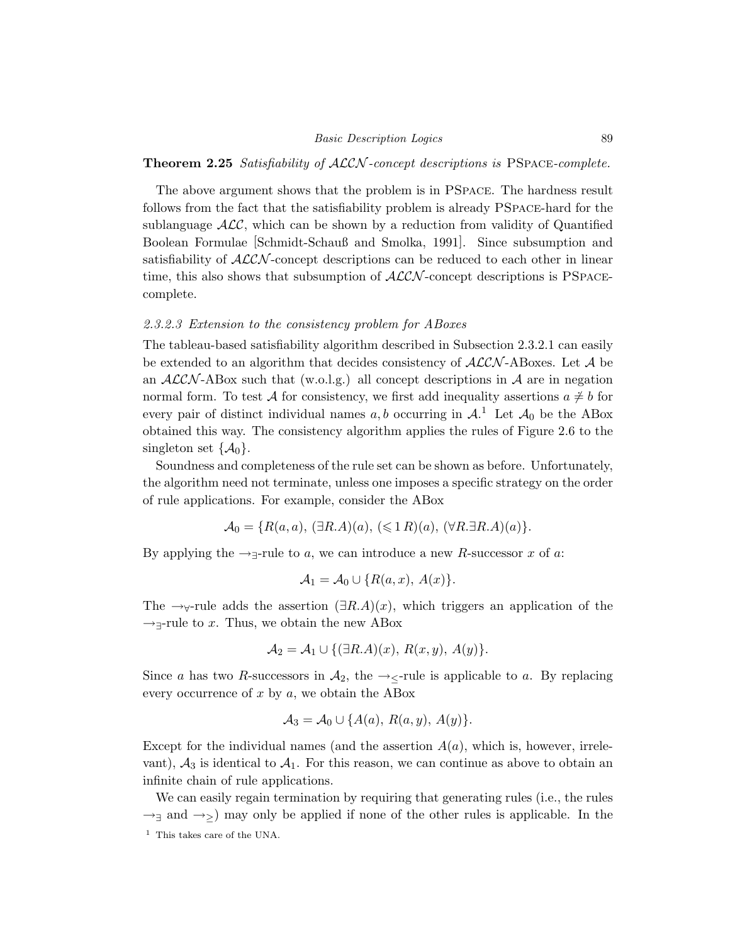### **Theorem 2.25** Satisfiability of ALCN-concept descriptions is PSPACE-complete.

The above argument shows that the problem is in PSpace. The hardness result follows from the fact that the satisfiability problem is already PSpace-hard for the sublanguage  $\text{ALC}$ , which can be shown by a reduction from validity of Quantified Boolean Formulae [Schmidt-Schauß and Smolka, 1991]. Since subsumption and satisfiability of  $\mathcal{ALCN}$ -concept descriptions can be reduced to each other in linear time, this also shows that subsumption of  $\text{ALCN-concept}$  descriptions is PSPACEcomplete.

#### 2.3.2.3 Extension to the consistency problem for ABoxes

The tableau-based satisfiability algorithm described in Subsection 2.3.2.1 can easily be extended to an algorithm that decides consistency of  $\mathcal{ALCN}\text{-ABoxes.}$  Let  $\mathcal A$  be an  $ALCN$ -ABox such that (w.o.l.g.) all concept descriptions in A are in negation normal form. To test A for consistency, we first add inequality assertions  $a \neq b$  for every pair of distinct individual names  $a, b$  occurring in  $A<sup>1</sup>$ . Let  $A<sub>0</sub>$  be the ABox obtained this way. The consistency algorithm applies the rules of Figure 2.6 to the singleton set  $\{\mathcal{A}_0\}$ .

Soundness and completeness of the rule set can be shown as before. Unfortunately, the algorithm need not terminate, unless one imposes a specific strategy on the order of rule applications. For example, consider the ABox

$$
\mathcal{A}_0 = \{ R(a, a), (\exists R.A)(a), (\leq 1 R)(a), (\forall R. \exists R.A)(a) \}.
$$

By applying the  $\rightarrow$ <sub>7</sub>-rule to a, we can introduce a new R-successor x of a:

$$
\mathcal{A}_1 = \mathcal{A}_0 \cup \{R(a,x), A(x)\}.
$$

The  $\rightarrow$ y-rule adds the assertion  $(\exists R.A)(x)$ , which triggers an application of the  $\rightarrow$ <sub>7</sub>-rule to x. Thus, we obtain the new ABox

$$
\mathcal{A}_2 = \mathcal{A}_1 \cup \{ (\exists R.A)(x), R(x,y), A(y) \}.
$$

Since a has two R-successors in  $\mathcal{A}_2$ , the  $\rightarrow$ <-rule is applicable to a. By replacing every occurrence of  $x$  by  $a$ , we obtain the ABox

$$
\mathcal{A}_3 = \mathcal{A}_0 \cup \{A(a), R(a,y), A(y)\}.
$$

Except for the individual names (and the assertion  $A(a)$ , which is, however, irrelevant),  $\mathcal{A}_3$  is identical to  $\mathcal{A}_1$ . For this reason, we can continue as above to obtain an infinite chain of rule applications.

We can easily regain termination by requiring that generating rules (i.e., the rules  $\rightarrow$  and  $\rightarrow$ >) may only be applied if none of the other rules is applicable. In the  $^{\rm 1}$  This takes care of the UNA.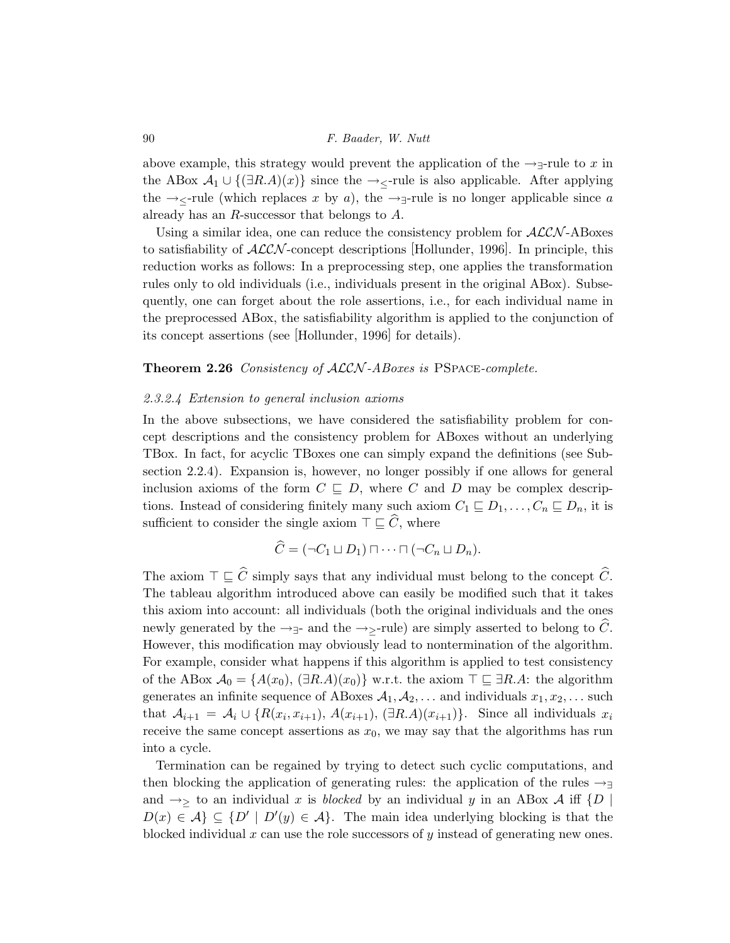above example, this strategy would prevent the application of the  $\rightarrow$ <sub>3</sub>-rule to x in the ABox  $A_1 \cup \{(\exists R.A)(x)\}\$  since the  $\rightarrow \le$ -rule is also applicable. After applying the  $\rightarrow$ <-rule (which replaces x by a), the  $\rightarrow$ <sub>∃</sub>-rule is no longer applicable since a already has an R-successor that belongs to A.

Using a similar idea, one can reduce the consistency problem for  $\mathcal{ALCN}\text{-}\mathrm{ABoxes}$ to satisfiability of  $\text{ALCN}$ -concept descriptions [Hollunder, 1996]. In principle, this reduction works as follows: In a preprocessing step, one applies the transformation rules only to old individuals (i.e., individuals present in the original ABox). Subsequently, one can forget about the role assertions, i.e., for each individual name in the preprocessed ABox, the satisfiability algorithm is applied to the conjunction of its concept assertions (see [Hollunder, 1996] for details).

#### Theorem 2.26 Consistency of ALCN-ABoxes is PSPACE-complete.

#### 2.3.2.4 Extension to general inclusion axioms

In the above subsections, we have considered the satisfiability problem for concept descriptions and the consistency problem for ABoxes without an underlying TBox. In fact, for acyclic TBoxes one can simply expand the definitions (see Subsection 2.2.4). Expansion is, however, no longer possibly if one allows for general inclusion axioms of the form  $C \subseteq D$ , where C and D may be complex descriptions. Instead of considering finitely many such axiom  $C_1 \subseteq D_1, \ldots, C_n \subseteq D_n$ , it is sufficient to consider the single axiom  $\top \sqsubseteq \widehat{C}$ , where

$$
\widehat{C} = (\neg C_1 \sqcup D_1) \sqcap \cdots \sqcap (\neg C_n \sqcup D_n).
$$

The axiom  $\top \sqsubseteq \widehat{C}$  simply says that any individual must belong to the concept  $\widehat{C}$ . The tableau algorithm introduced above can easily be modified such that it takes this axiom into account: all individuals (both the original individuals and the ones newly generated by the  $\rightarrow$ <sub>∃</sub>- and the  $\rightarrow$ <sub>≥</sub>-rule) are simply asserted to belong to  $\hat{C}$ . However, this modification may obviously lead to nontermination of the algorithm. For example, consider what happens if this algorithm is applied to test consistency of the ABox  $A_0 = \{A(x_0), \,(\exists R.A)(x_0)\}\,$  w.r.t. the axiom  $\top \sqsubseteq \exists R.A:$  the algorithm generates an infinite sequence of ABoxes  $A_1, A_2, \ldots$  and individuals  $x_1, x_2, \ldots$  such that  $A_{i+1} = A_i \cup \{R(x_i, x_{i+1}), A(x_{i+1}), (\exists R.A)(x_{i+1})\}$ . Since all individuals  $x_i$ receive the same concept assertions as  $x_0$ , we may say that the algorithms has run into a cycle.

Termination can be regained by trying to detect such cyclic computations, and then blocking the application of generating rules: the application of the rules  $\rightarrow$ and  $\rightarrow \geq$  to an individual x is blocked by an individual y in an ABox A iff  $\{D \mid$  $D(x) \in \mathcal{A}$   $\subseteq \{D' \mid D'(y) \in \mathcal{A}\}$ . The main idea underlying blocking is that the blocked individual  $x$  can use the role successors of  $y$  instead of generating new ones.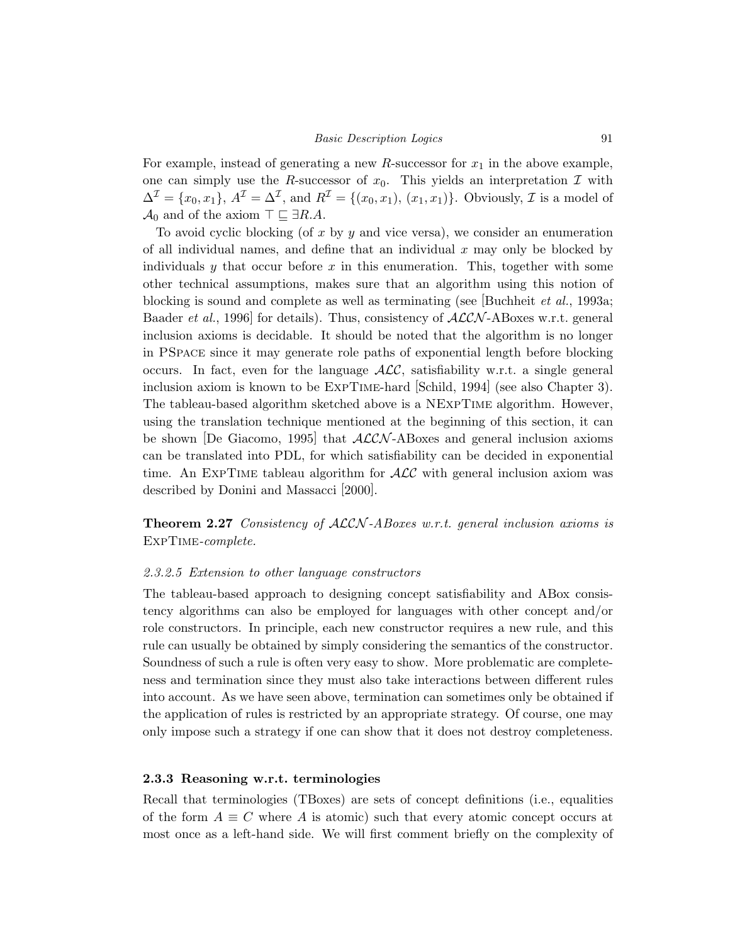For example, instead of generating a new R-successor for  $x_1$  in the above example, one can simply use the R-successor of  $x_0$ . This yields an interpretation  $\mathcal I$  with  $\Delta^2 = \{x_0, x_1\}, A^2 = \Delta^2$ , and  $R^2 = \{(x_0, x_1), (x_1, x_1)\}.$  Obviously,  $\mathcal I$  is a model of  $\mathcal{A}_0$  and of the axiom  $\top \sqsubseteq \exists R.A$ .

To avoid cyclic blocking (of x by y and vice versa), we consider an enumeration of all individual names, and define that an individual  $x$  may only be blocked by individuals  $y$  that occur before  $x$  in this enumeration. This, together with some other technical assumptions, makes sure that an algorithm using this notion of blocking is sound and complete as well as terminating (see [Buchheit et al., 1993a; Baader *et al.*, 1996 for details). Thus, consistency of  $ALCN$ -ABoxes w.r.t. general inclusion axioms is decidable. It should be noted that the algorithm is no longer in PSpace since it may generate role paths of exponential length before blocking occurs. In fact, even for the language  $\text{AIC}$ , satisfiability w.r.t. a single general inclusion axiom is known to be ExpTime-hard [Schild, 1994] (see also Chapter 3). The tableau-based algorithm sketched above is a NExpTime algorithm. However, using the translation technique mentioned at the beginning of this section, it can be shown [De Giacomo, 1995] that  $ALCN-ABox$ es and general inclusion axioms can be translated into PDL, for which satisfiability can be decided in exponential time. An EXPTIME tableau algorithm for  $\mathcal{ALC}$  with general inclusion axiom was described by Donini and Massacci [2000].

**Theorem 2.27** Consistency of  $ALCN-ABoxes$  w.r.t. general inclusion axioms is EXPTIME-complete.

#### 2.3.2.5 Extension to other language constructors

The tableau-based approach to designing concept satisfiability and ABox consistency algorithms can also be employed for languages with other concept and/or role constructors. In principle, each new constructor requires a new rule, and this rule can usually be obtained by simply considering the semantics of the constructor. Soundness of such a rule is often very easy to show. More problematic are completeness and termination since they must also take interactions between different rules into account. As we have seen above, termination can sometimes only be obtained if the application of rules is restricted by an appropriate strategy. Of course, one may only impose such a strategy if one can show that it does not destroy completeness.

#### 2.3.3 Reasoning w.r.t. terminologies

Recall that terminologies (TBoxes) are sets of concept definitions (i.e., equalities of the form  $A \equiv C$  where A is atomic) such that every atomic concept occurs at most once as a left-hand side. We will first comment briefly on the complexity of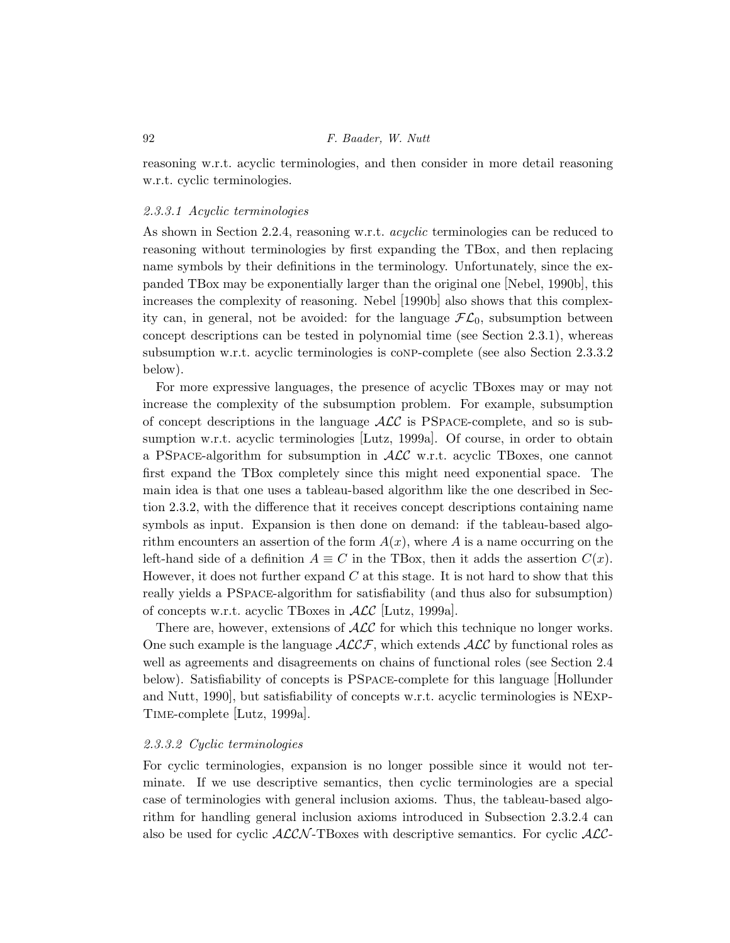reasoning w.r.t. acyclic terminologies, and then consider in more detail reasoning w.r.t. cyclic terminologies.

#### 2.3.3.1 Acyclic terminologies

As shown in Section 2.2.4, reasoning w.r.t. *acyclic* terminologies can be reduced to reasoning without terminologies by first expanding the TBox, and then replacing name symbols by their definitions in the terminology. Unfortunately, since the expanded TBox may be exponentially larger than the original one [Nebel, 1990b], this increases the complexity of reasoning. Nebel [1990b] also shows that this complexity can, in general, not be avoided: for the language  $\mathcal{FL}_0$ , subsumption between concept descriptions can be tested in polynomial time (see Section 2.3.1), whereas subsumption w.r.t. acyclic terminologies is conp-complete (see also Section 2.3.3.2 below).

For more expressive languages, the presence of acyclic TBoxes may or may not increase the complexity of the subsumption problem. For example, subsumption of concept descriptions in the language  $\mathcal{ALC}$  is PSPACE-complete, and so is subsumption w.r.t. acyclic terminologies [Lutz, 1999a]. Of course, in order to obtain a PSPACE-algorithm for subsumption in  $\text{ALC}$  w.r.t. acyclic TBoxes, one cannot first expand the TBox completely since this might need exponential space. The main idea is that one uses a tableau-based algorithm like the one described in Section 2.3.2, with the difference that it receives concept descriptions containing name symbols as input. Expansion is then done on demand: if the tableau-based algorithm encounters an assertion of the form  $A(x)$ , where A is a name occurring on the left-hand side of a definition  $A \equiv C$  in the TBox, then it adds the assertion  $C(x)$ . However, it does not further expand  $C$  at this stage. It is not hard to show that this really yields a PSpace-algorithm for satisfiability (and thus also for subsumption) of concepts w.r.t. acyclic TBoxes in ALC [Lutz, 1999a].

There are, however, extensions of  $\text{ALC}$  for which this technique no longer works. One such example is the language  $\text{ALCF}$ , which extends  $\text{ALC}$  by functional roles as well as agreements and disagreements on chains of functional roles (see Section 2.4 below). Satisfiability of concepts is PSpace-complete for this language [Hollunder and Nutt, 1990], but satisfiability of concepts w.r.t. acyclic terminologies is NExp-Time-complete [Lutz, 1999a].

#### 2.3.3.2 Cyclic terminologies

For cyclic terminologies, expansion is no longer possible since it would not terminate. If we use descriptive semantics, then cyclic terminologies are a special case of terminologies with general inclusion axioms. Thus, the tableau-based algorithm for handling general inclusion axioms introduced in Subsection 2.3.2.4 can also be used for cyclic  $\mathcal{ALCN}\text{-}\text{TBoxes}$  with descriptive semantics. For cyclic  $\mathcal{ALC}\text{-}$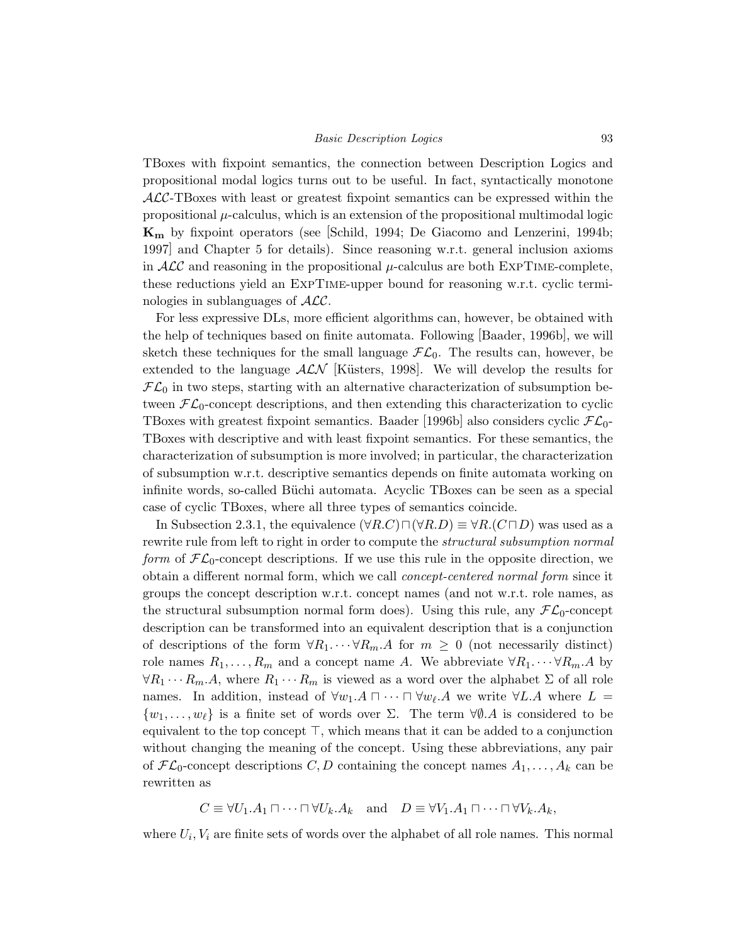#### Basic Description Logics 93

TBoxes with fixpoint semantics, the connection between Description Logics and propositional modal logics turns out to be useful. In fact, syntactically monotone ALC-TBoxes with least or greatest fixpoint semantics can be expressed within the propositional  $\mu$ -calculus, which is an extension of the propositional multimodal logic K<sup>m</sup> by fixpoint operators (see [Schild, 1994; De Giacomo and Lenzerini, 1994b; 1997] and Chapter 5 for details). Since reasoning w.r.t. general inclusion axioms in  $\mathcal{ALC}$  and reasoning in the propositional  $\mu$ -calculus are both EXPTIME-complete, these reductions yield an ExpTime-upper bound for reasoning w.r.t. cyclic terminologies in sublanguages of ALC.

For less expressive DLs, more efficient algorithms can, however, be obtained with the help of techniques based on finite automata. Following [Baader, 1996b], we will sketch these techniques for the small language  $\mathcal{FL}_0$ . The results can, however, be extended to the language  $ALN$  [Küsters, 1998]. We will develop the results for  $\mathcal{FL}_0$  in two steps, starting with an alternative characterization of subsumption between  $\mathcal{FL}_0$ -concept descriptions, and then extending this characterization to cyclic TBoxes with greatest fixpoint semantics. Baader [1996b] also considers cyclic  $\mathcal{F}\mathcal{L}_0$ -TBoxes with descriptive and with least fixpoint semantics. For these semantics, the characterization of subsumption is more involved; in particular, the characterization of subsumption w.r.t. descriptive semantics depends on finite automata working on infinite words, so-called Büchi automata. Acyclic TBoxes can be seen as a special case of cyclic TBoxes, where all three types of semantics coincide.

In Subsection 2.3.1, the equivalence  $(\forall R.C)\sqcap(\forall R.D) \equiv \forall R.(C \sqcap D)$  was used as a rewrite rule from left to right in order to compute the *structural subsumption normal* form of  $\mathcal{FL}_0$ -concept descriptions. If we use this rule in the opposite direction, we obtain a different normal form, which we call concept-centered normal form since it groups the concept description w.r.t. concept names (and not w.r.t. role names, as the structural subsumption normal form does). Using this rule, any  $\mathcal{FL}_0$ -concept description can be transformed into an equivalent description that is a conjunction of descriptions of the form  $\forall R_1 \cdots \forall R_m \cdot A$  for  $m \geq 0$  (not necessarily distinct) role names  $R_1, \ldots, R_m$  and a concept name A. We abbreviate  $\forall R_1, \cdots, \forall R_m$ . A by  $\forall R_1 \cdots R_m$ . A, where  $R_1 \cdots R_m$  is viewed as a word over the alphabet  $\Sigma$  of all role names. In addition, instead of  $\forall w_1.A \sqcap \cdots \sqcap \forall w_\ell.A$  we write  $\forall L.A$  where  $L =$  $\{w_1, \ldots, w_\ell\}$  is a finite set of words over  $\Sigma$ . The term  $\forall \emptyset$ .A is considered to be equivalent to the top concept  $\top$ , which means that it can be added to a conjunction without changing the meaning of the concept. Using these abbreviations, any pair of  $\mathcal{FL}_0$ -concept descriptions C, D containing the concept names  $A_1, \ldots, A_k$  can be rewritten as

$$
C \equiv \forall U_1.A_1 \sqcap \cdots \sqcap \forall U_k.A_k \quad \text{and} \quad D \equiv \forall V_1.A_1 \sqcap \cdots \sqcap \forall V_k.A_k,
$$

where  $U_i$ ,  $V_i$  are finite sets of words over the alphabet of all role names. This normal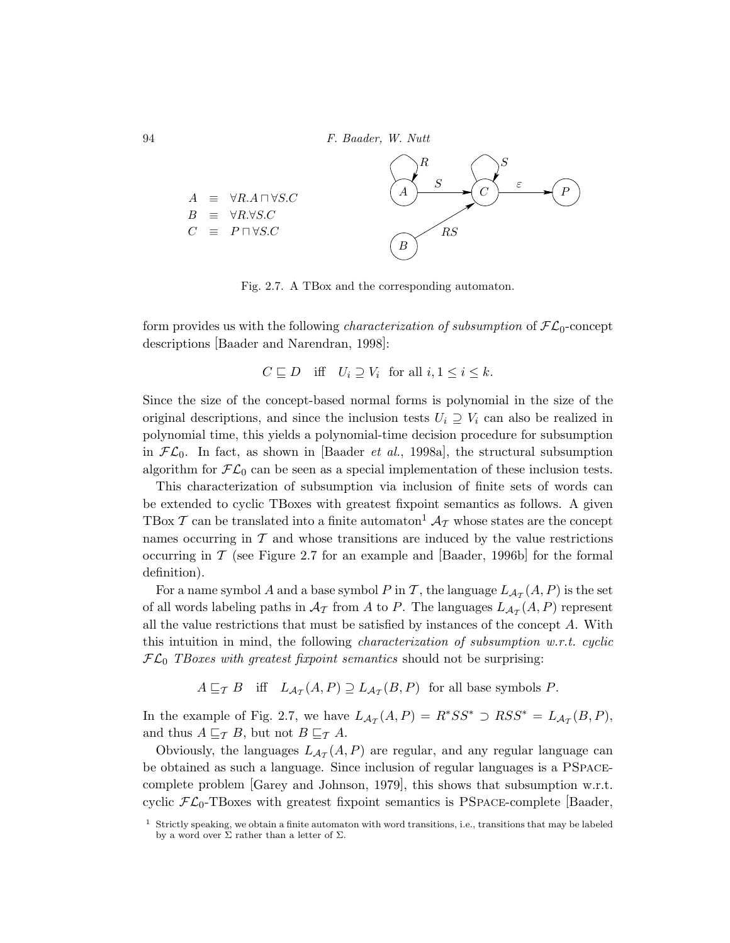

Fig. 2.7. A TBox and the corresponding automaton.

form provides us with the following *characterization of subsumption* of  $FL_0$ -concept descriptions [Baader and Narendran, 1998]:

$$
C \sqsubseteq D \quad \text{iff} \quad U_i \supseteq V_i \quad \text{for all } i, 1 \le i \le k.
$$

Since the size of the concept-based normal forms is polynomial in the size of the original descriptions, and since the inclusion tests  $U_i \supseteq V_i$  can also be realized in polynomial time, this yields a polynomial-time decision procedure for subsumption in  $\mathcal{FL}_0$ . In fact, as shown in [Baader *et al.*, 1998a], the structural subsumption algorithm for  $\mathcal{FL}_0$  can be seen as a special implementation of these inclusion tests.

This characterization of subsumption via inclusion of finite sets of words can be extended to cyclic TBoxes with greatest fixpoint semantics as follows. A given TBox  $\mathcal T$  can be translated into a finite automaton<sup>1</sup>  $\mathcal A_{\mathcal T}$  whose states are the concept names occurring in  $\mathcal T$  and whose transitions are induced by the value restrictions occurring in  $\mathcal T$  (see Figure 2.7 for an example and [Baader, 1996b] for the formal definition).

For a name symbol  $A$  and a base symbol  $P$  in  $\mathcal T$ , the language  $L_{\mathcal{A}_{\mathcal{T}}}(A,P)$  is the set of all words labeling paths in  $A_{\mathcal{T}}$  from A to P. The languages  $L_{\mathcal{A}_{\mathcal{T}}}(A, P)$  represent all the value restrictions that must be satisfied by instances of the concept A. With this intuition in mind, the following *characterization* of subsumption w.r.t. cyclic  $\mathcal{FL}_0$  TBoxes with greatest fixpoint semantics should not be surprising:

 $A \sqsubseteq_{\mathcal{T}} B$  iff  $L_{\mathcal{A}_{\mathcal{T}}}(A, P) \supseteq L_{\mathcal{A}_{\mathcal{T}}}(B, P)$  for all base symbols P.

In the example of Fig. 2.7, we have  $L_{\mathcal{A}_\mathcal{T}}(A, P) = R^* S S^* \supset R S S^* = L_{\mathcal{A}_\mathcal{T}}(B, P),$ and thus  $A \sqsubseteq_{\mathcal{T}} B$ , but not  $B \sqsubseteq_{\mathcal{T}} A$ .

Obviously, the languages  $L_{\mathcal{A}_{\mathcal{T}}}(A, P)$  are regular, and any regular language can be obtained as such a language. Since inclusion of regular languages is a PSpacecomplete problem [Garey and Johnson, 1979], this shows that subsumption w.r.t. cyclic  $\mathcal{FL}_0$ -TBoxes with greatest fixpoint semantics is PSPACE-complete [Baader,

<sup>1</sup> Strictly speaking, we obtain a finite automaton with word transitions, i.e., transitions that may be labeled by a word over  $\Sigma$  rather than a letter of  $\Sigma$ .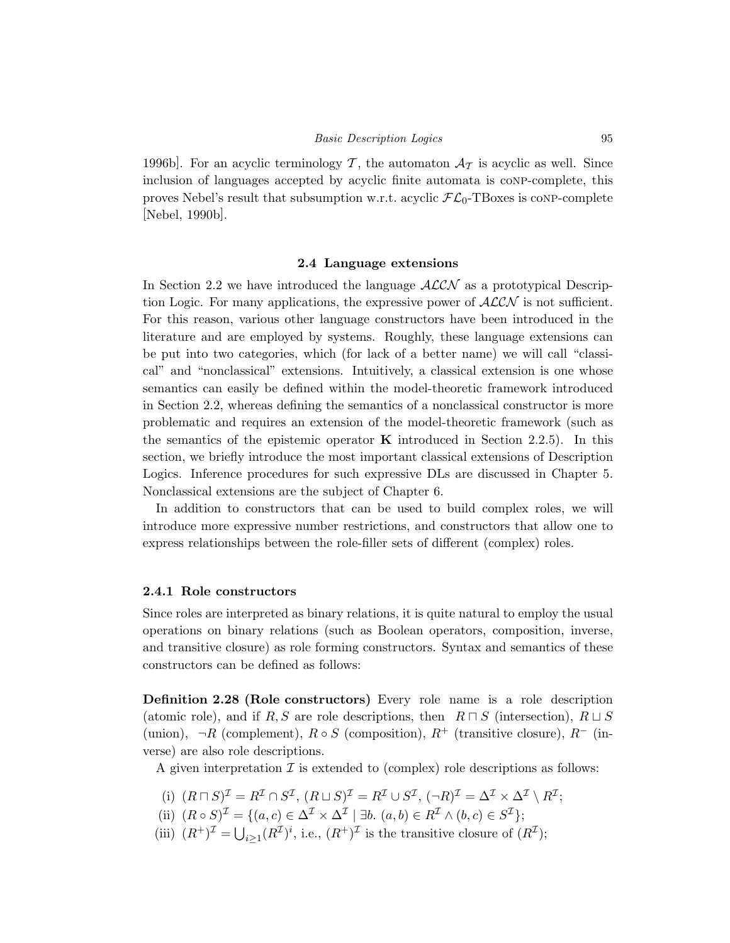1996b]. For an acyclic terminology  $\mathcal{T}$ , the automaton  $\mathcal{A}_{\mathcal{T}}$  is acyclic as well. Since inclusion of languages accepted by acyclic finite automata is conp-complete, this proves Nebel's result that subsumption w.r.t. acyclic  $\mathcal{F}\mathcal{L}_0$ -TBoxes is conp-complete [Nebel, 1990b].

#### 2.4 Language extensions

In Section 2.2 we have introduced the language  $ALCN$  as a prototypical Description Logic. For many applications, the expressive power of  $ALCN$  is not sufficient. For this reason, various other language constructors have been introduced in the literature and are employed by systems. Roughly, these language extensions can be put into two categories, which (for lack of a better name) we will call "classical" and "nonclassical" extensions. Intuitively, a classical extension is one whose semantics can easily be defined within the model-theoretic framework introduced in Section 2.2, whereas defining the semantics of a nonclassical constructor is more problematic and requires an extension of the model-theoretic framework (such as the semantics of the epistemic operator  $\bf{K}$  introduced in Section 2.2.5). In this section, we briefly introduce the most important classical extensions of Description Logics. Inference procedures for such expressive DLs are discussed in Chapter 5. Nonclassical extensions are the subject of Chapter 6.

In addition to constructors that can be used to build complex roles, we will introduce more expressive number restrictions, and constructors that allow one to express relationships between the role-filler sets of different (complex) roles.

#### 2.4.1 Role constructors

Since roles are interpreted as binary relations, it is quite natural to employ the usual operations on binary relations (such as Boolean operators, composition, inverse, and transitive closure) as role forming constructors. Syntax and semantics of these constructors can be defined as follows:

Definition 2.28 (Role constructors) Every role name is a role description (atomic role), and if R, S are role descriptions, then  $R \sqcap S$  (intersection),  $R \sqcup S$ (union),  $\neg R$  (complement),  $R \circ S$  (composition),  $R^+$  (transitive closure),  $R^-$  (inverse) are also role descriptions.

A given interpretation  $\mathcal I$  is extended to (complex) role descriptions as follows:

- (i)  $(R \sqcap S)^{\perp} = R^{\perp} \cap S^{\perp}$ ,  $(R \sqcup S)^{\perp} = R^{\perp} \cup S^{\perp}$ ,  $(\neg R)^{\perp} = \Delta^{\perp} \times \Delta^{\perp} \setminus R^{\perp}$ ;
- (ii)  $(R \circ S)^{\mathcal{I}} = \{(a, c) \in \Delta^{\mathcal{I}} \times \Delta^{\mathcal{I}} \mid \exists b. (a, b) \in R^{\mathcal{I}} \wedge (b, c) \in S^{\mathcal{I}} \};$
- (iii)  $(R^+)^{\mathcal{I}} = \bigcup_{i \geq 1} (R^{\mathcal{I}})^i$ , i.e.,  $(R^+)^{\mathcal{I}}$  is the transitive closure of  $(R^{\mathcal{I}})$ ;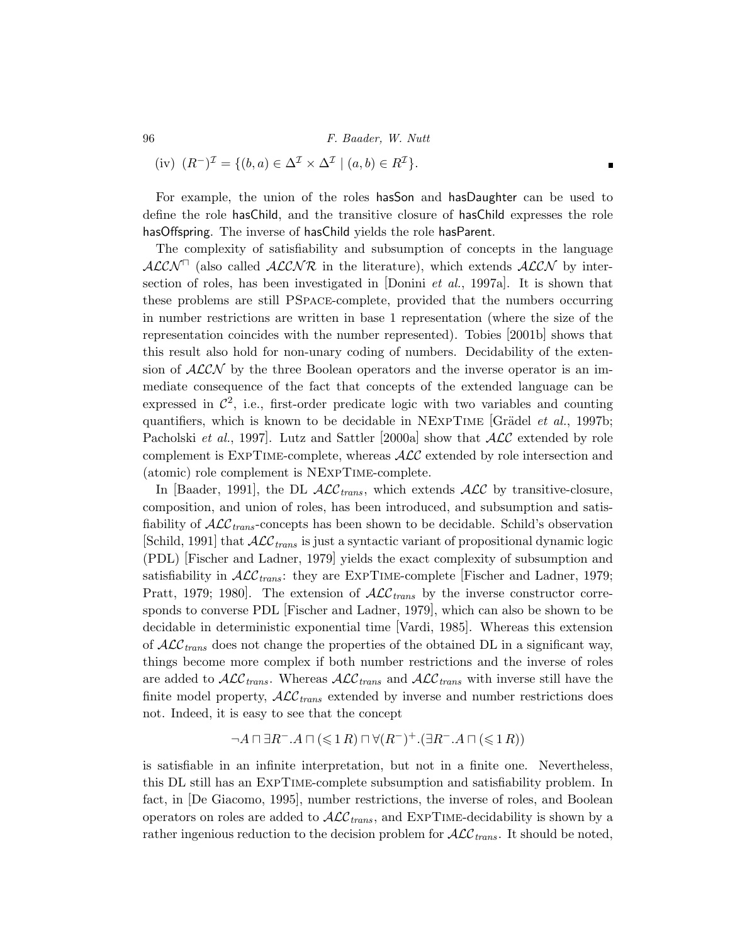(iv) 
$$
(R^{-})^{\mathcal{I}} = \{(b, a) \in \Delta^{\mathcal{I}} \times \Delta^{\mathcal{I}} \mid (a, b) \in R^{\mathcal{I}}\}.
$$

For example, the union of the roles hasSon and hasDaughter can be used to define the role hasChild, and the transitive closure of hasChild expresses the role hasOffspring. The inverse of hasChild yields the role hasParent.

The complexity of satisfiability and subsumption of concepts in the language  $ALCN^{\dagger}$  (also called  $ALCNR$  in the literature), which extends  $ALCN$  by intersection of roles, has been investigated in [Donini et al., 1997a]. It is shown that these problems are still PSpace-complete, provided that the numbers occurring in number restrictions are written in base 1 representation (where the size of the representation coincides with the number represented). Tobies [2001b] shows that this result also hold for non-unary coding of numbers. Decidability of the extension of  $ALCN$  by the three Boolean operators and the inverse operator is an immediate consequence of the fact that concepts of the extended language can be expressed in  $\mathcal{C}^2$ , i.e., first-order predicate logic with two variables and counting quantifiers, which is known to be decidable in NEXPTIME  $[Gr\ddot{\text{a}}]$  and  $al, 1997b;$ Pacholski *et al.*, 1997. Lutz and Sattler [2000a] show that  $\mathcal{ALC}$  extended by role complement is  $\text{ExpTime-complete}$ , whereas  $\text{ACC}$  extended by role intersection and (atomic) role complement is NExpTime-complete.

In [Baader, 1991], the DL  $\text{ALC}_{trans}$ , which extends  $\text{ALC}$  by transitive-closure, composition, and union of roles, has been introduced, and subsumption and satisfiability of  $\mathcal{ALC}_{trans}$ -concepts has been shown to be decidable. Schild's observation [Schild, 1991] that  $\mathcal{ALC}_{trans}$  is just a syntactic variant of propositional dynamic logic (PDL) [Fischer and Ladner, 1979] yields the exact complexity of subsumption and satisfiability in  $\mathcal{ALC}_{trans}$ : they are EXPTIME-complete [Fischer and Ladner, 1979; Pratt, 1979; 1980. The extension of  $\mathcal{ALC}_{trans}$  by the inverse constructor corresponds to converse PDL [Fischer and Ladner, 1979], which can also be shown to be decidable in deterministic exponential time [Vardi, 1985]. Whereas this extension of  $\mathcal{ALC}_{trans}$  does not change the properties of the obtained DL in a significant way, things become more complex if both number restrictions and the inverse of roles are added to  $\mathcal{ALC}_{trans}$ . Whereas  $\mathcal{ALC}_{trans}$  and  $\mathcal{ALC}_{trans}$  with inverse still have the finite model property,  $\text{ALC}_{trans}$  extended by inverse and number restrictions does not. Indeed, it is easy to see that the concept

$$
\neg A \sqcap \exists R^{-}.A \sqcap (\leqslant 1 R) \sqcap \forall (R^{-})^{+}.(\exists R^{-}.A \sqcap (\leqslant 1 R))
$$

is satisfiable in an infinite interpretation, but not in a finite one. Nevertheless, this DL still has an ExpTime-complete subsumption and satisfiability problem. In fact, in [De Giacomo, 1995], number restrictions, the inverse of roles, and Boolean operators on roles are added to  $\mathcal{ALC}_{trans}$ , and EXPTIME-decidability is shown by a rather ingenious reduction to the decision problem for  $\text{ACC}_{trans}$ . It should be noted,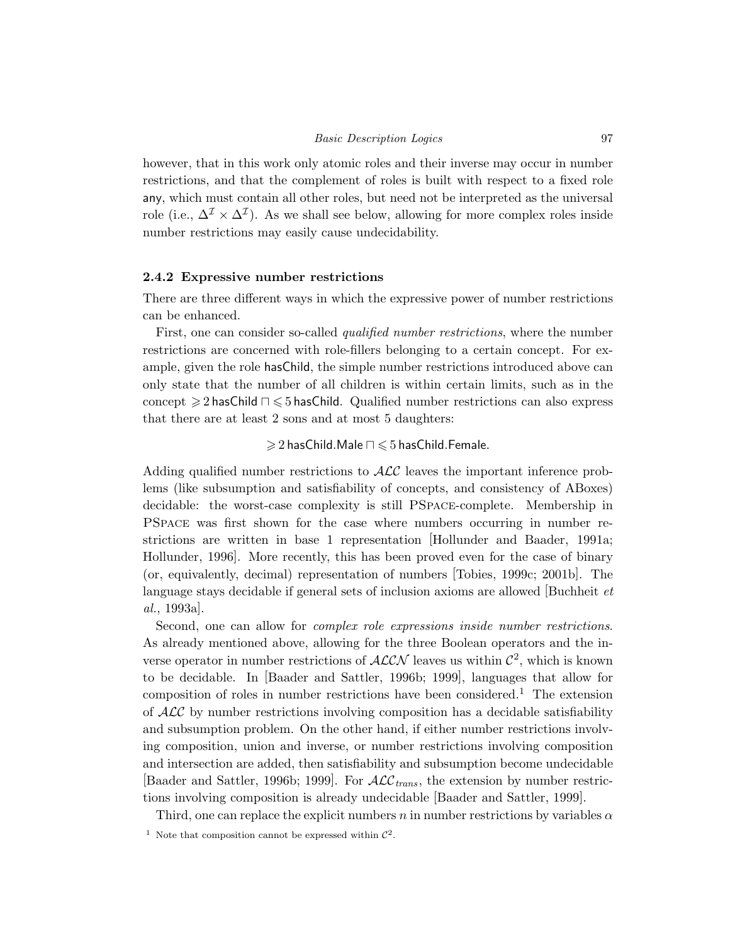however, that in this work only atomic roles and their inverse may occur in number restrictions, and that the complement of roles is built with respect to a fixed role any, which must contain all other roles, but need not be interpreted as the universal role (i.e.,  $\Delta^2 \times \Delta^2$ ). As we shall see below, allowing for more complex roles inside number restrictions may easily cause undecidability.

#### 2.4.2 Expressive number restrictions

There are three different ways in which the expressive power of number restrictions can be enhanced.

First, one can consider so-called *qualified number restrictions*, where the number restrictions are concerned with role-fillers belonging to a certain concept. For example, given the role hasChild, the simple number restrictions introduced above can only state that the number of all children is within certain limits, such as in the concept  $\geq 2$  hasChild  $\Box \leq 5$  hasChild. Qualified number restrictions can also express that there are at least 2 sons and at most 5 daughters:

### $\geqslant$  2 hasChild.Male  $\sqcap$   $\leqslant$  5 hasChild.Female.

Adding qualified number restrictions to  $\mathcal{ALC}$  leaves the important inference problems (like subsumption and satisfiability of concepts, and consistency of ABoxes) decidable: the worst-case complexity is still PSpace-complete. Membership in PSpace was first shown for the case where numbers occurring in number restrictions are written in base 1 representation [Hollunder and Baader, 1991a; Hollunder, 1996]. More recently, this has been proved even for the case of binary (or, equivalently, decimal) representation of numbers [Tobies, 1999c; 2001b]. The language stays decidable if general sets of inclusion axioms are allowed Buchheit  $et$ al., 1993a].

Second, one can allow for complex role expressions inside number restrictions. As already mentioned above, allowing for the three Boolean operators and the inverse operator in number restrictions of  $ALCN$  leaves us within  $\mathcal{C}^2$ , which is known to be decidable. In [Baader and Sattler, 1996b; 1999], languages that allow for composition of roles in number restrictions have been considered.<sup>1</sup> The extension of  $\mathcal{ALC}$  by number restrictions involving composition has a decidable satisfiability and subsumption problem. On the other hand, if either number restrictions involving composition, union and inverse, or number restrictions involving composition and intersection are added, then satisfiability and subsumption become undecidable [Baader and Sattler, 1996b; 1999]. For  $\mathcal{ALC}_{trans}$ , the extension by number restrictions involving composition is already undecidable [Baader and Sattler, 1999].

Third, one can replace the explicit numbers n in number restrictions by variables  $\alpha$ <sup>1</sup> Note that composition cannot be expressed within  $\mathcal{C}^2$ .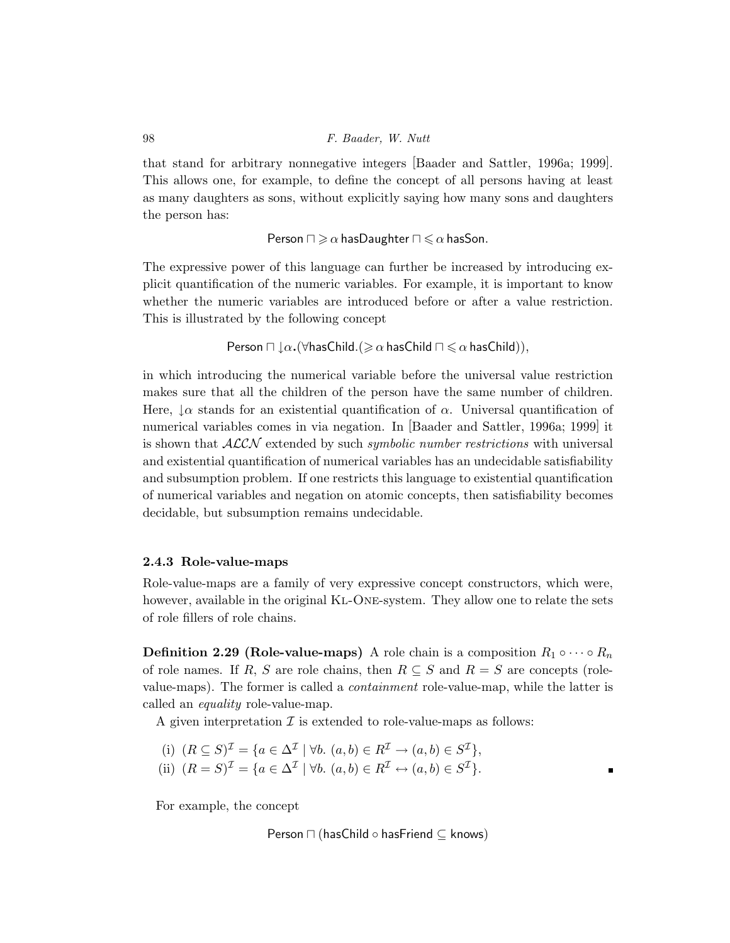that stand for arbitrary nonnegative integers [Baader and Sattler, 1996a; 1999]. This allows one, for example, to define the concept of all persons having at least as many daughters as sons, without explicitly saying how many sons and daughters the person has:

Person  $\Box \geq \alpha$  hasDaughter  $\Box \leq \alpha$  hasSon.

The expressive power of this language can further be increased by introducing explicit quantification of the numeric variables. For example, it is important to know whether the numeric variables are introduced before or after a value restriction. This is illustrated by the following concept

Person  $\Box \downarrow \alpha$ .( $\forall$ hasChild.( $\geq \alpha$  hasChild  $\Box \leq \alpha$  hasChild)),

in which introducing the numerical variable before the universal value restriction makes sure that all the children of the person have the same number of children. Here,  $\downarrow \alpha$  stands for an existential quantification of  $\alpha$ . Universal quantification of numerical variables comes in via negation. In [Baader and Sattler, 1996a; 1999] it is shown that  $\mathcal{ALCN}$  extended by such *symbolic number restrictions* with universal and existential quantification of numerical variables has an undecidable satisfiability and subsumption problem. If one restricts this language to existential quantification of numerical variables and negation on atomic concepts, then satisfiability becomes decidable, but subsumption remains undecidable.

#### 2.4.3 Role-value-maps

Role-value-maps are a family of very expressive concept constructors, which were, however, available in the original KL-ONE-system. They allow one to relate the sets of role fillers of role chains.

**Definition 2.29 (Role-value-maps)** A role chain is a composition  $R_1 \circ \cdots \circ R_n$ of role names. If R, S are role chains, then  $R \subseteq S$  and  $R = S$  are concepts (rolevalue-maps). The former is called a containment role-value-map, while the latter is called an equality role-value-map.

A given interpretation  $\mathcal I$  is extended to role-value-maps as follows:

(i) 
$$
(R \subseteq S)^{\mathcal{I}} = \{a \in \Delta^{\mathcal{I}} \mid \forall b. \ (a, b) \in R^{\mathcal{I}} \rightarrow (a, b) \in S^{\mathcal{I}}\},
$$
  
\n(ii)  $(R = S)^{\mathcal{I}} = \{a \in \Delta^{\mathcal{I}} \mid \forall b. \ (a, b) \in R^{\mathcal{I}} \leftrightarrow (a, b) \in S^{\mathcal{I}}\}.$ 

For example, the concept

Person  $\Box$  (hasChild  $\circ$  hasFriend  $\subset$  knows)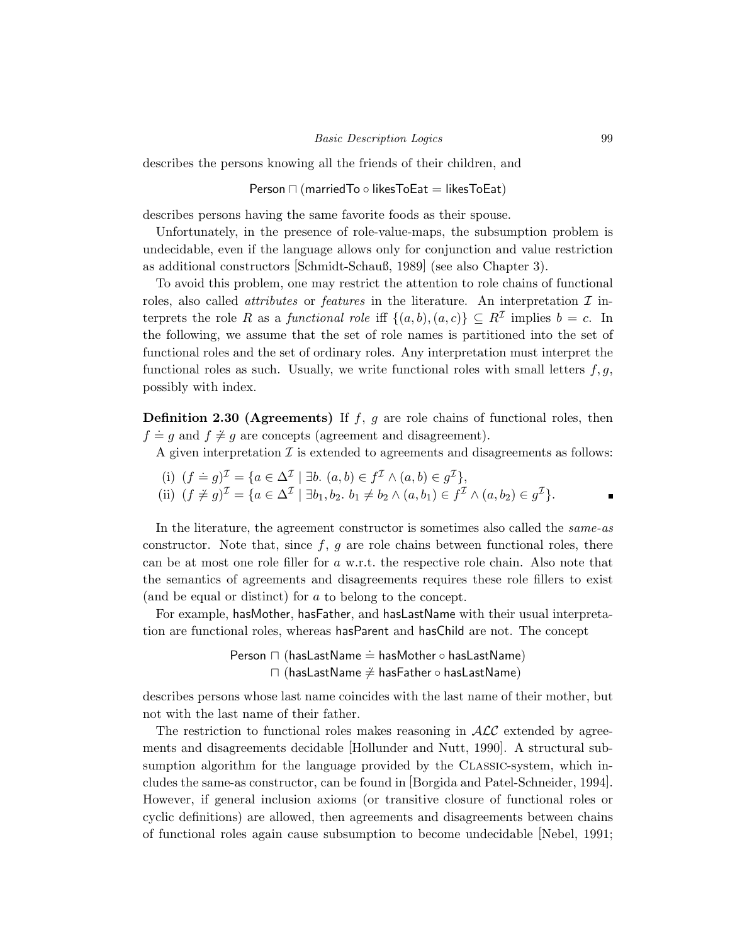#### Basic Description Logics 99

describes the persons knowing all the friends of their children, and

#### Person  $\Box$  (marriedTo  $\circ$  likesToEat = likesToEat)

describes persons having the same favorite foods as their spouse.

Unfortunately, in the presence of role-value-maps, the subsumption problem is undecidable, even if the language allows only for conjunction and value restriction as additional constructors [Schmidt-Schauß, 1989] (see also Chapter 3).

To avoid this problem, one may restrict the attention to role chains of functional roles, also called *attributes* or *features* in the literature. An interpretation  $\mathcal{I}$  interprets the role R as a *functional role* if  $\{(a, b), (a, c)\}\subseteq R^{\mathcal{I}}$  implies  $b = c$ . In the following, we assume that the set of role names is partitioned into the set of functional roles and the set of ordinary roles. Any interpretation must interpret the functional roles as such. Usually, we write functional roles with small letters  $f, g$ , possibly with index.

**Definition 2.30 (Agreements)** If  $f$ ,  $g$  are role chains of functional roles, then  $f \doteq g$  and  $f \neq g$  are concepts (agreement and disagreement).

A given interpretation  $\mathcal I$  is extended to agreements and disagreements as follows:

(i) 
$$
(f \doteq g)^{\mathcal{I}} = \{a \in \Delta^{\mathcal{I}} \mid \exists b. \ (a, b) \in f^{\mathcal{I}} \land (a, b) \in g^{\mathcal{I}}\},
$$
  
\n(ii)  $(f \neq g)^{\mathcal{I}} = \{a \in \Delta^{\mathcal{I}} \mid \exists b_1, b_2. \ b_1 \neq b_2 \land (a, b_1) \in f^{\mathcal{I}} \land (a, b_2) \in g^{\mathcal{I}}\}.$ 

In the literature, the agreement constructor is sometimes also called the *same-as* constructor. Note that, since  $f, g$  are role chains between functional roles, there can be at most one role filler for a w.r.t. the respective role chain. Also note that the semantics of agreements and disagreements requires these role fillers to exist (and be equal or distinct) for a to belong to the concept.

For example, hasMother, hasFather, and hasLastName with their usual interpretation are functional roles, whereas hasParent and hasChild are not. The concept

> Person  $\Box$  (hasLastName  $\dot{=}$  hasMother  $\circ$  hasLastName)  $\Box$  (hasLastName  $\neq$  hasFather  $\circ$  hasLastName)

describes persons whose last name coincides with the last name of their mother, but not with the last name of their father.

The restriction to functional roles makes reasoning in  $ALC$  extended by agreements and disagreements decidable [Hollunder and Nutt, 1990]. A structural subsumption algorithm for the language provided by the CLASSIC-system, which includes the same-as constructor, can be found in [Borgida and Patel-Schneider, 1994]. However, if general inclusion axioms (or transitive closure of functional roles or cyclic definitions) are allowed, then agreements and disagreements between chains of functional roles again cause subsumption to become undecidable [Nebel, 1991;